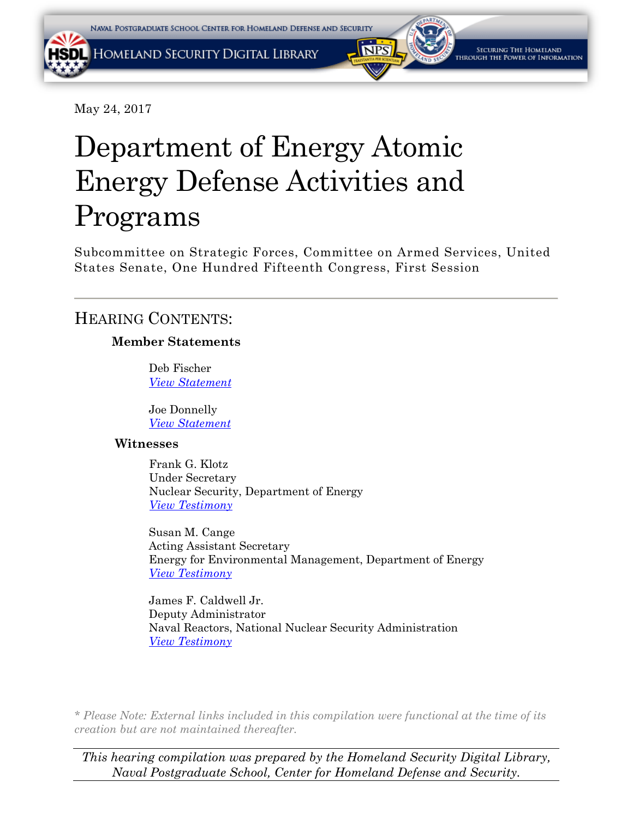May 24, 2017

# Department of Energy Atomic Energy Defense Activities and Programs

Subcommittee on Strategic Forces, Committee on Armed Services, United States Senate, One Hundred Fifteenth Congress, First Session

## HEARING CONTENTS:

## **Member Statements**

Deb Fischer *[View Statement](#page-4-0)*

Joe Donnelly *View [Statement](#page-7-0)*

## **Witnesses**

Frank G. Klotz Under Secretary Nuclear Security, Department of Energy *[View Testimony](#page-63-0)*

Susan M. Cange Acting Assistant Secretary Energy for Environmental Management, Department of Energy *[View Testimony](#page-74-0)*

James F. Caldwell Jr. Deputy Administrator Naval Reactors, National Nuclear Security Administration *[View Testimony](#page-83-0)*

*\* Please Note: External links included in this compilation were functional at the time of its creation but are not maintained thereafter.* 

*This hearing compilation was prepared by the Homeland Security Digital Library, Naval Postgraduate School, Center for Homeland Defense and Security.*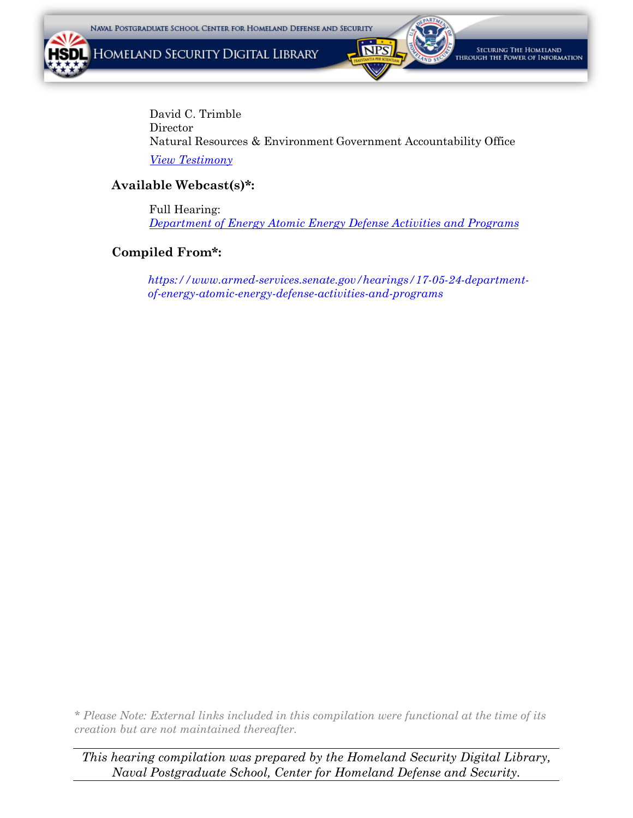HOMELAND SECURITY DIGITAL LIBRARY



SECURING THE HOMELAND ough the Power of Information

*[View Testimony](#page-86-0)* David C. Trimble **Director** Natural Resources & Environment Government Accountability Office

### **Available Webcast(s)\*:**

Full Hearing: *[Department of Energy Atomic Energy Defense Activities and Programs](https://www.armed-services.senate.gov/hearings/17-05-24-department-of-energy-atomic-energy-defense-activities-and-programs)*

## **Compiled From\*:**

*[https://www.armed-services.senate.gov/hearings/17-05-24-department](https://www.armed-services.senate.gov/hearings/17-05-24-department-of-energy-atomic-energy-defense-activities-and-programs)of-energy-atomic-energy-defense-activities-and-programs*

*\* Please Note: External links included in this compilation were functional at the time of its creation but are not maintained thereafter.* 

*This hearing compilation was prepared by the Homeland Security Digital Library, Naval Postgraduate School, Center for Homeland Defense and Security.*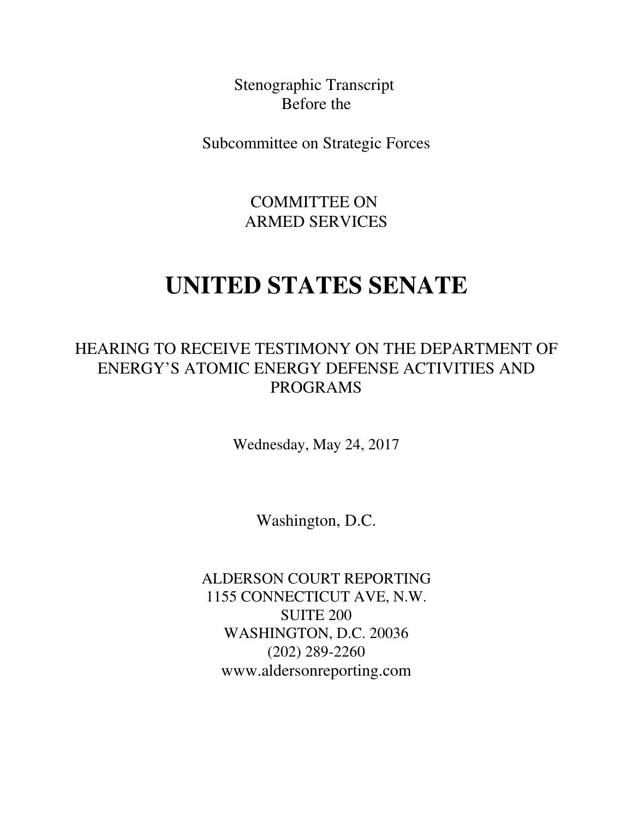Stenographic Transcript Before the

Subcommittee on Strategic Forces

COMMITTEE ON ARMED SERVICES

## **UNITED STATES SENATE**

## HEARING TO RECEIVE TESTIMONY ON THE DEPARTMENT OF ENERGY'S ATOMIC ENERGY DEFENSE ACTIVITIES AND PROGRAMS

Wednesday, May 24, 2017

Washington, D.C.

ALDERSON COURT REPORTING 1155 CONNECTICUT AVE, N.W. SUITE 200 WASHINGTON, D.C. 20036 (202) 289-2260 www.aldersonreporting.com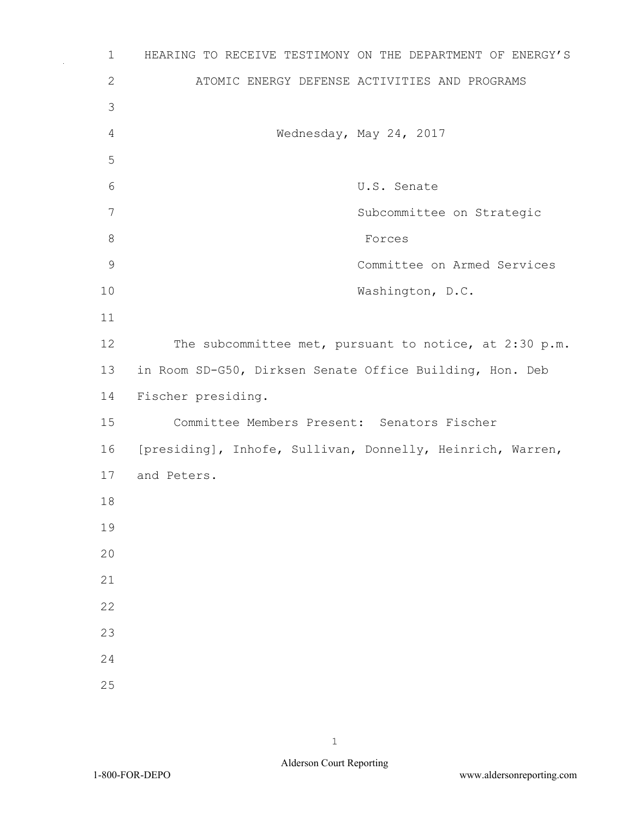1 HEARING TO RECEIVE TESTIMONY ON THE DEPARTMENT OF ENERGY'S 2 ATOMIC ENERGY DEFENSE ACTIVITIES AND PROGRAMS 3 4 Wednesday, May 24, 2017 5 6 U.S. Senate 7 Subcommittee on Strategic 8 Forces 9 Committee on Armed Services 10 Washington, D.C. 11 12 The subcommittee met, pursuant to notice, at 2:30 p.m. 13 in Room SD-G50, Dirksen Senate Office Building, Hon. Deb 14 Fischer presiding. 15 Committee Members Present: Senators Fischer 16 [presiding], Inhofe, Sullivan, Donnelly, Heinrich, Warren, 17 and Peters. 18 19  $20$ 21 22 23 24 25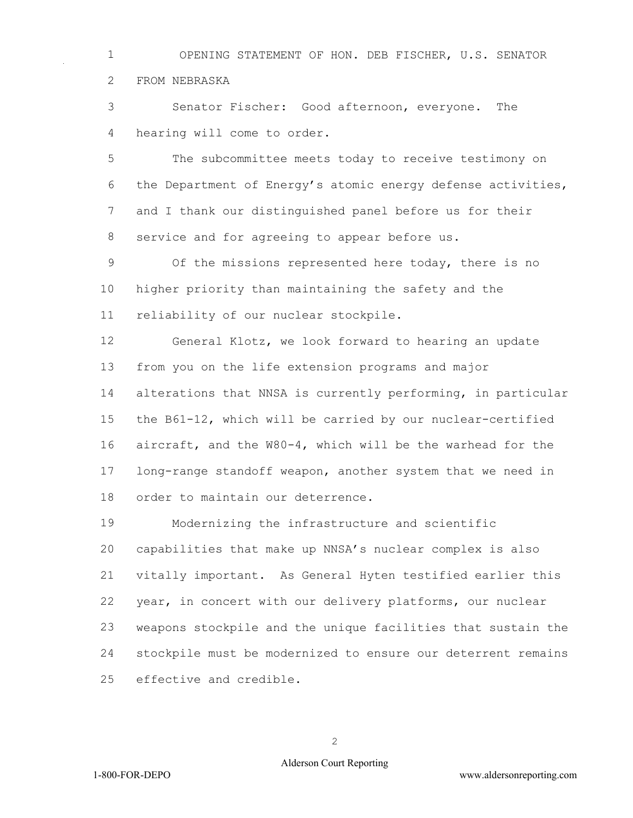<span id="page-4-0"></span> OPENING STATEMENT OF HON. DEB FISCHER, U.S. SENATOR FROM NEBRASKA

 Senator Fischer: Good afternoon, everyone. The hearing will come to order.

 The subcommittee meets today to receive testimony on the Department of Energy's atomic energy defense activities, and I thank our distinguished panel before us for their service and for agreeing to appear before us.

 Of the missions represented here today, there is no higher priority than maintaining the safety and the reliability of our nuclear stockpile.

 General Klotz, we look forward to hearing an update from you on the life extension programs and major alterations that NNSA is currently performing, in particular the B61-12, which will be carried by our nuclear-certified aircraft, and the W80-4, which will be the warhead for the long-range standoff weapon, another system that we need in order to maintain our deterrence.

 Modernizing the infrastructure and scientific capabilities that make up NNSA's nuclear complex is also vitally important. As General Hyten testified earlier this year, in concert with our delivery platforms, our nuclear weapons stockpile and the unique facilities that sustain the stockpile must be modernized to ensure our deterrent remains effective and credible.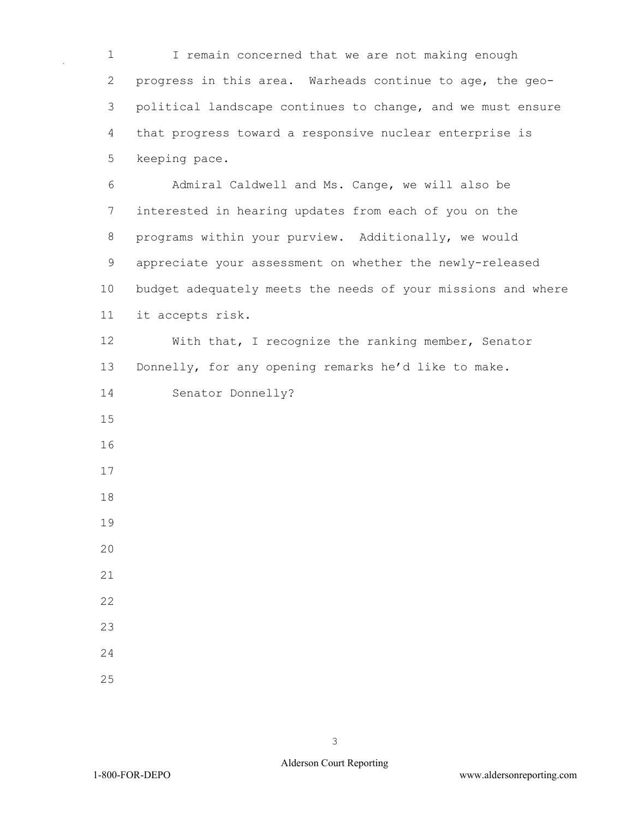I remain concerned that we are not making enough progress in this area. Warheads continue to age, the geo- political landscape continues to change, and we must ensure that progress toward a responsive nuclear enterprise is keeping pace.

 Admiral Caldwell and Ms. Cange, we will also be interested in hearing updates from each of you on the programs within your purview. Additionally, we would appreciate your assessment on whether the newly-released budget adequately meets the needs of your missions and where it accepts risk.

 With that, I recognize the ranking member, Senator Donnelly, for any opening remarks he'd like to make.

Senator Donnelly?

- 
- 
- 
- 
- 
- 
- 
- 
- 
- 
- 
-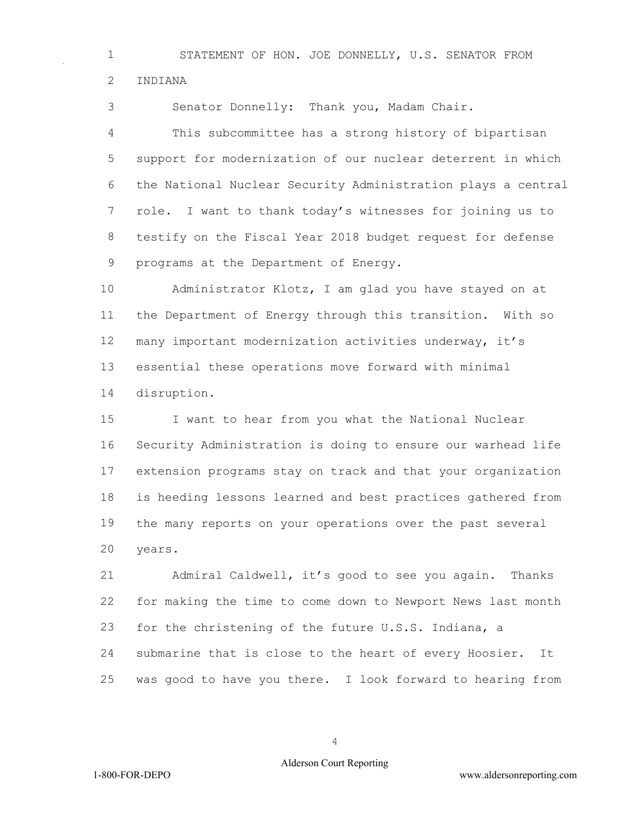STATEMENT OF HON. JOE DONNELLY, U.S. SENATOR FROM INDIANA

Senator Donnelly: Thank you, Madam Chair.

 This subcommittee has a strong history of bipartisan support for modernization of our nuclear deterrent in which the National Nuclear Security Administration plays a central role. I want to thank today's witnesses for joining us to testify on the Fiscal Year 2018 budget request for defense programs at the Department of Energy.

 Administrator Klotz, I am glad you have stayed on at the Department of Energy through this transition. With so many important modernization activities underway, it's essential these operations move forward with minimal disruption.

 I want to hear from you what the National Nuclear Security Administration is doing to ensure our warhead life extension programs stay on track and that your organization is heeding lessons learned and best practices gathered from the many reports on your operations over the past several years.

 Admiral Caldwell, it's good to see you again. Thanks for making the time to come down to Newport News last month for the christening of the future U.S.S. Indiana, a submarine that is close to the heart of every Hoosier. It was good to have you there. I look forward to hearing from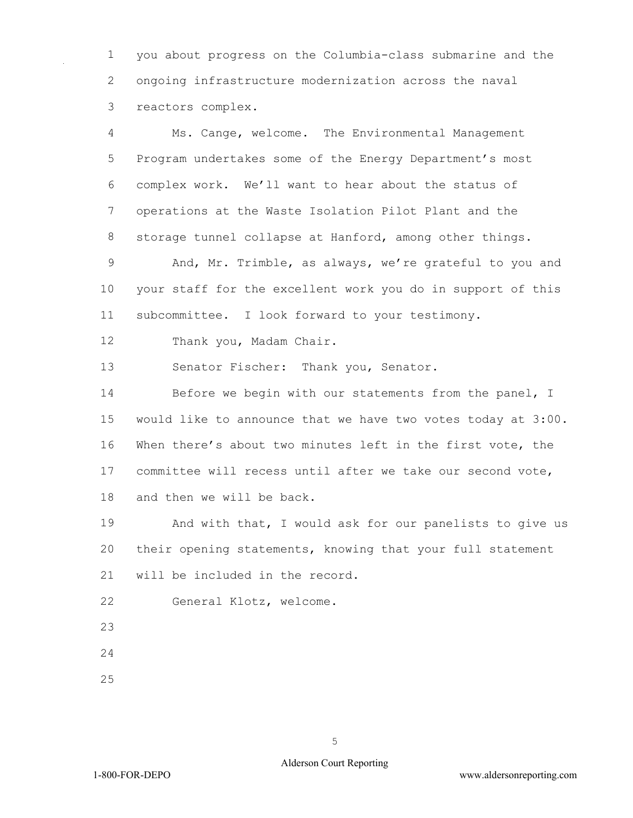<span id="page-7-0"></span> you about progress on the Columbia-class submarine and the ongoing infrastructure modernization across the naval reactors complex.

 Ms. Cange, welcome. The Environmental Management Program undertakes some of the Energy Department's most complex work. We'll want to hear about the status of operations at the Waste Isolation Pilot Plant and the storage tunnel collapse at Hanford, among other things.

 And, Mr. Trimble, as always, we're grateful to you and your staff for the excellent work you do in support of this subcommittee. I look forward to your testimony.

Thank you, Madam Chair.

Senator Fischer: Thank you, Senator.

14 Before we begin with our statements from the panel, I would like to announce that we have two votes today at 3:00. When there's about two minutes left in the first vote, the committee will recess until after we take our second vote, and then we will be back.

 And with that, I would ask for our panelists to give us their opening statements, knowing that your full statement will be included in the record.

General Klotz, welcome.

- 
- 
-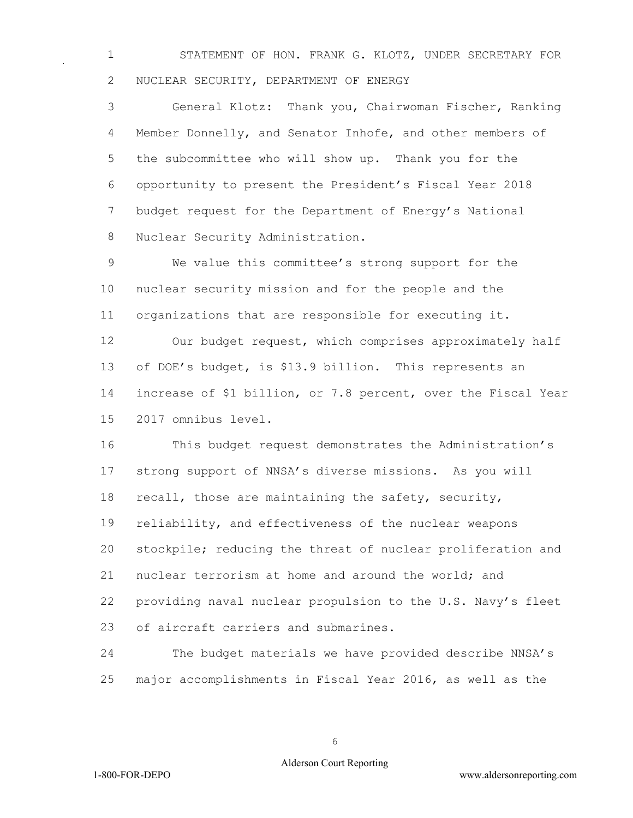STATEMENT OF HON. FRANK G. KLOTZ, UNDER SECRETARY FOR NUCLEAR SECURITY, DEPARTMENT OF ENERGY

 General Klotz: Thank you, Chairwoman Fischer, Ranking Member Donnelly, and Senator Inhofe, and other members of the subcommittee who will show up. Thank you for the opportunity to present the President's Fiscal Year 2018 budget request for the Department of Energy's National Nuclear Security Administration.

 We value this committee's strong support for the nuclear security mission and for the people and the organizations that are responsible for executing it.

 Our budget request, which comprises approximately half of DOE's budget, is \$13.9 billion. This represents an increase of \$1 billion, or 7.8 percent, over the Fiscal Year 2017 omnibus level.

 This budget request demonstrates the Administration's strong support of NNSA's diverse missions. As you will recall, those are maintaining the safety, security, reliability, and effectiveness of the nuclear weapons stockpile; reducing the threat of nuclear proliferation and nuclear terrorism at home and around the world; and providing naval nuclear propulsion to the U.S. Navy's fleet of aircraft carriers and submarines.

 The budget materials we have provided describe NNSA's major accomplishments in Fiscal Year 2016, as well as the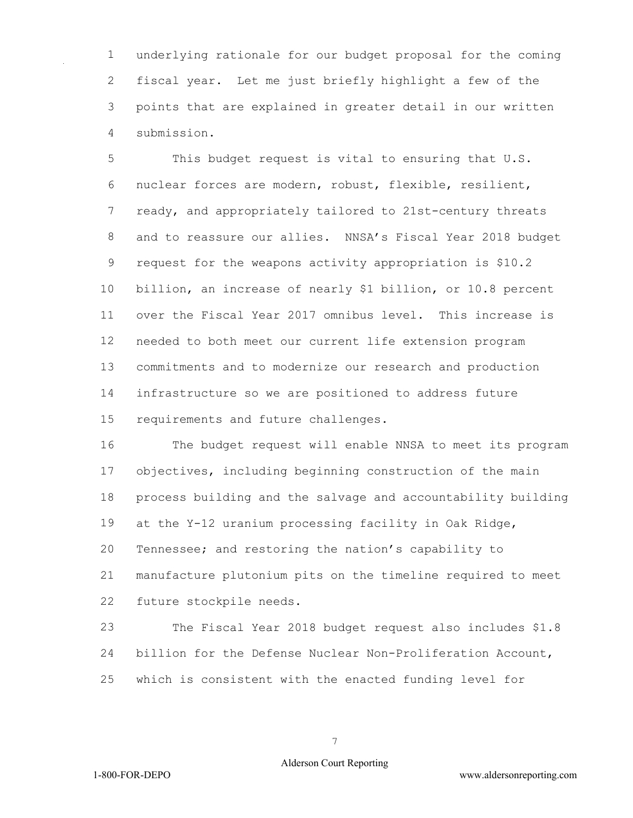underlying rationale for our budget proposal for the coming fiscal year. Let me just briefly highlight a few of the points that are explained in greater detail in our written submission.

 This budget request is vital to ensuring that U.S. nuclear forces are modern, robust, flexible, resilient, ready, and appropriately tailored to 21st-century threats and to reassure our allies. NNSA's Fiscal Year 2018 budget request for the weapons activity appropriation is \$10.2 billion, an increase of nearly \$1 billion, or 10.8 percent over the Fiscal Year 2017 omnibus level. This increase is needed to both meet our current life extension program commitments and to modernize our research and production infrastructure so we are positioned to address future requirements and future challenges.

 The budget request will enable NNSA to meet its program objectives, including beginning construction of the main process building and the salvage and accountability building at the Y-12 uranium processing facility in Oak Ridge, Tennessee; and restoring the nation's capability to manufacture plutonium pits on the timeline required to meet future stockpile needs.

 The Fiscal Year 2018 budget request also includes \$1.8 billion for the Defense Nuclear Non-Proliferation Account, which is consistent with the enacted funding level for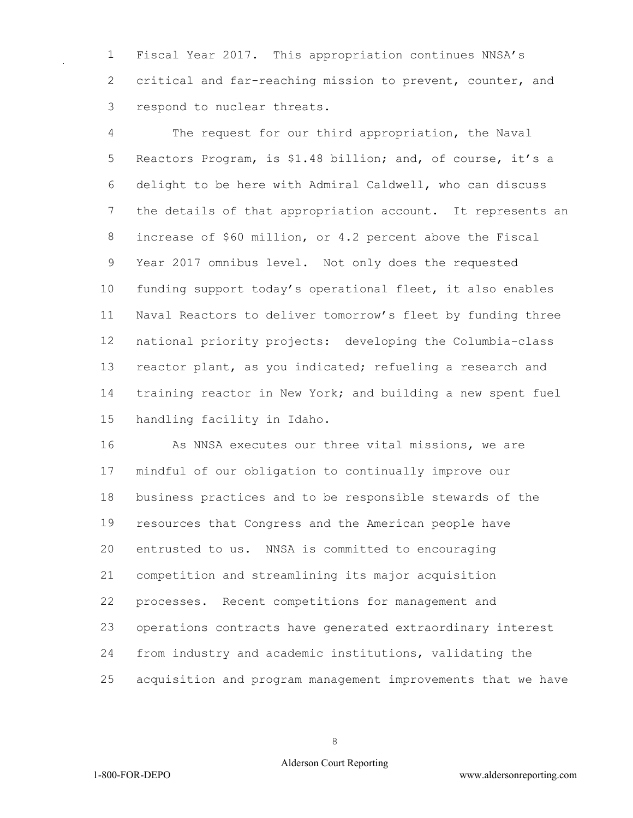Fiscal Year 2017. This appropriation continues NNSA's critical and far-reaching mission to prevent, counter, and respond to nuclear threats.

 The request for our third appropriation, the Naval Reactors Program, is \$1.48 billion; and, of course, it's a delight to be here with Admiral Caldwell, who can discuss the details of that appropriation account. It represents an increase of \$60 million, or 4.2 percent above the Fiscal Year 2017 omnibus level. Not only does the requested funding support today's operational fleet, it also enables Naval Reactors to deliver tomorrow's fleet by funding three national priority projects: developing the Columbia-class reactor plant, as you indicated; refueling a research and training reactor in New York; and building a new spent fuel handling facility in Idaho.

 As NNSA executes our three vital missions, we are mindful of our obligation to continually improve our business practices and to be responsible stewards of the resources that Congress and the American people have entrusted to us. NNSA is committed to encouraging competition and streamlining its major acquisition processes. Recent competitions for management and operations contracts have generated extraordinary interest from industry and academic institutions, validating the acquisition and program management improvements that we have

### Alderson Court Reporting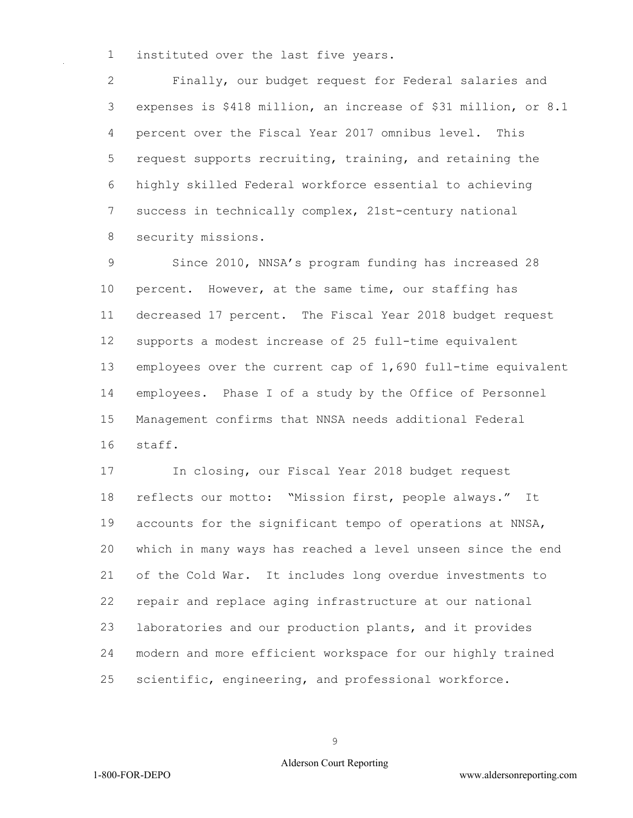instituted over the last five years.

 Finally, our budget request for Federal salaries and expenses is \$418 million, an increase of \$31 million, or 8.1 percent over the Fiscal Year 2017 omnibus level. This request supports recruiting, training, and retaining the highly skilled Federal workforce essential to achieving success in technically complex, 21st-century national security missions.

 Since 2010, NNSA's program funding has increased 28 percent. However, at the same time, our staffing has decreased 17 percent. The Fiscal Year 2018 budget request supports a modest increase of 25 full-time equivalent employees over the current cap of 1,690 full-time equivalent employees. Phase I of a study by the Office of Personnel Management confirms that NNSA needs additional Federal staff.

 In closing, our Fiscal Year 2018 budget request reflects our motto: "Mission first, people always." It accounts for the significant tempo of operations at NNSA, which in many ways has reached a level unseen since the end of the Cold War. It includes long overdue investments to repair and replace aging infrastructure at our national laboratories and our production plants, and it provides modern and more efficient workspace for our highly trained scientific, engineering, and professional workforce.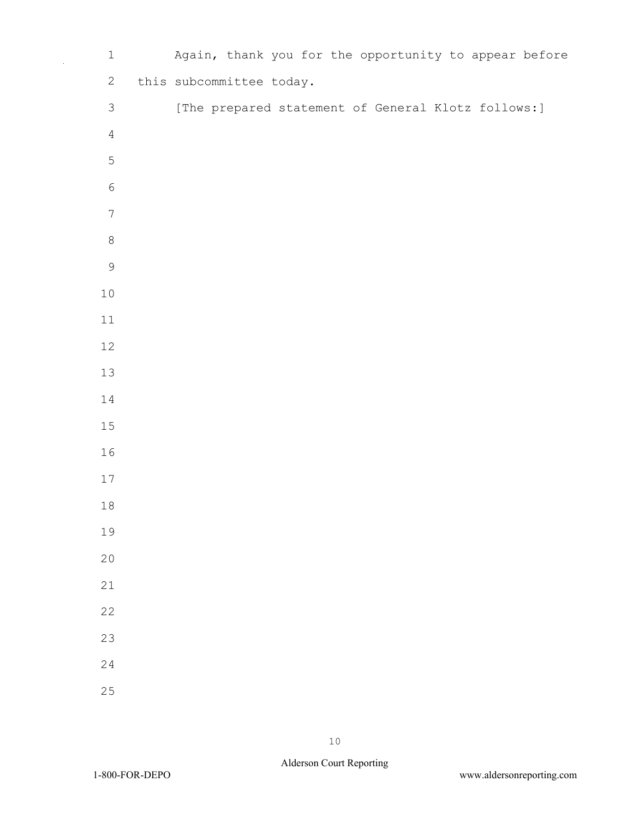| $\mathbf 1$      | Again, thank you for the opportunity to appear before |  |
|------------------|-------------------------------------------------------|--|
| $\sqrt{2}$       | this subcommittee today.                              |  |
| $\mathfrak{Z}$   | [The prepared statement of General Klotz follows:]    |  |
| $\overline{4}$   |                                                       |  |
| $\mathsf S$      |                                                       |  |
| $\epsilon$       |                                                       |  |
| $\boldsymbol{7}$ |                                                       |  |
| $\,8\,$          |                                                       |  |
| $\mathcal{G}$    |                                                       |  |
| $10$             |                                                       |  |
| 11               |                                                       |  |
| 12               |                                                       |  |
| 13               |                                                       |  |
| 14               |                                                       |  |
| 15               |                                                       |  |
| 16               |                                                       |  |
| 17               |                                                       |  |
| $1\,8$           |                                                       |  |
| 19               |                                                       |  |
| 20               |                                                       |  |
| 21               |                                                       |  |
| 22               |                                                       |  |
| 23               |                                                       |  |
| $\overline{24}$  |                                                       |  |
| 25               |                                                       |  |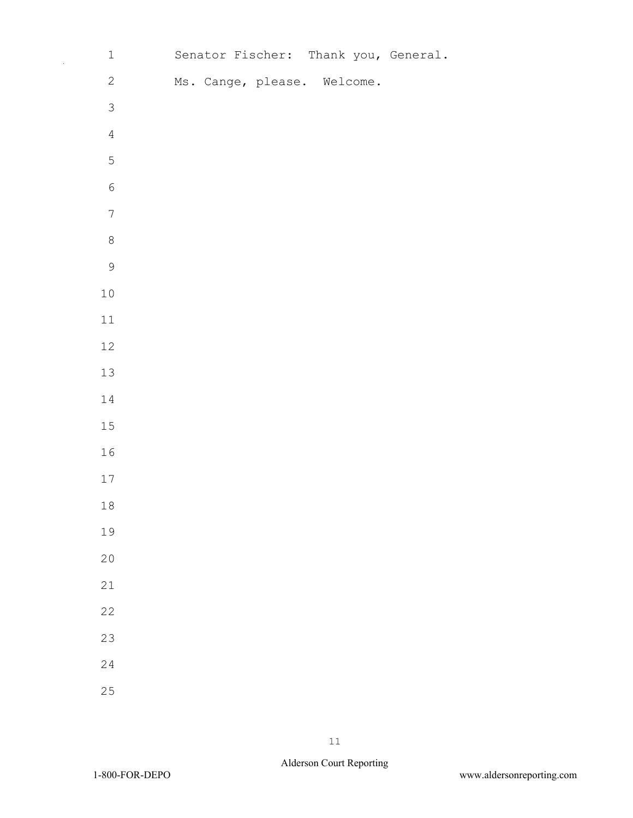| $\mathbbm{1}$    |  | Senator Fischer: Thank you, General. |  |
|------------------|--|--------------------------------------|--|
| $\sqrt{2}$       |  | Ms. Cange, please. Welcome.          |  |
| $\mathfrak{Z}$   |  |                                      |  |
| $\sqrt{4}$       |  |                                      |  |
| 5                |  |                                      |  |
| $\sqrt{6}$       |  |                                      |  |
| $\boldsymbol{7}$ |  |                                      |  |
| $\,8\,$          |  |                                      |  |
| $\mathcal{G}$    |  |                                      |  |
| $1\,0$           |  |                                      |  |
| $11\,$           |  |                                      |  |
| $12\,$           |  |                                      |  |
| $13$             |  |                                      |  |
| $1\,4$           |  |                                      |  |
| $15\,$           |  |                                      |  |
| 16               |  |                                      |  |
| $17\,$           |  |                                      |  |
| $1\,8$           |  |                                      |  |
| 19               |  |                                      |  |
| 20               |  |                                      |  |
| 21               |  |                                      |  |
| 22               |  |                                      |  |
| 23               |  |                                      |  |
| 24               |  |                                      |  |
| 25               |  |                                      |  |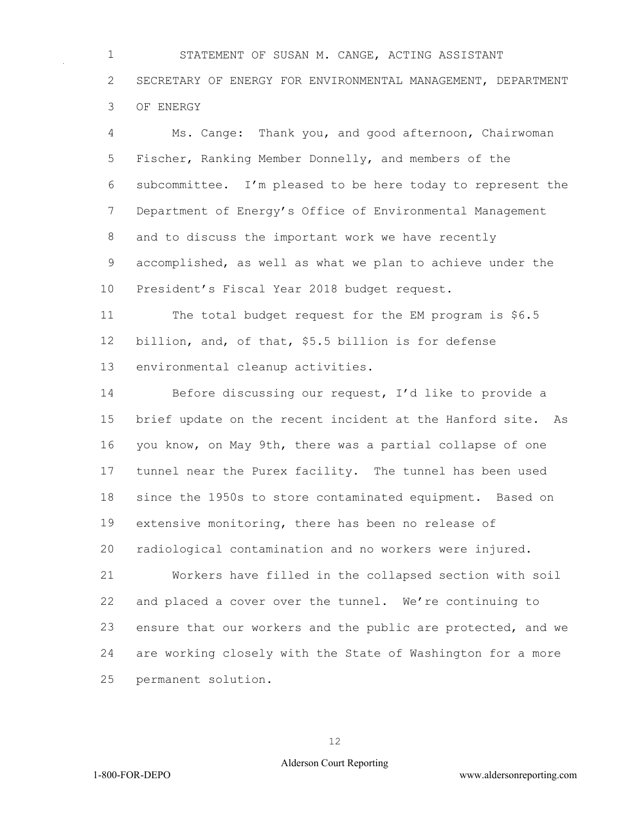STATEMENT OF SUSAN M. CANGE, ACTING ASSISTANT SECRETARY OF ENERGY FOR ENVIRONMENTAL MANAGEMENT, DEPARTMENT OF ENERGY

 Ms. Cange: Thank you, and good afternoon, Chairwoman Fischer, Ranking Member Donnelly, and members of the subcommittee. I'm pleased to be here today to represent the Department of Energy's Office of Environmental Management and to discuss the important work we have recently accomplished, as well as what we plan to achieve under the President's Fiscal Year 2018 budget request.

 The total budget request for the EM program is \$6.5 billion, and, of that, \$5.5 billion is for defense environmental cleanup activities.

 Before discussing our request, I'd like to provide a brief update on the recent incident at the Hanford site. As you know, on May 9th, there was a partial collapse of one tunnel near the Purex facility. The tunnel has been used since the 1950s to store contaminated equipment. Based on extensive monitoring, there has been no release of radiological contamination and no workers were injured.

 Workers have filled in the collapsed section with soil and placed a cover over the tunnel. We're continuing to ensure that our workers and the public are protected, and we are working closely with the State of Washington for a more permanent solution.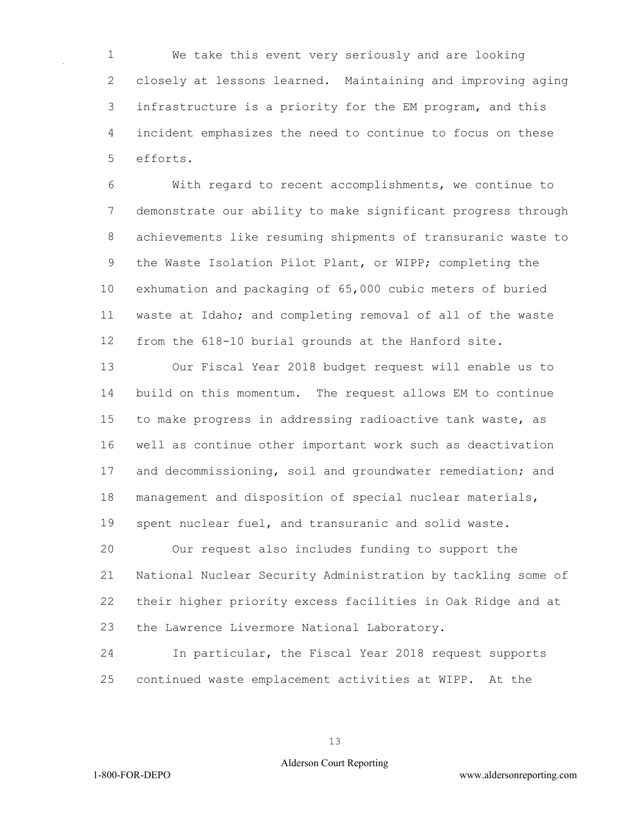We take this event very seriously and are looking closely at lessons learned. Maintaining and improving aging infrastructure is a priority for the EM program, and this incident emphasizes the need to continue to focus on these efforts.

 With regard to recent accomplishments, we continue to demonstrate our ability to make significant progress through achievements like resuming shipments of transuranic waste to the Waste Isolation Pilot Plant, or WIPP; completing the exhumation and packaging of 65,000 cubic meters of buried waste at Idaho; and completing removal of all of the waste from the 618-10 burial grounds at the Hanford site.

 Our Fiscal Year 2018 budget request will enable us to build on this momentum. The request allows EM to continue to make progress in addressing radioactive tank waste, as well as continue other important work such as deactivation and decommissioning, soil and groundwater remediation; and management and disposition of special nuclear materials, spent nuclear fuel, and transuranic and solid waste. Our request also includes funding to support the National Nuclear Security Administration by tackling some of their higher priority excess facilities in Oak Ridge and at

the Lawrence Livermore National Laboratory.

 In particular, the Fiscal Year 2018 request supports continued waste emplacement activities at WIPP. At the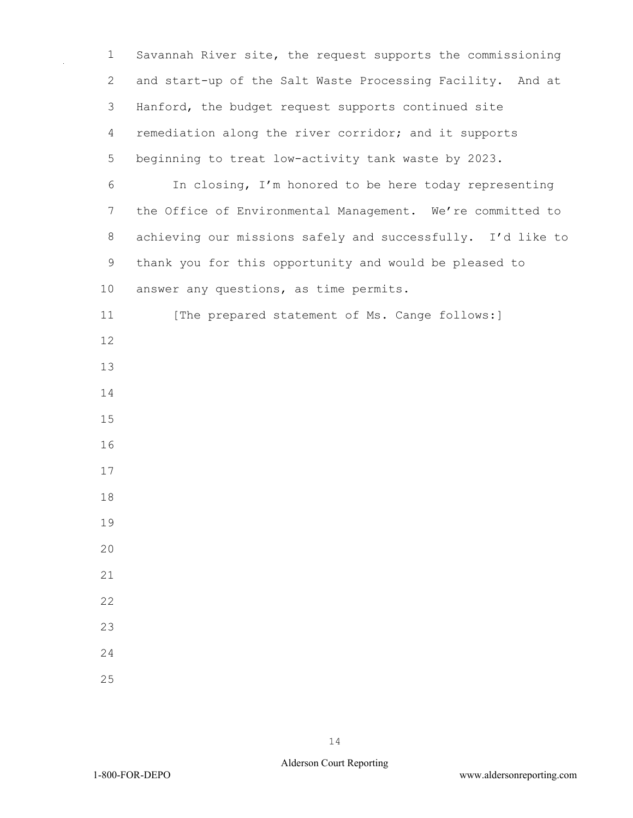Savannah River site, the request supports the commissioning and start-up of the Salt Waste Processing Facility. And at Hanford, the budget request supports continued site remediation along the river corridor; and it supports beginning to treat low-activity tank waste by 2023. In closing, I'm honored to be here today representing the Office of Environmental Management. We're committed to achieving our missions safely and successfully. I'd like to thank you for this opportunity and would be pleased to answer any questions, as time permits. 11 [The prepared statement of Ms. Cange follows:]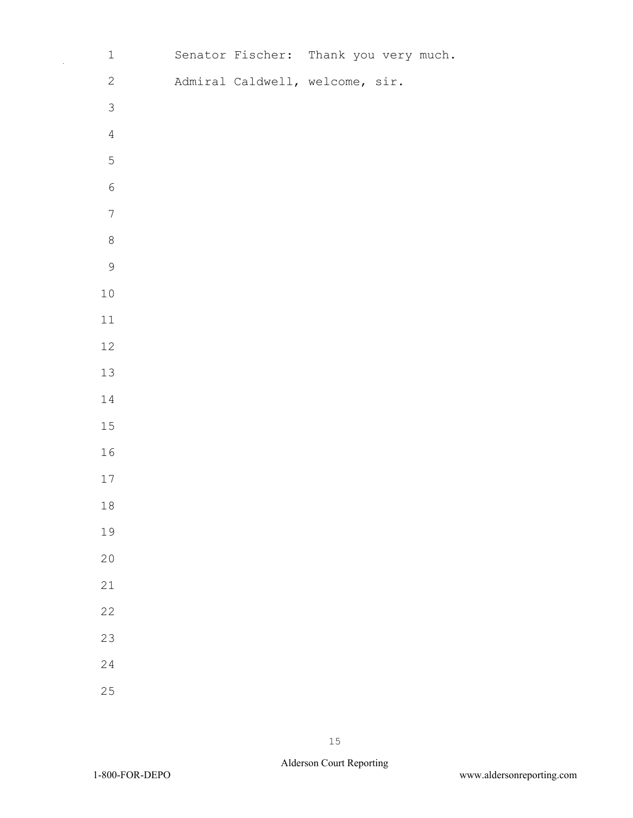|             | $\mathbbm{1}$  | Senator Fischer: Thank you very much. |  |  |
|-------------|----------------|---------------------------------------|--|--|
|             | $\mathbf{2}$   | Admiral Caldwell, welcome, sir.       |  |  |
|             | $\mathfrak{S}$ |                                       |  |  |
|             | $\overline{4}$ |                                       |  |  |
|             | 5              |                                       |  |  |
|             | $\sqrt{6}$     |                                       |  |  |
|             | $\overline{7}$ |                                       |  |  |
|             | $\,8\,$        |                                       |  |  |
|             | 9              |                                       |  |  |
| $10$        |                |                                       |  |  |
| $11\,$      |                |                                       |  |  |
| $12\,$      |                |                                       |  |  |
| $13\,$      |                |                                       |  |  |
| $1\,4$      |                |                                       |  |  |
| $15\,$      |                |                                       |  |  |
| 16          |                |                                       |  |  |
| $17\,$      |                |                                       |  |  |
| $1\,8$      |                |                                       |  |  |
| 19          |                |                                       |  |  |
| 20          |                |                                       |  |  |
| $2\sqrt{1}$ |                |                                       |  |  |
| 22          |                |                                       |  |  |
| 23          |                |                                       |  |  |
| 24          |                |                                       |  |  |
| 25          |                |                                       |  |  |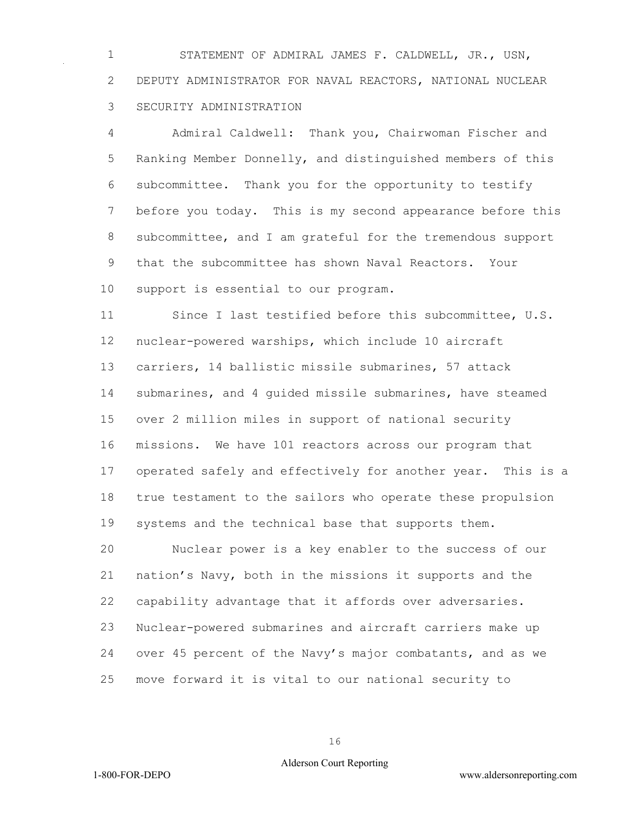STATEMENT OF ADMIRAL JAMES F. CALDWELL, JR., USN, DEPUTY ADMINISTRATOR FOR NAVAL REACTORS, NATIONAL NUCLEAR SECURITY ADMINISTRATION

 Admiral Caldwell: Thank you, Chairwoman Fischer and Ranking Member Donnelly, and distinguished members of this subcommittee. Thank you for the opportunity to testify before you today. This is my second appearance before this subcommittee, and I am grateful for the tremendous support that the subcommittee has shown Naval Reactors. Your support is essential to our program.

 Since I last testified before this subcommittee, U.S. nuclear-powered warships, which include 10 aircraft carriers, 14 ballistic missile submarines, 57 attack submarines, and 4 guided missile submarines, have steamed over 2 million miles in support of national security missions. We have 101 reactors across our program that operated safely and effectively for another year. This is a true testament to the sailors who operate these propulsion systems and the technical base that supports them.

 Nuclear power is a key enabler to the success of our nation's Navy, both in the missions it supports and the capability advantage that it affords over adversaries. Nuclear-powered submarines and aircraft carriers make up over 45 percent of the Navy's major combatants, and as we move forward it is vital to our national security to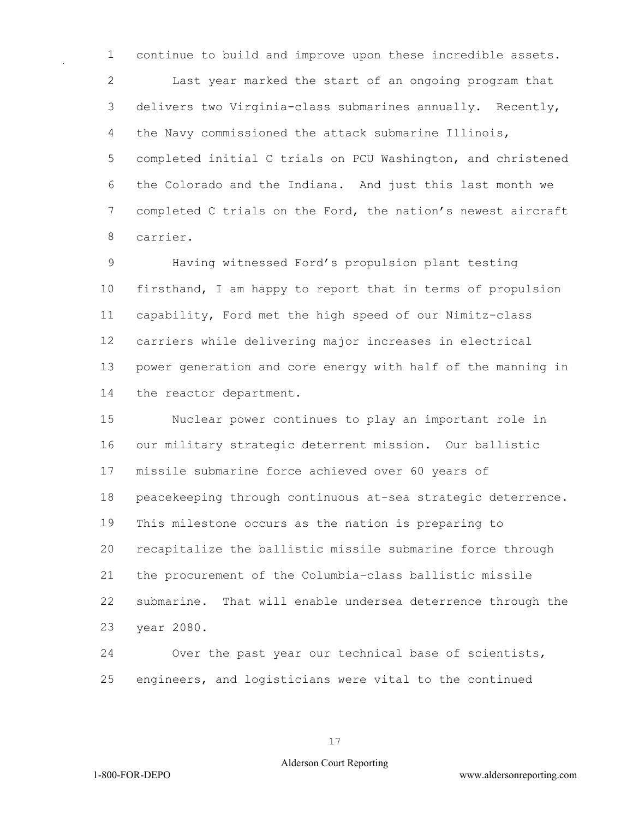continue to build and improve upon these incredible assets. Last year marked the start of an ongoing program that delivers two Virginia-class submarines annually. Recently, the Navy commissioned the attack submarine Illinois, completed initial C trials on PCU Washington, and christened the Colorado and the Indiana. And just this last month we completed C trials on the Ford, the nation's newest aircraft carrier.

 Having witnessed Ford's propulsion plant testing firsthand, I am happy to report that in terms of propulsion capability, Ford met the high speed of our Nimitz-class carriers while delivering major increases in electrical power generation and core energy with half of the manning in the reactor department.

 Nuclear power continues to play an important role in our military strategic deterrent mission. Our ballistic missile submarine force achieved over 60 years of peacekeeping through continuous at-sea strategic deterrence. This milestone occurs as the nation is preparing to recapitalize the ballistic missile submarine force through the procurement of the Columbia-class ballistic missile submarine. That will enable undersea deterrence through the year 2080.

 Over the past year our technical base of scientists, engineers, and logisticians were vital to the continued

### Alderson Court Reporting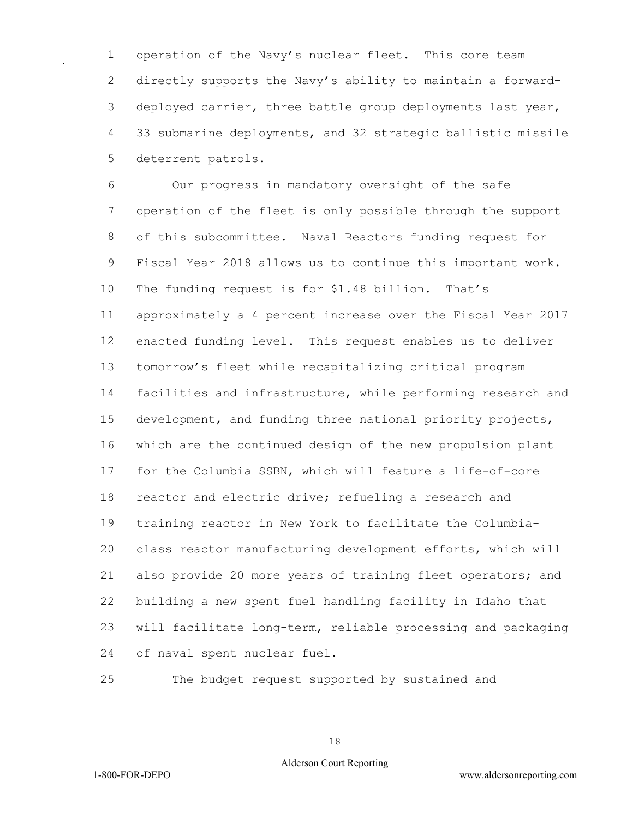operation of the Navy's nuclear fleet. This core team directly supports the Navy's ability to maintain a forward- deployed carrier, three battle group deployments last year, 33 submarine deployments, and 32 strategic ballistic missile deterrent patrols.

 Our progress in mandatory oversight of the safe operation of the fleet is only possible through the support of this subcommittee. Naval Reactors funding request for Fiscal Year 2018 allows us to continue this important work. The funding request is for \$1.48 billion. That's approximately a 4 percent increase over the Fiscal Year 2017 enacted funding level. This request enables us to deliver tomorrow's fleet while recapitalizing critical program facilities and infrastructure, while performing research and development, and funding three national priority projects, which are the continued design of the new propulsion plant for the Columbia SSBN, which will feature a life-of-core reactor and electric drive; refueling a research and training reactor in New York to facilitate the Columbia- class reactor manufacturing development efforts, which will also provide 20 more years of training fleet operators; and building a new spent fuel handling facility in Idaho that will facilitate long-term, reliable processing and packaging of naval spent nuclear fuel.

The budget request supported by sustained and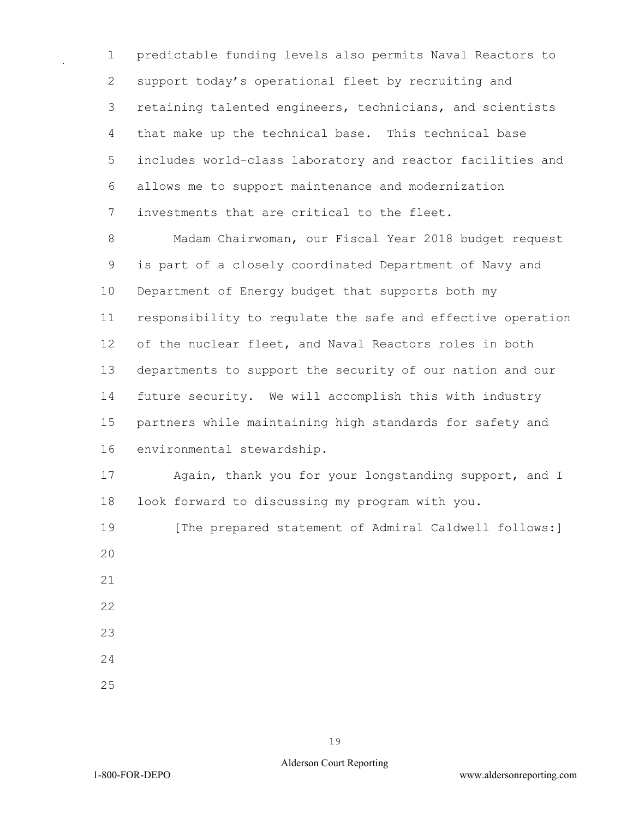1 predictable funding levels also permits Naval Reactors to 2 support today's operational fleet by recruiting and 3 retaining talented engineers, technicians, and scientists 4 that make up the technical base. This technical base 5 includes world-class laboratory and reactor facilities and 6 allows me to support maintenance and modernization 7 investments that are critical to the fleet.

8 Madam Chairwoman, our Fiscal Year 2018 budget request 9 is part of a closely coordinated Department of Navy and 10 Department of Energy budget that supports both my 11 responsibility to regulate the safe and effective operation 12 of the nuclear fleet, and Naval Reactors roles in both 13 departments to support the security of our nation and our 14 future security. We will accomplish this with industry 15 partners while maintaining high standards for safety and 16 environmental stewardship.

17 Again, thank you for your longstanding support, and I 18 look forward to discussing my program with you.

19 [The prepared statement of Admiral Caldwell follows:]  $20$ 21

- 
- 22
- 23
- 24
- 25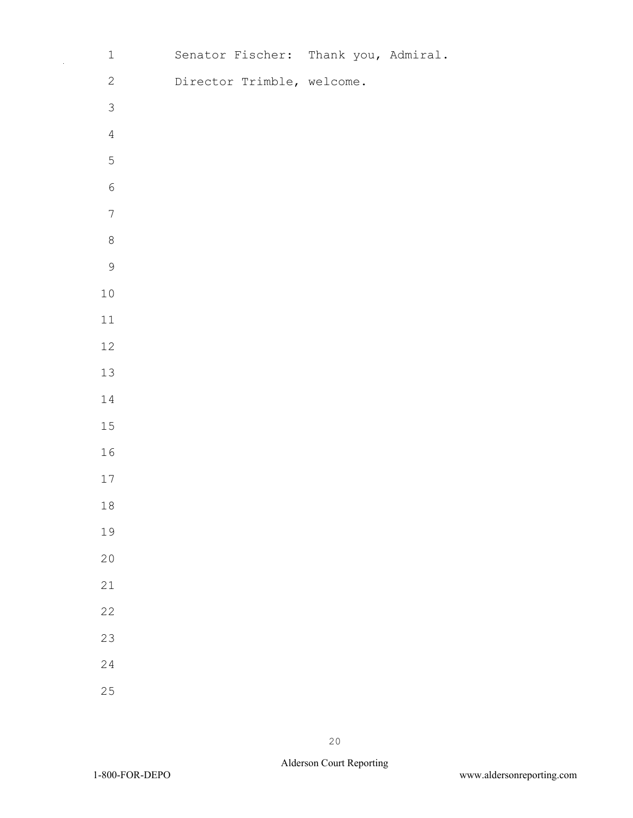| $\mathbf 1$      | Senator Fischer: Thank you, Admiral. |  |  |
|------------------|--------------------------------------|--|--|
| $\mathbf{2}$     | Director Trimble, welcome.           |  |  |
| $\mathcal{S}$    |                                      |  |  |
| $\sqrt{4}$       |                                      |  |  |
| $\overline{5}$   |                                      |  |  |
| $\sqrt{6}$       |                                      |  |  |
| $\boldsymbol{7}$ |                                      |  |  |
| $\,8\,$          |                                      |  |  |
| $\mathcal{G}$    |                                      |  |  |
| 10               |                                      |  |  |
| 11               |                                      |  |  |
| 12               |                                      |  |  |
| 13               |                                      |  |  |
| 14               |                                      |  |  |
| 15               |                                      |  |  |
| 16               |                                      |  |  |
| 17               |                                      |  |  |
| $1\,8$           |                                      |  |  |
| 19               |                                      |  |  |
| 20               |                                      |  |  |
| 21               |                                      |  |  |
| 22               |                                      |  |  |
| 23               |                                      |  |  |
| 24               |                                      |  |  |
| 25               |                                      |  |  |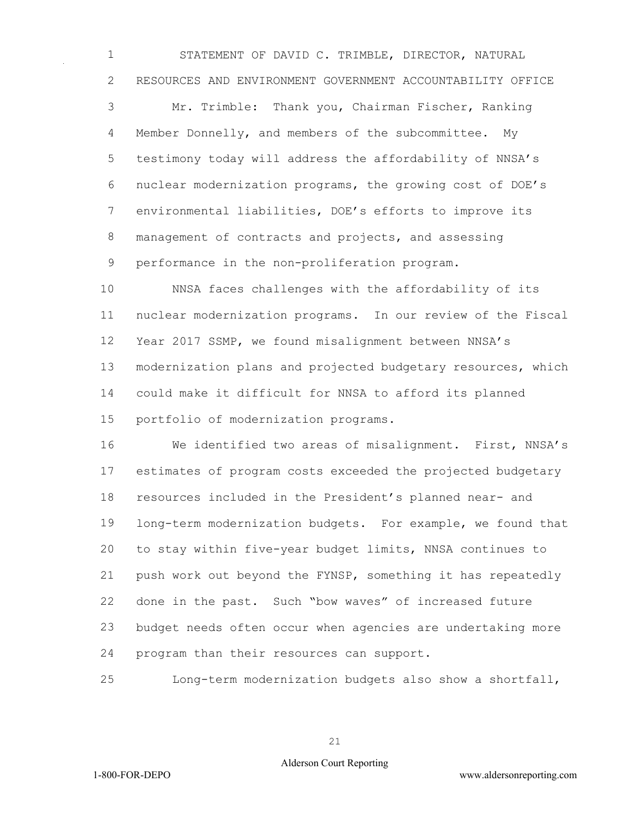STATEMENT OF DAVID C. TRIMBLE, DIRECTOR, NATURAL RESOURCES AND ENVIRONMENT GOVERNMENT ACCOUNTABILITY OFFICE Mr. Trimble: Thank you, Chairman Fischer, Ranking Member Donnelly, and members of the subcommittee. My testimony today will address the affordability of NNSA's

 nuclear modernization programs, the growing cost of DOE's environmental liabilities, DOE's efforts to improve its management of contracts and projects, and assessing performance in the non-proliferation program.

 NNSA faces challenges with the affordability of its nuclear modernization programs. In our review of the Fiscal Year 2017 SSMP, we found misalignment between NNSA's modernization plans and projected budgetary resources, which could make it difficult for NNSA to afford its planned portfolio of modernization programs.

 We identified two areas of misalignment. First, NNSA's estimates of program costs exceeded the projected budgetary resources included in the President's planned near- and long-term modernization budgets. For example, we found that to stay within five-year budget limits, NNSA continues to push work out beyond the FYNSP, something it has repeatedly done in the past. Such "bow waves" of increased future budget needs often occur when agencies are undertaking more program than their resources can support.

Long-term modernization budgets also show a shortfall,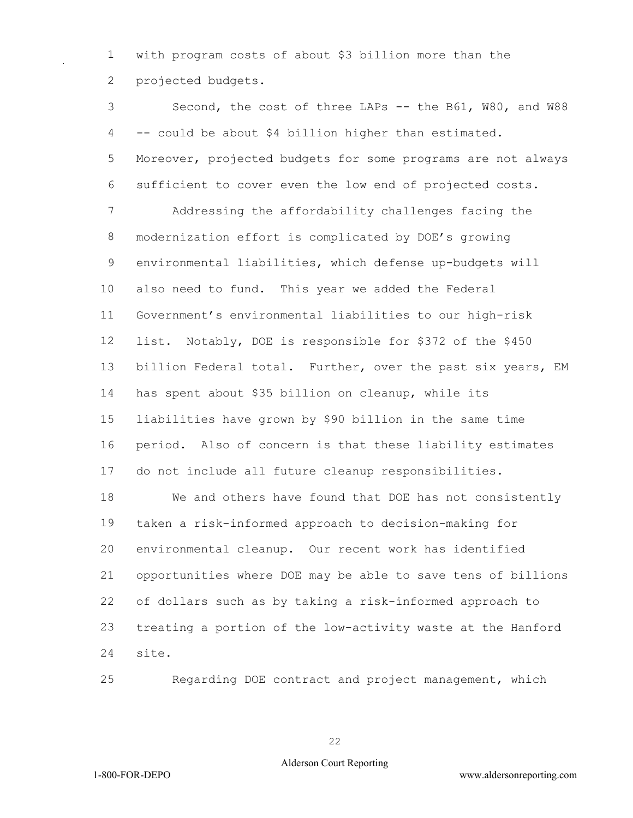with program costs of about \$3 billion more than the projected budgets.

 Second, the cost of three LAPs -- the B61, W80, and W88 -- could be about \$4 billion higher than estimated. Moreover, projected budgets for some programs are not always sufficient to cover even the low end of projected costs. Addressing the affordability challenges facing the modernization effort is complicated by DOE's growing environmental liabilities, which defense up-budgets will also need to fund. This year we added the Federal Government's environmental liabilities to our high-risk list. Notably, DOE is responsible for \$372 of the \$450 billion Federal total. Further, over the past six years, EM has spent about \$35 billion on cleanup, while its liabilities have grown by \$90 billion in the same time period. Also of concern is that these liability estimates do not include all future cleanup responsibilities. We and others have found that DOE has not consistently taken a risk-informed approach to decision-making for environmental cleanup. Our recent work has identified opportunities where DOE may be able to save tens of billions of dollars such as by taking a risk-informed approach to treating a portion of the low-activity waste at the Hanford site.

Regarding DOE contract and project management, which

### Alderson Court Reporting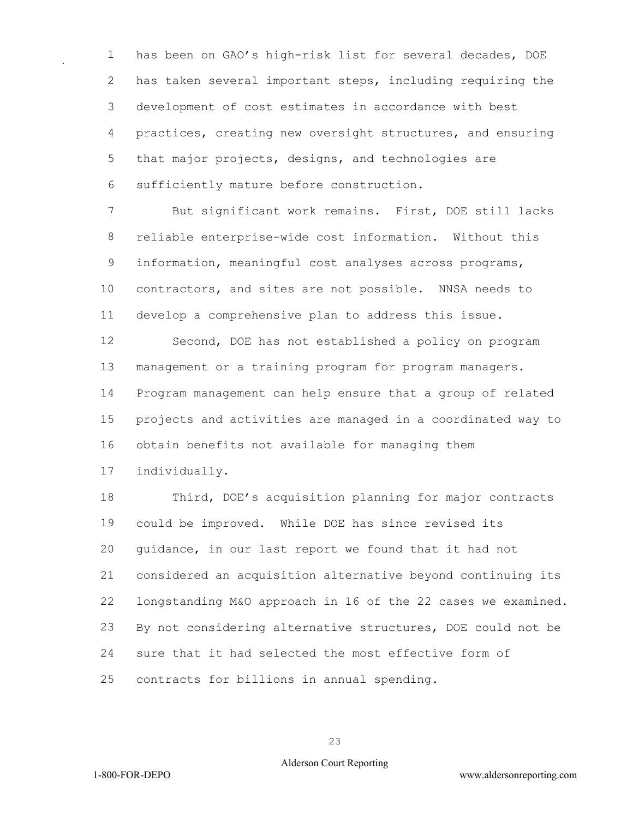has been on GAO's high-risk list for several decades, DOE has taken several important steps, including requiring the development of cost estimates in accordance with best practices, creating new oversight structures, and ensuring that major projects, designs, and technologies are sufficiently mature before construction.

 But significant work remains. First, DOE still lacks reliable enterprise-wide cost information. Without this information, meaningful cost analyses across programs, contractors, and sites are not possible. NNSA needs to develop a comprehensive plan to address this issue.

 Second, DOE has not established a policy on program management or a training program for program managers. Program management can help ensure that a group of related projects and activities are managed in a coordinated way to obtain benefits not available for managing them

individually.

 Third, DOE's acquisition planning for major contracts could be improved. While DOE has since revised its guidance, in our last report we found that it had not considered an acquisition alternative beyond continuing its longstanding M&O approach in 16 of the 22 cases we examined. By not considering alternative structures, DOE could not be sure that it had selected the most effective form of contracts for billions in annual spending.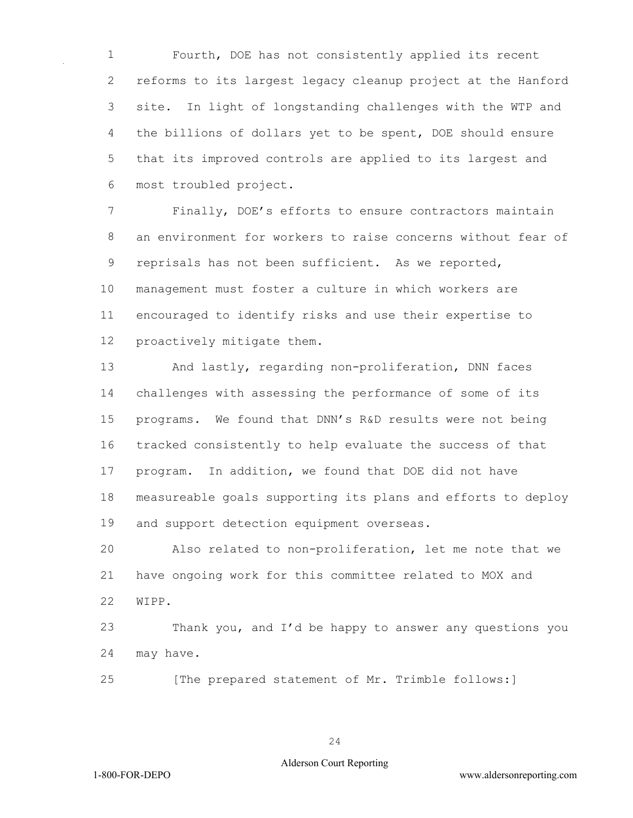Fourth, DOE has not consistently applied its recent reforms to its largest legacy cleanup project at the Hanford site. In light of longstanding challenges with the WTP and the billions of dollars yet to be spent, DOE should ensure that its improved controls are applied to its largest and most troubled project.

 Finally, DOE's efforts to ensure contractors maintain an environment for workers to raise concerns without fear of reprisals has not been sufficient. As we reported, management must foster a culture in which workers are encouraged to identify risks and use their expertise to proactively mitigate them.

 And lastly, regarding non-proliferation, DNN faces challenges with assessing the performance of some of its programs. We found that DNN's R&D results were not being tracked consistently to help evaluate the success of that program. In addition, we found that DOE did not have measureable goals supporting its plans and efforts to deploy and support detection equipment overseas.

 Also related to non-proliferation, let me note that we have ongoing work for this committee related to MOX and WIPP.

 Thank you, and I'd be happy to answer any questions you may have.

[The prepared statement of Mr. Trimble follows:]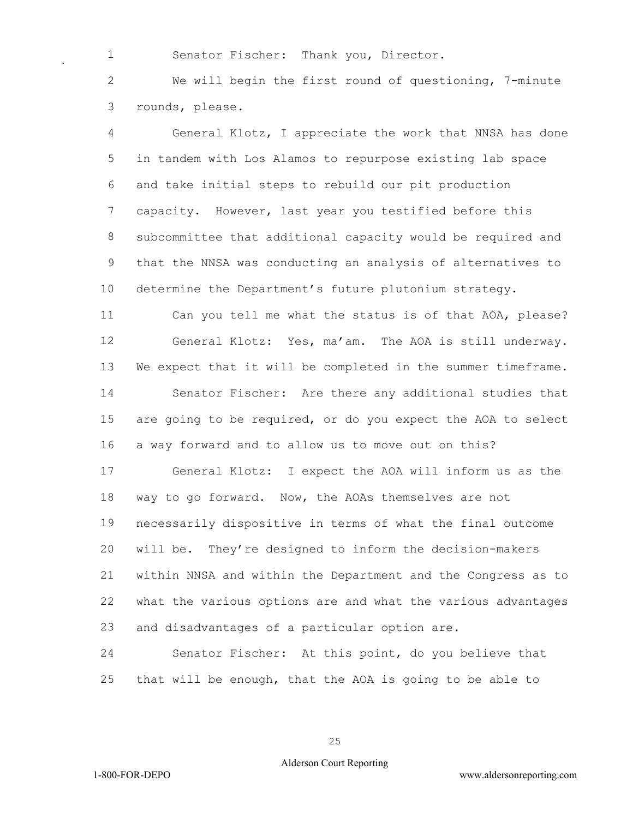Senator Fischer: Thank you, Director.

 We will begin the first round of questioning, 7-minute rounds, please.

 General Klotz, I appreciate the work that NNSA has done in tandem with Los Alamos to repurpose existing lab space and take initial steps to rebuild our pit production capacity. However, last year you testified before this subcommittee that additional capacity would be required and that the NNSA was conducting an analysis of alternatives to determine the Department's future plutonium strategy.

 Can you tell me what the status is of that AOA, please? General Klotz: Yes, ma'am. The AOA is still underway. We expect that it will be completed in the summer timeframe. Senator Fischer: Are there any additional studies that are going to be required, or do you expect the AOA to select a way forward and to allow us to move out on this?

 General Klotz: I expect the AOA will inform us as the way to go forward. Now, the AOAs themselves are not necessarily dispositive in terms of what the final outcome will be. They're designed to inform the decision-makers within NNSA and within the Department and the Congress as to what the various options are and what the various advantages and disadvantages of a particular option are.

 Senator Fischer: At this point, do you believe that that will be enough, that the AOA is going to be able to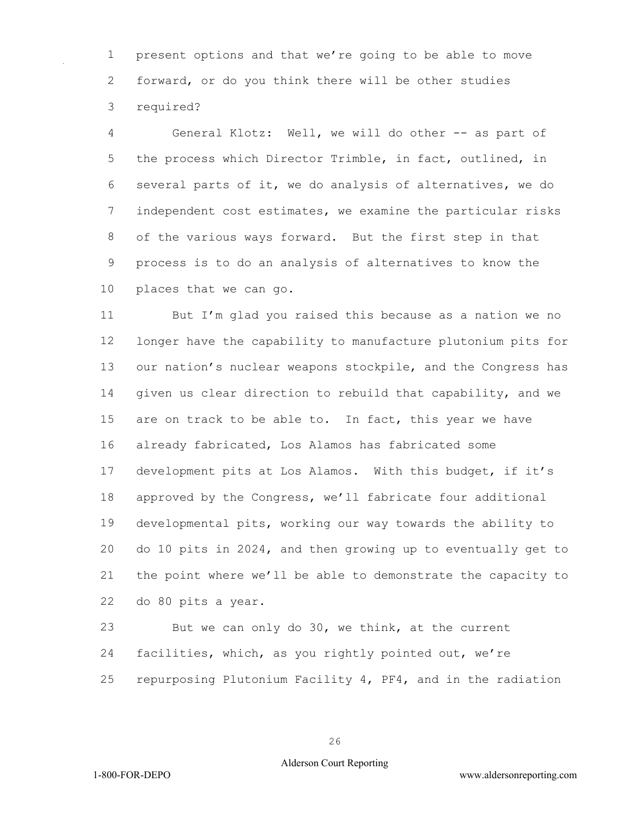present options and that we're going to be able to move forward, or do you think there will be other studies required?

 General Klotz: Well, we will do other -- as part of the process which Director Trimble, in fact, outlined, in several parts of it, we do analysis of alternatives, we do independent cost estimates, we examine the particular risks of the various ways forward. But the first step in that process is to do an analysis of alternatives to know the places that we can go.

 But I'm glad you raised this because as a nation we no longer have the capability to manufacture plutonium pits for our nation's nuclear weapons stockpile, and the Congress has given us clear direction to rebuild that capability, and we are on track to be able to. In fact, this year we have already fabricated, Los Alamos has fabricated some development pits at Los Alamos. With this budget, if it's approved by the Congress, we'll fabricate four additional developmental pits, working our way towards the ability to do 10 pits in 2024, and then growing up to eventually get to the point where we'll be able to demonstrate the capacity to do 80 pits a year.

 But we can only do 30, we think, at the current facilities, which, as you rightly pointed out, we're repurposing Plutonium Facility 4, PF4, and in the radiation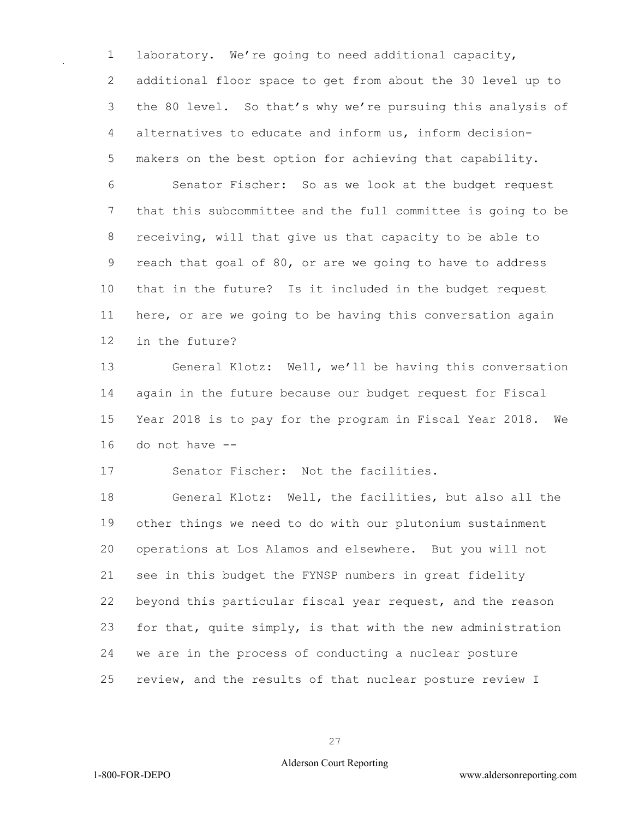laboratory. We're going to need additional capacity, additional floor space to get from about the 30 level up to the 80 level. So that's why we're pursuing this analysis of alternatives to educate and inform us, inform decision- makers on the best option for achieving that capability. Senator Fischer: So as we look at the budget request that this subcommittee and the full committee is going to be receiving, will that give us that capacity to be able to reach that goal of 80, or are we going to have to address that in the future? Is it included in the budget request here, or are we going to be having this conversation again

in the future?

 General Klotz: Well, we'll be having this conversation again in the future because our budget request for Fiscal Year 2018 is to pay for the program in Fiscal Year 2018. We do not have --

Senator Fischer: Not the facilities.

 General Klotz: Well, the facilities, but also all the other things we need to do with our plutonium sustainment operations at Los Alamos and elsewhere. But you will not see in this budget the FYNSP numbers in great fidelity beyond this particular fiscal year request, and the reason for that, quite simply, is that with the new administration we are in the process of conducting a nuclear posture review, and the results of that nuclear posture review I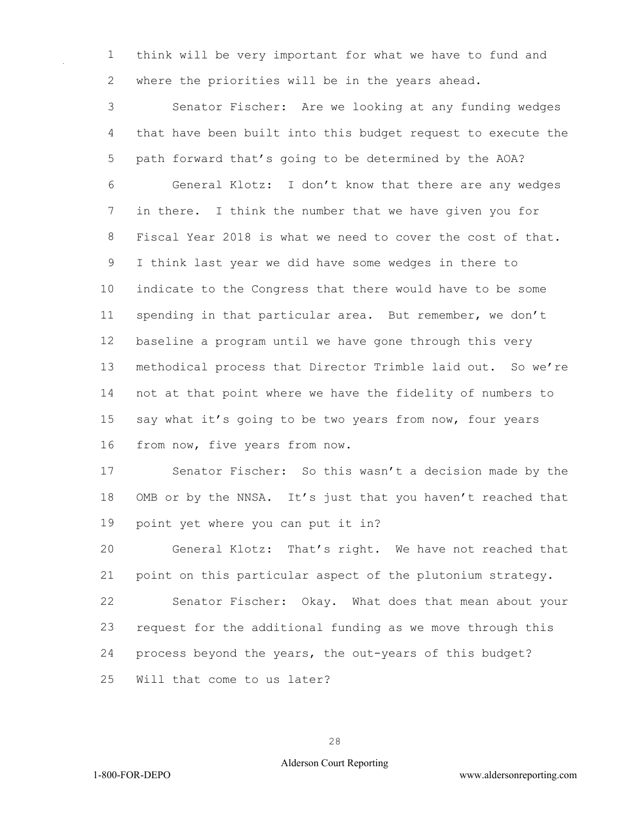think will be very important for what we have to fund and where the priorities will be in the years ahead.

 Senator Fischer: Are we looking at any funding wedges that have been built into this budget request to execute the path forward that's going to be determined by the AOA? General Klotz: I don't know that there are any wedges in there. I think the number that we have given you for Fiscal Year 2018 is what we need to cover the cost of that. I think last year we did have some wedges in there to indicate to the Congress that there would have to be some spending in that particular area. But remember, we don't baseline a program until we have gone through this very methodical process that Director Trimble laid out. So we're not at that point where we have the fidelity of numbers to say what it's going to be two years from now, four years from now, five years from now.

 Senator Fischer: So this wasn't a decision made by the OMB or by the NNSA. It's just that you haven't reached that point yet where you can put it in?

 General Klotz: That's right. We have not reached that point on this particular aspect of the plutonium strategy.

 Senator Fischer: Okay. What does that mean about your request for the additional funding as we move through this process beyond the years, the out-years of this budget?

Will that come to us later?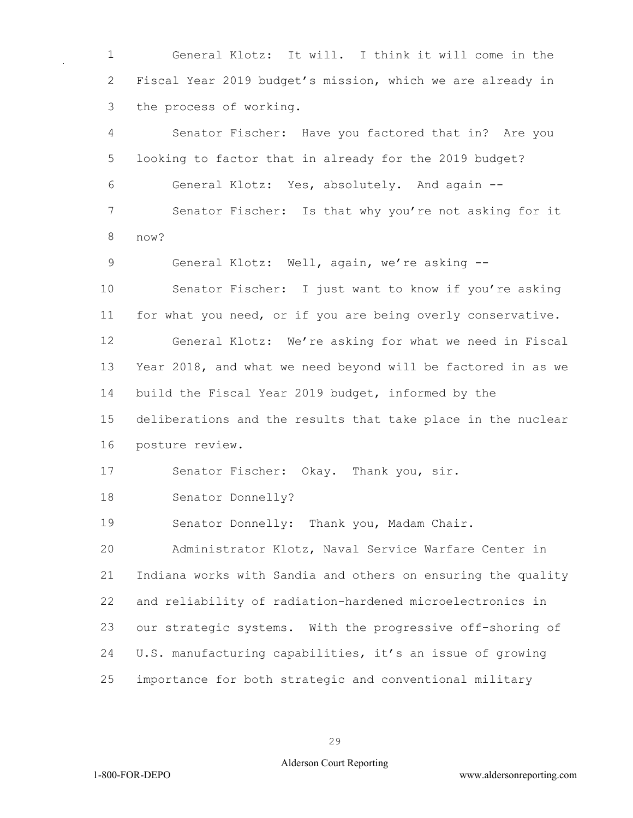General Klotz: It will. I think it will come in the Fiscal Year 2019 budget's mission, which we are already in the process of working.

 Senator Fischer: Have you factored that in? Are you looking to factor that in already for the 2019 budget? General Klotz: Yes, absolutely. And again -- Senator Fischer: Is that why you're not asking for it now?

9 General Klotz: Well, again, we're asking --

 Senator Fischer: I just want to know if you're asking for what you need, or if you are being overly conservative.

 General Klotz: We're asking for what we need in Fiscal Year 2018, and what we need beyond will be factored in as we build the Fiscal Year 2019 budget, informed by the

 deliberations and the results that take place in the nuclear posture review.

Senator Fischer: Okay. Thank you, sir.

Senator Donnelly?

Senator Donnelly: Thank you, Madam Chair.

 Administrator Klotz, Naval Service Warfare Center in Indiana works with Sandia and others on ensuring the quality and reliability of radiation-hardened microelectronics in our strategic systems. With the progressive off-shoring of U.S. manufacturing capabilities, it's an issue of growing importance for both strategic and conventional military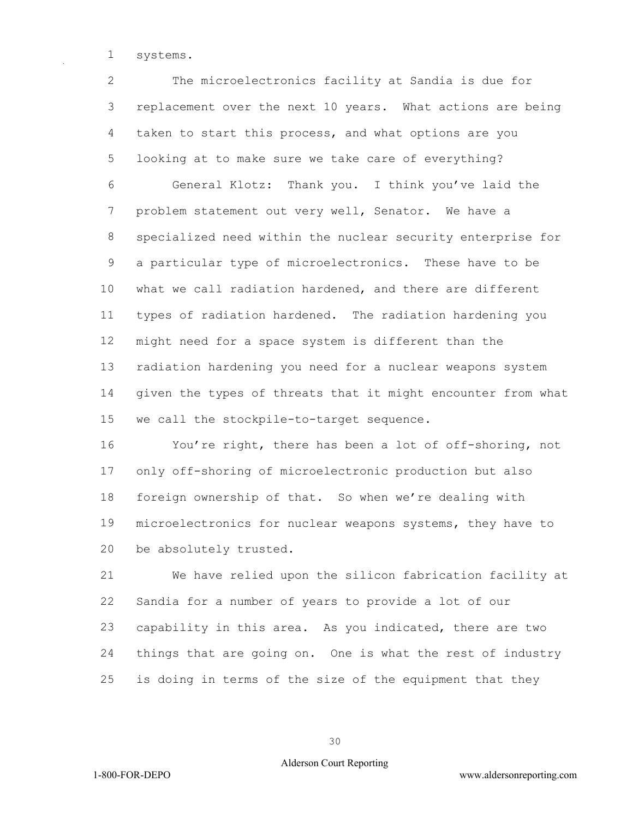systems.

 The microelectronics facility at Sandia is due for replacement over the next 10 years. What actions are being taken to start this process, and what options are you looking at to make sure we take care of everything? General Klotz: Thank you. I think you've laid the problem statement out very well, Senator. We have a specialized need within the nuclear security enterprise for a particular type of microelectronics. These have to be what we call radiation hardened, and there are different types of radiation hardened. The radiation hardening you might need for a space system is different than the radiation hardening you need for a nuclear weapons system given the types of threats that it might encounter from what we call the stockpile-to-target sequence.

 You're right, there has been a lot of off-shoring, not only off-shoring of microelectronic production but also foreign ownership of that. So when we're dealing with microelectronics for nuclear weapons systems, they have to be absolutely trusted.

 We have relied upon the silicon fabrication facility at Sandia for a number of years to provide a lot of our capability in this area. As you indicated, there are two things that are going on. One is what the rest of industry is doing in terms of the size of the equipment that they

### Alderson Court Reporting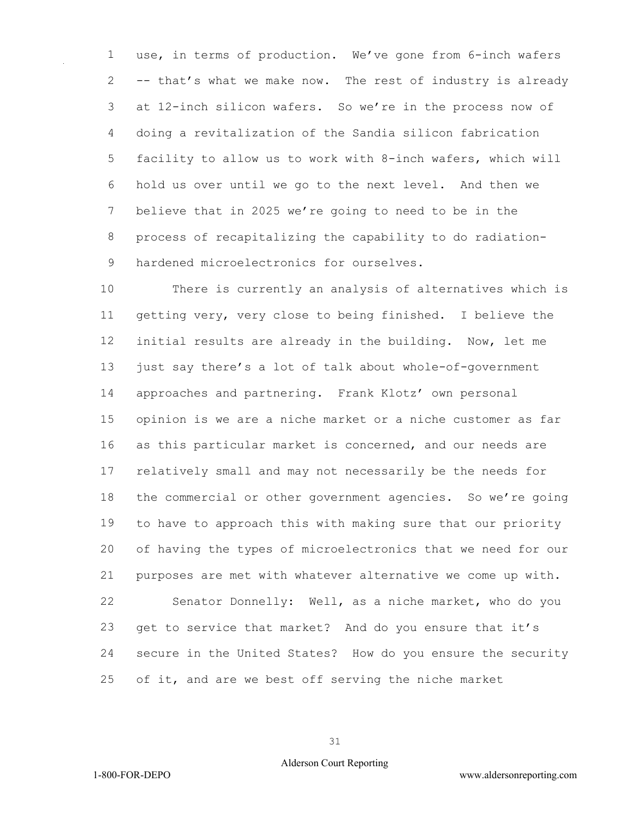use, in terms of production. We've gone from 6-inch wafers -- that's what we make now. The rest of industry is already at 12-inch silicon wafers. So we're in the process now of doing a revitalization of the Sandia silicon fabrication facility to allow us to work with 8-inch wafers, which will hold us over until we go to the next level. And then we believe that in 2025 we're going to need to be in the process of recapitalizing the capability to do radiation-9 hardened microelectronics for ourselves.

 There is currently an analysis of alternatives which is getting very, very close to being finished. I believe the initial results are already in the building. Now, let me just say there's a lot of talk about whole-of-government approaches and partnering. Frank Klotz' own personal opinion is we are a niche market or a niche customer as far as this particular market is concerned, and our needs are relatively small and may not necessarily be the needs for the commercial or other government agencies. So we're going to have to approach this with making sure that our priority of having the types of microelectronics that we need for our purposes are met with whatever alternative we come up with. Senator Donnelly: Well, as a niche market, who do you get to service that market? And do you ensure that it's secure in the United States? How do you ensure the security of it, and are we best off serving the niche market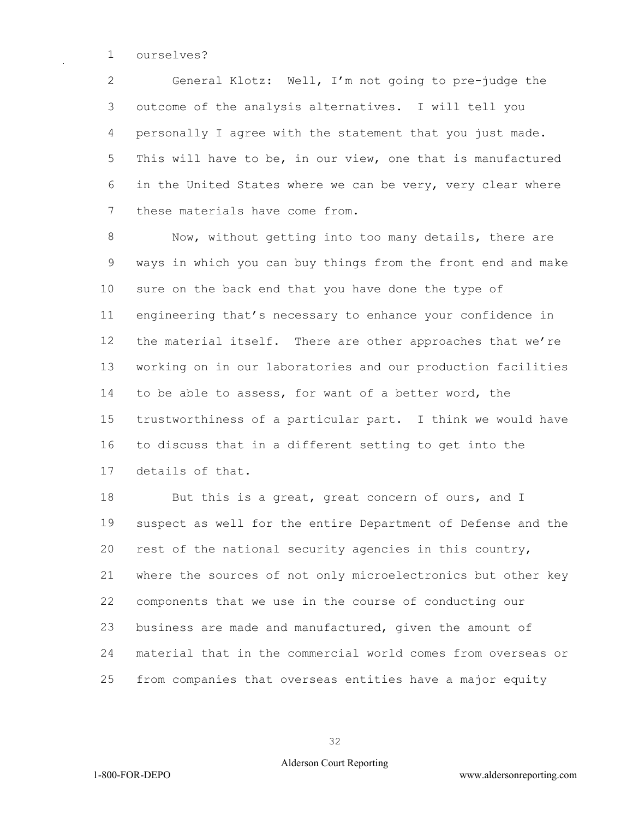ourselves?

 General Klotz: Well, I'm not going to pre-judge the outcome of the analysis alternatives. I will tell you personally I agree with the statement that you just made. This will have to be, in our view, one that is manufactured in the United States where we can be very, very clear where these materials have come from.

 Now, without getting into too many details, there are ways in which you can buy things from the front end and make sure on the back end that you have done the type of engineering that's necessary to enhance your confidence in 12 the material itself. There are other approaches that we're working on in our laboratories and our production facilities to be able to assess, for want of a better word, the trustworthiness of a particular part. I think we would have to discuss that in a different setting to get into the details of that.

18 But this is a great, great concern of ours, and I suspect as well for the entire Department of Defense and the rest of the national security agencies in this country, where the sources of not only microelectronics but other key components that we use in the course of conducting our business are made and manufactured, given the amount of material that in the commercial world comes from overseas or from companies that overseas entities have a major equity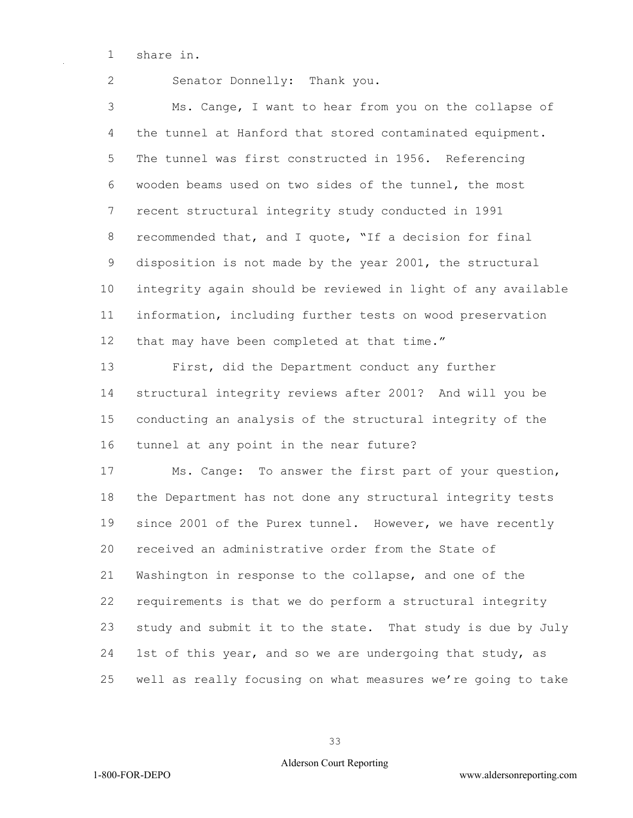share in.

Senator Donnelly: Thank you.

 Ms. Cange, I want to hear from you on the collapse of the tunnel at Hanford that stored contaminated equipment. The tunnel was first constructed in 1956. Referencing wooden beams used on two sides of the tunnel, the most recent structural integrity study conducted in 1991 recommended that, and I quote, "If a decision for final disposition is not made by the year 2001, the structural integrity again should be reviewed in light of any available information, including further tests on wood preservation that may have been completed at that time."

 First, did the Department conduct any further structural integrity reviews after 2001? And will you be conducting an analysis of the structural integrity of the tunnel at any point in the near future?

 Ms. Cange: To answer the first part of your question, the Department has not done any structural integrity tests since 2001 of the Purex tunnel. However, we have recently received an administrative order from the State of Washington in response to the collapse, and one of the requirements is that we do perform a structural integrity study and submit it to the state. That study is due by July 1st of this year, and so we are undergoing that study, as well as really focusing on what measures we're going to take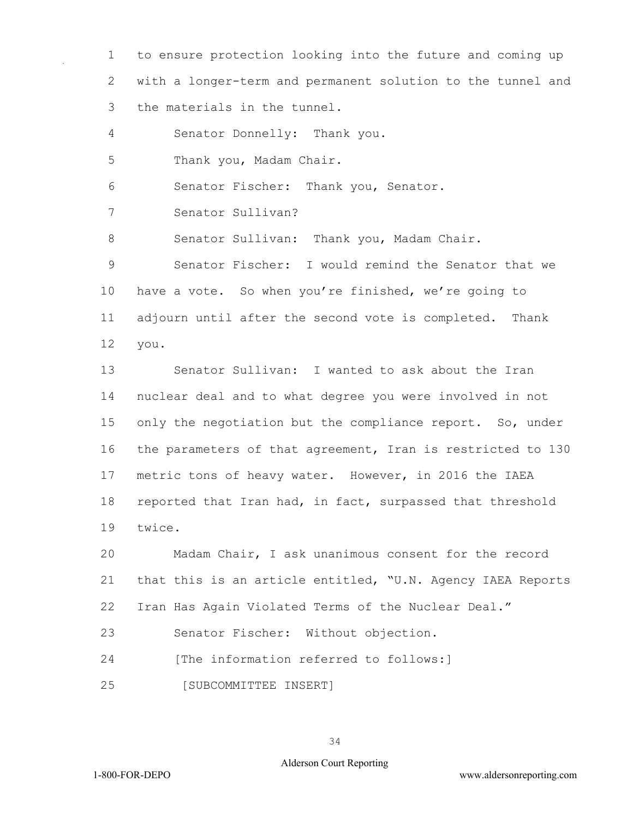1 to ensure protection looking into the future and coming up 2 with a longer-term and permanent solution to the tunnel and 3 the materials in the tunnel.

4 Senator Donnelly: Thank you.

5 Thank you, Madam Chair.

6 Senator Fischer: Thank you, Senator.

7 Senator Sullivan?

8 Senator Sullivan: Thank you, Madam Chair.

9 Senator Fischer: I would remind the Senator that we 10 have a vote. So when you're finished, we're going to 11 adjourn until after the second vote is completed. Thank 12 you.

13 Senator Sullivan: I wanted to ask about the Iran 14 nuclear deal and to what degree you were involved in not 15 only the negotiation but the compliance report. So, under 16 the parameters of that agreement, Iran is restricted to 130 17 metric tons of heavy water. However, in 2016 the IAEA 18 reported that Iran had, in fact, surpassed that threshold 19 twice.

20 Madam Chair, I ask unanimous consent for the record 21 that this is an article entitled, "U.N. Agency IAEA Reports 22 Iran Has Again Violated Terms of the Nuclear Deal."

23 Senator Fischer: Without objection.

24 [The information referred to follows:]

25 [SUBCOMMITTEE INSERT]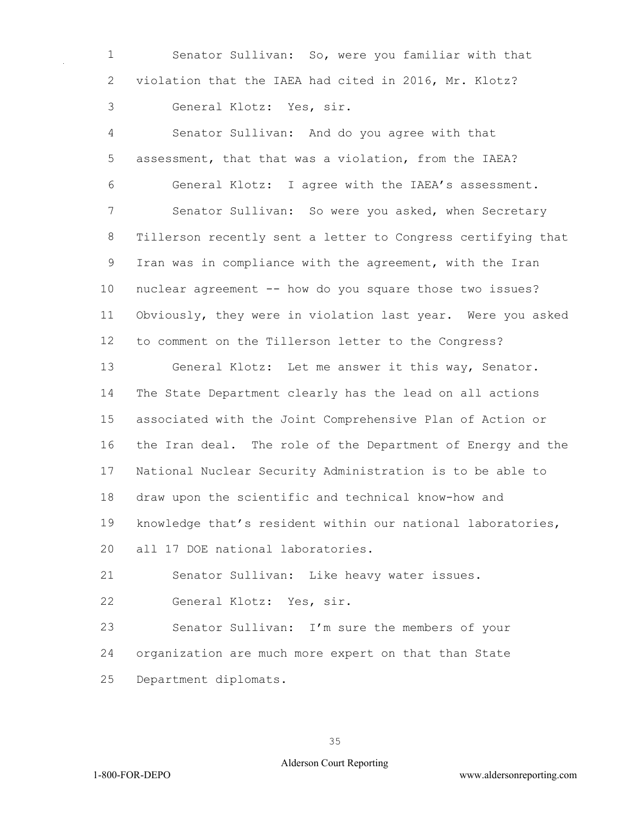Senator Sullivan: So, were you familiar with that violation that the IAEA had cited in 2016, Mr. Klotz? General Klotz: Yes, sir.

 Senator Sullivan: And do you agree with that assessment, that that was a violation, from the IAEA? General Klotz: I agree with the IAEA's assessment. Senator Sullivan: So were you asked, when Secretary Tillerson recently sent a letter to Congress certifying that Iran was in compliance with the agreement, with the Iran nuclear agreement -- how do you square those two issues? Obviously, they were in violation last year. Were you asked to comment on the Tillerson letter to the Congress? General Klotz: Let me answer it this way, Senator. The State Department clearly has the lead on all actions associated with the Joint Comprehensive Plan of Action or the Iran deal. The role of the Department of Energy and the National Nuclear Security Administration is to be able to draw upon the scientific and technical know-how and knowledge that's resident within our national laboratories, all 17 DOE national laboratories. Senator Sullivan: Like heavy water issues. General Klotz: Yes, sir. Senator Sullivan: I'm sure the members of your

 organization are much more expert on that than State Department diplomats.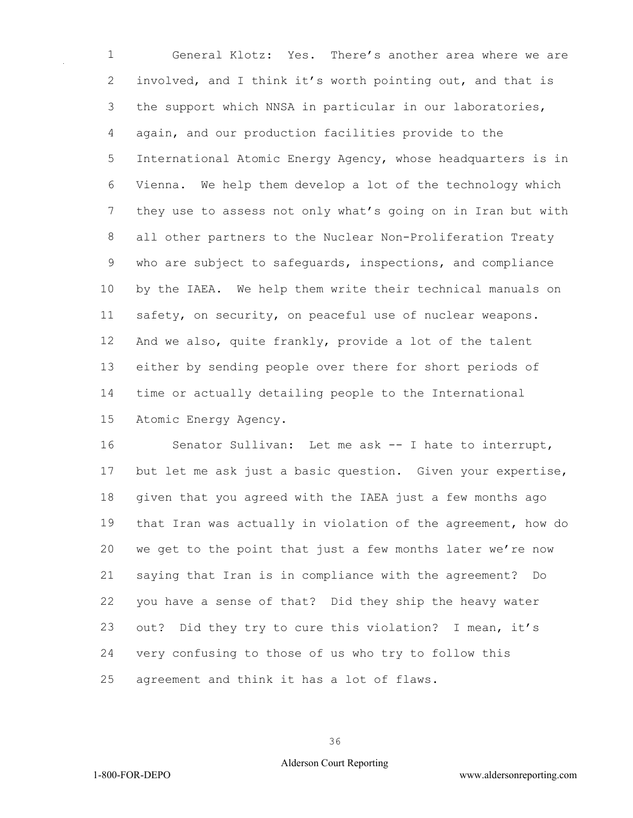General Klotz: Yes. There's another area where we are involved, and I think it's worth pointing out, and that is the support which NNSA in particular in our laboratories, again, and our production facilities provide to the International Atomic Energy Agency, whose headquarters is in Vienna. We help them develop a lot of the technology which they use to assess not only what's going on in Iran but with all other partners to the Nuclear Non-Proliferation Treaty who are subject to safeguards, inspections, and compliance by the IAEA. We help them write their technical manuals on safety, on security, on peaceful use of nuclear weapons. And we also, quite frankly, provide a lot of the talent either by sending people over there for short periods of time or actually detailing people to the International Atomic Energy Agency.

 Senator Sullivan: Let me ask -- I hate to interrupt, but let me ask just a basic question. Given your expertise, given that you agreed with the IAEA just a few months ago that Iran was actually in violation of the agreement, how do we get to the point that just a few months later we're now saying that Iran is in compliance with the agreement? Do you have a sense of that? Did they ship the heavy water out? Did they try to cure this violation? I mean, it's very confusing to those of us who try to follow this agreement and think it has a lot of flaws.

#### Alderson Court Reporting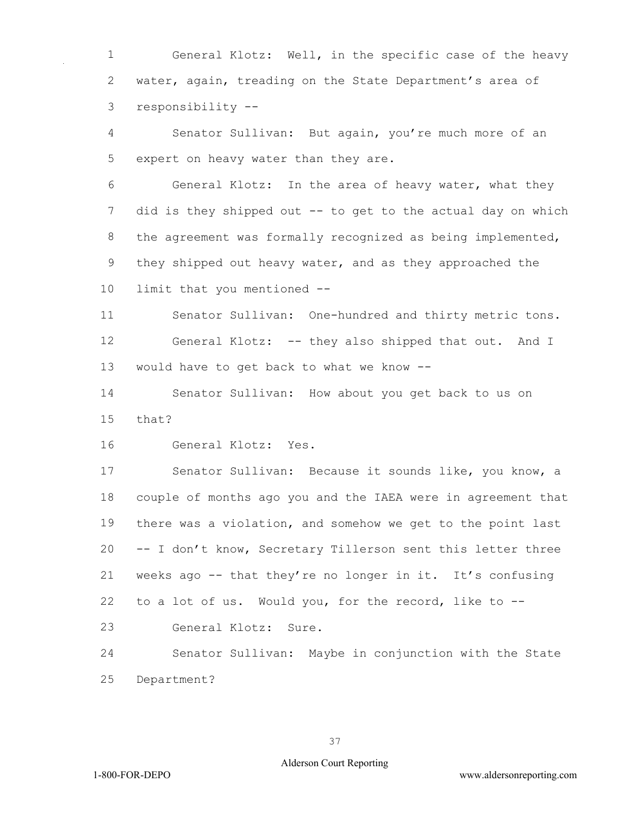General Klotz: Well, in the specific case of the heavy water, again, treading on the State Department's area of responsibility --

 Senator Sullivan: But again, you're much more of an expert on heavy water than they are.

 General Klotz: In the area of heavy water, what they 7 did is they shipped out -- to get to the actual day on which 8 the agreement was formally recognized as being implemented, they shipped out heavy water, and as they approached the limit that you mentioned --

 Senator Sullivan: One-hundred and thirty metric tons. General Klotz: -- they also shipped that out. And I would have to get back to what we know --

 Senator Sullivan: How about you get back to us on that?

General Klotz: Yes.

 Senator Sullivan: Because it sounds like, you know, a couple of months ago you and the IAEA were in agreement that there was a violation, and somehow we get to the point last -- I don't know, Secretary Tillerson sent this letter three weeks ago -- that they're no longer in it. It's confusing to a lot of us. Would you, for the record, like to --

General Klotz: Sure.

 Senator Sullivan: Maybe in conjunction with the State Department?

#### Alderson Court Reporting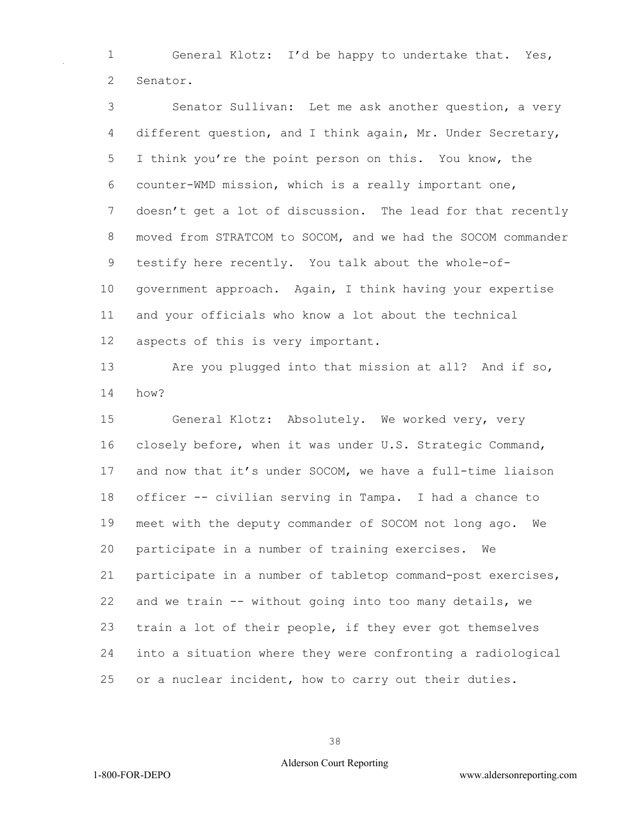General Klotz: I'd be happy to undertake that. Yes, Senator.

 Senator Sullivan: Let me ask another question, a very different question, and I think again, Mr. Under Secretary, I think you're the point person on this. You know, the counter-WMD mission, which is a really important one, doesn't get a lot of discussion. The lead for that recently moved from STRATCOM to SOCOM, and we had the SOCOM commander testify here recently. You talk about the whole-of- government approach. Again, I think having your expertise and your officials who know a lot about the technical aspects of this is very important.

 Are you plugged into that mission at all? And if so, how?

 General Klotz: Absolutely. We worked very, very closely before, when it was under U.S. Strategic Command, and now that it's under SOCOM, we have a full-time liaison officer -- civilian serving in Tampa. I had a chance to meet with the deputy commander of SOCOM not long ago. We participate in a number of training exercises. We participate in a number of tabletop command-post exercises, and we train -- without going into too many details, we train a lot of their people, if they ever got themselves into a situation where they were confronting a radiological or a nuclear incident, how to carry out their duties.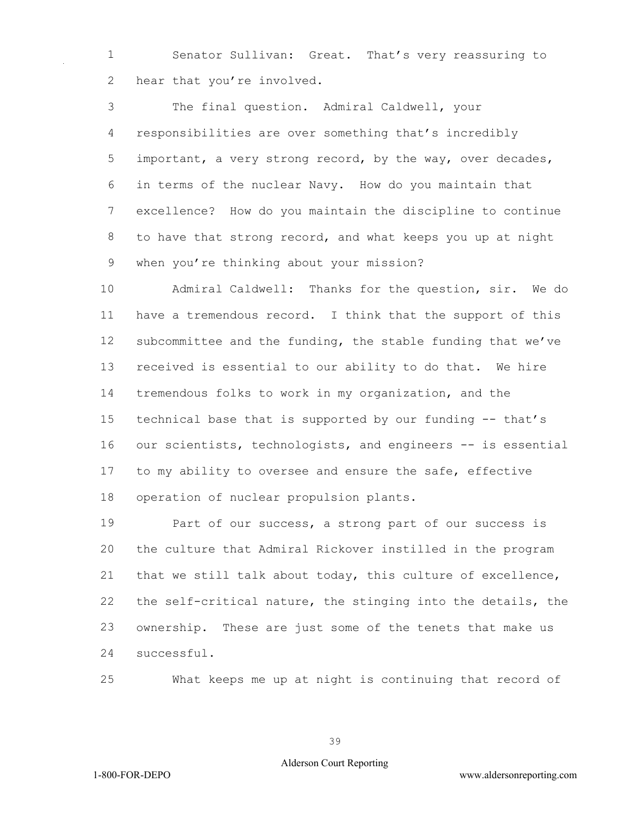Senator Sullivan: Great. That's very reassuring to 2 hear that you're involved.

 The final question. Admiral Caldwell, your responsibilities are over something that's incredibly 5 important, a very strong record, by the way, over decades, in terms of the nuclear Navy. How do you maintain that excellence? How do you maintain the discipline to continue to have that strong record, and what keeps you up at night when you're thinking about your mission?

 Admiral Caldwell: Thanks for the question, sir. We do have a tremendous record. I think that the support of this subcommittee and the funding, the stable funding that we've received is essential to our ability to do that. We hire tremendous folks to work in my organization, and the technical base that is supported by our funding -- that's 16 our scientists, technologists, and engineers -- is essential to my ability to oversee and ensure the safe, effective operation of nuclear propulsion plants.

19 Part of our success, a strong part of our success is the culture that Admiral Rickover instilled in the program that we still talk about today, this culture of excellence, the self-critical nature, the stinging into the details, the ownership. These are just some of the tenets that make us successful.

What keeps me up at night is continuing that record of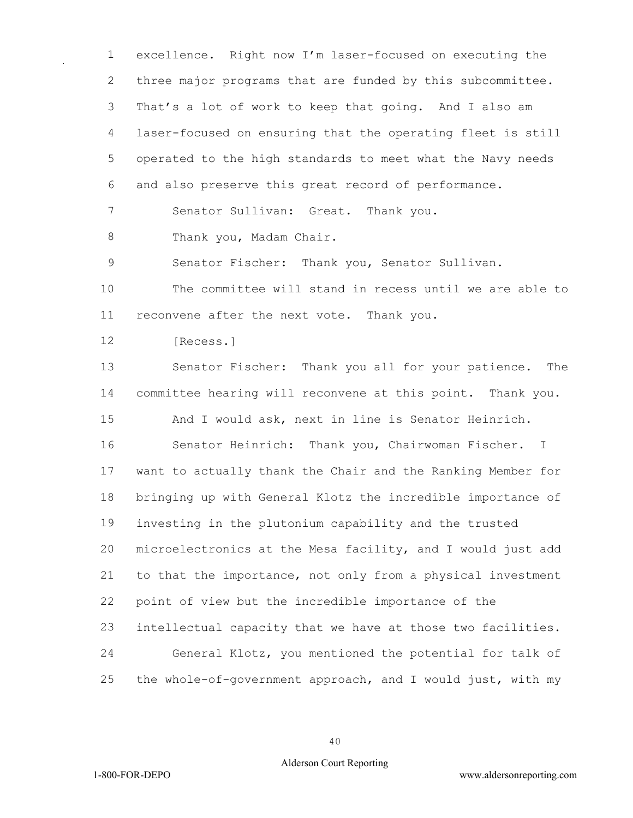excellence. Right now I'm laser-focused on executing the three major programs that are funded by this subcommittee. That's a lot of work to keep that going. And I also am laser-focused on ensuring that the operating fleet is still operated to the high standards to meet what the Navy needs and also preserve this great record of performance.

Senator Sullivan: Great. Thank you.

8 Thank you, Madam Chair.

Senator Fischer: Thank you, Senator Sullivan.

 The committee will stand in recess until we are able to reconvene after the next vote. Thank you.

12 [Recess.]

 Senator Fischer: Thank you all for your patience. The committee hearing will reconvene at this point. Thank you.

And I would ask, next in line is Senator Heinrich.

 Senator Heinrich: Thank you, Chairwoman Fischer. I want to actually thank the Chair and the Ranking Member for bringing up with General Klotz the incredible importance of investing in the plutonium capability and the trusted microelectronics at the Mesa facility, and I would just add to that the importance, not only from a physical investment point of view but the incredible importance of the intellectual capacity that we have at those two facilities. General Klotz, you mentioned the potential for talk of the whole-of-government approach, and I would just, with my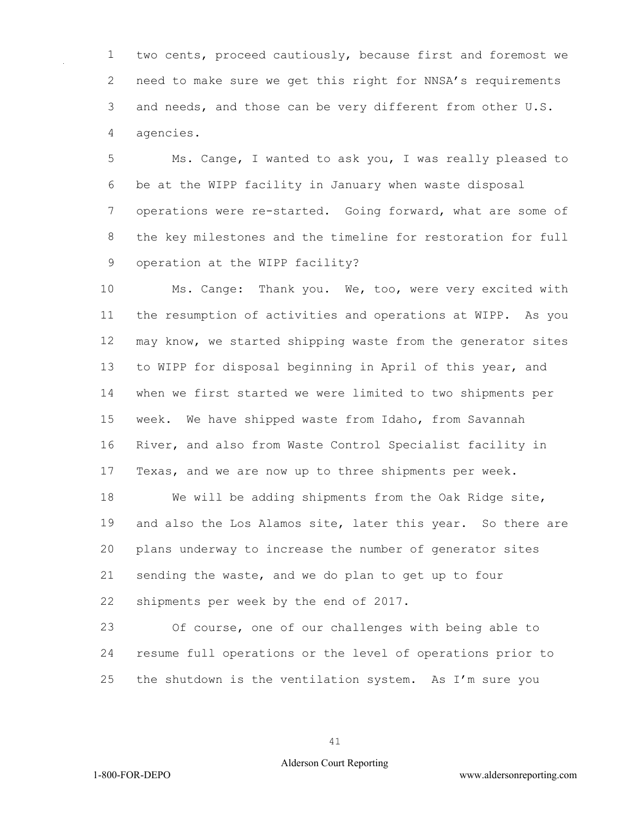two cents, proceed cautiously, because first and foremost we need to make sure we get this right for NNSA's requirements 3 and needs, and those can be very different from other U.S. agencies.

 Ms. Cange, I wanted to ask you, I was really pleased to be at the WIPP facility in January when waste disposal 7 operations were re-started. Going forward, what are some of the key milestones and the timeline for restoration for full operation at the WIPP facility?

 Ms. Cange: Thank you. We, too, were very excited with the resumption of activities and operations at WIPP. As you may know, we started shipping waste from the generator sites to WIPP for disposal beginning in April of this year, and when we first started we were limited to two shipments per week. We have shipped waste from Idaho, from Savannah River, and also from Waste Control Specialist facility in Texas, and we are now up to three shipments per week.

 We will be adding shipments from the Oak Ridge site, 19 and also the Los Alamos site, later this year. So there are plans underway to increase the number of generator sites sending the waste, and we do plan to get up to four shipments per week by the end of 2017.

 Of course, one of our challenges with being able to resume full operations or the level of operations prior to the shutdown is the ventilation system. As I'm sure you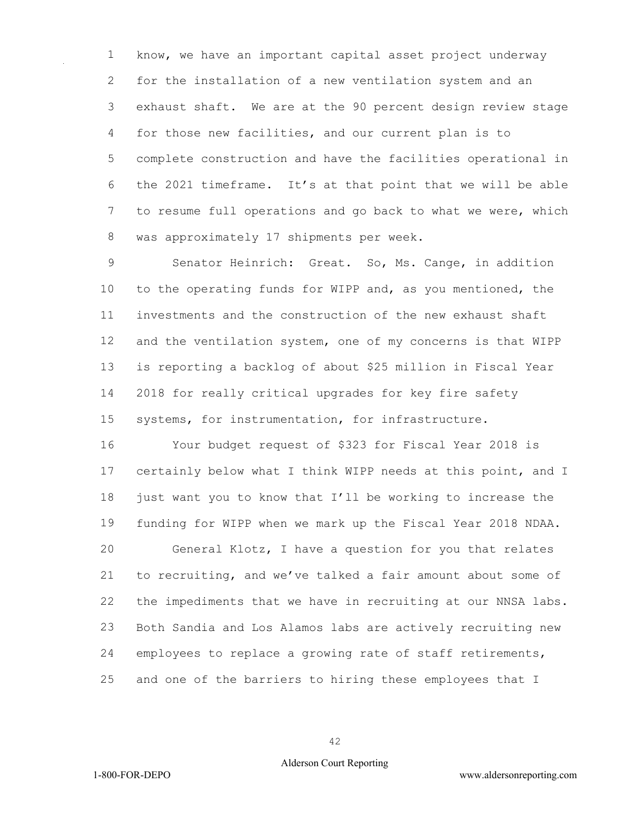know, we have an important capital asset project underway for the installation of a new ventilation system and an exhaust shaft. We are at the 90 percent design review stage for those new facilities, and our current plan is to complete construction and have the facilities operational in the 2021 timeframe. It's at that point that we will be able to resume full operations and go back to what we were, which was approximately 17 shipments per week.

 Senator Heinrich: Great. So, Ms. Cange, in addition to the operating funds for WIPP and, as you mentioned, the investments and the construction of the new exhaust shaft and the ventilation system, one of my concerns is that WIPP is reporting a backlog of about \$25 million in Fiscal Year 2018 for really critical upgrades for key fire safety systems, for instrumentation, for infrastructure.

 Your budget request of \$323 for Fiscal Year 2018 is certainly below what I think WIPP needs at this point, and I just want you to know that I'll be working to increase the funding for WIPP when we mark up the Fiscal Year 2018 NDAA.

 General Klotz, I have a question for you that relates to recruiting, and we've talked a fair amount about some of the impediments that we have in recruiting at our NNSA labs. Both Sandia and Los Alamos labs are actively recruiting new employees to replace a growing rate of staff retirements, and one of the barriers to hiring these employees that I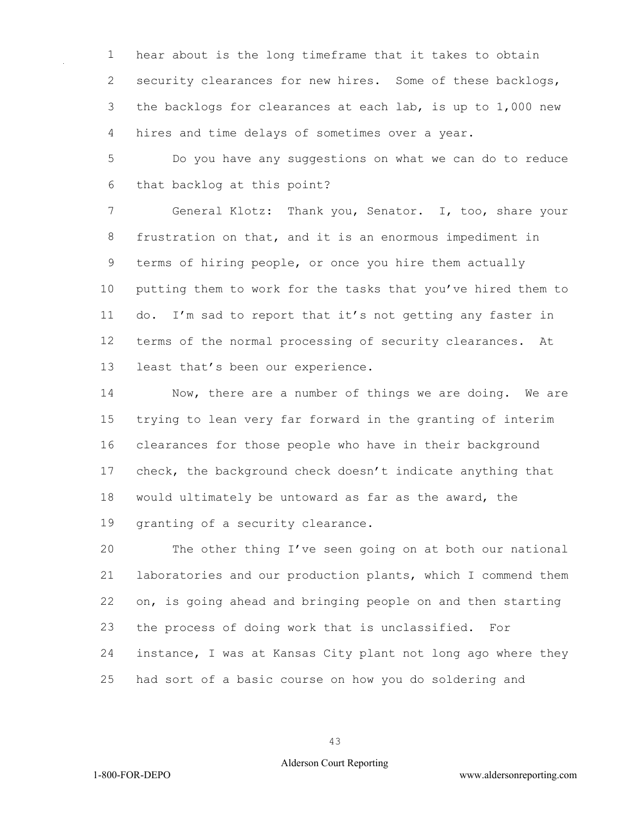hear about is the long timeframe that it takes to obtain 2 security clearances for new hires. Some of these backlogs, the backlogs for clearances at each lab, is up to 1,000 new hires and time delays of sometimes over a year.

 Do you have any suggestions on what we can do to reduce that backlog at this point?

 General Klotz: Thank you, Senator. I, too, share your frustration on that, and it is an enormous impediment in terms of hiring people, or once you hire them actually putting them to work for the tasks that you've hired them to do. I'm sad to report that it's not getting any faster in terms of the normal processing of security clearances. At least that's been our experience.

 Now, there are a number of things we are doing. We are trying to lean very far forward in the granting of interim clearances for those people who have in their background check, the background check doesn't indicate anything that would ultimately be untoward as far as the award, the granting of a security clearance.

 The other thing I've seen going on at both our national laboratories and our production plants, which I commend them on, is going ahead and bringing people on and then starting the process of doing work that is unclassified. For instance, I was at Kansas City plant not long ago where they had sort of a basic course on how you do soldering and

#### Alderson Court Reporting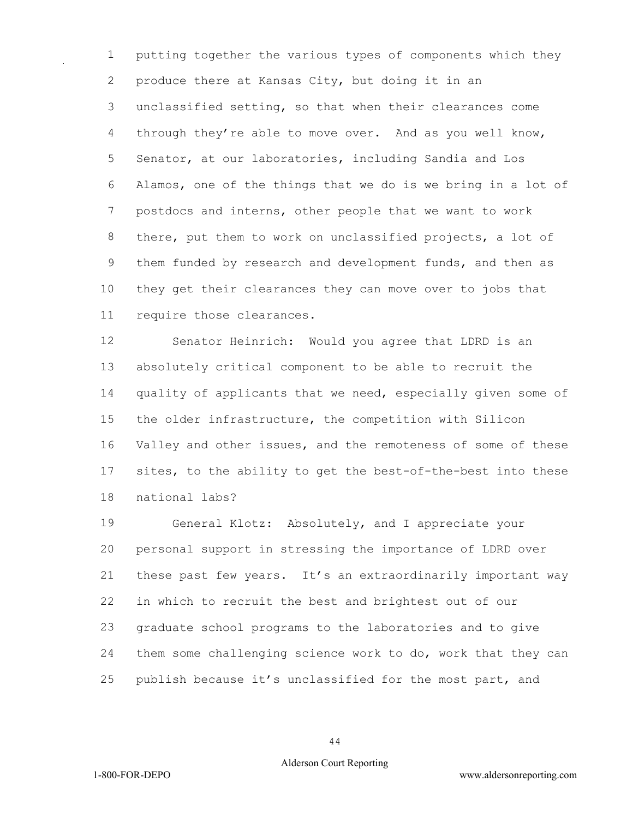putting together the various types of components which they produce there at Kansas City, but doing it in an unclassified setting, so that when their clearances come through they're able to move over. And as you well know, Senator, at our laboratories, including Sandia and Los Alamos, one of the things that we do is we bring in a lot of postdocs and interns, other people that we want to work there, put them to work on unclassified projects, a lot of them funded by research and development funds, and then as they get their clearances they can move over to jobs that require those clearances.

 Senator Heinrich: Would you agree that LDRD is an absolutely critical component to be able to recruit the quality of applicants that we need, especially given some of the older infrastructure, the competition with Silicon Valley and other issues, and the remoteness of some of these sites, to the ability to get the best-of-the-best into these national labs?

 General Klotz: Absolutely, and I appreciate your personal support in stressing the importance of LDRD over these past few years. It's an extraordinarily important way in which to recruit the best and brightest out of our graduate school programs to the laboratories and to give them some challenging science work to do, work that they can publish because it's unclassified for the most part, and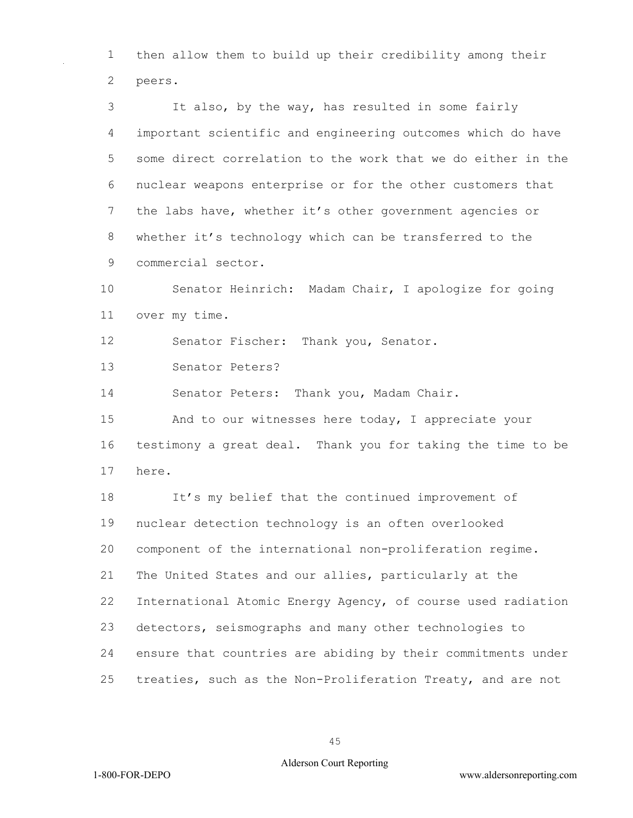then allow them to build up their credibility among their peers.

 It also, by the way, has resulted in some fairly important scientific and engineering outcomes which do have some direct correlation to the work that we do either in the nuclear weapons enterprise or for the other customers that the labs have, whether it's other government agencies or whether it's technology which can be transferred to the commercial sector.

 Senator Heinrich: Madam Chair, I apologize for going over my time.

Senator Fischer: Thank you, Senator.

Senator Peters?

Senator Peters: Thank you, Madam Chair.

 And to our witnesses here today, I appreciate your testimony a great deal. Thank you for taking the time to be here.

 It's my belief that the continued improvement of nuclear detection technology is an often overlooked component of the international non-proliferation regime. The United States and our allies, particularly at the International Atomic Energy Agency, of course used radiation detectors, seismographs and many other technologies to ensure that countries are abiding by their commitments under treaties, such as the Non-Proliferation Treaty, and are not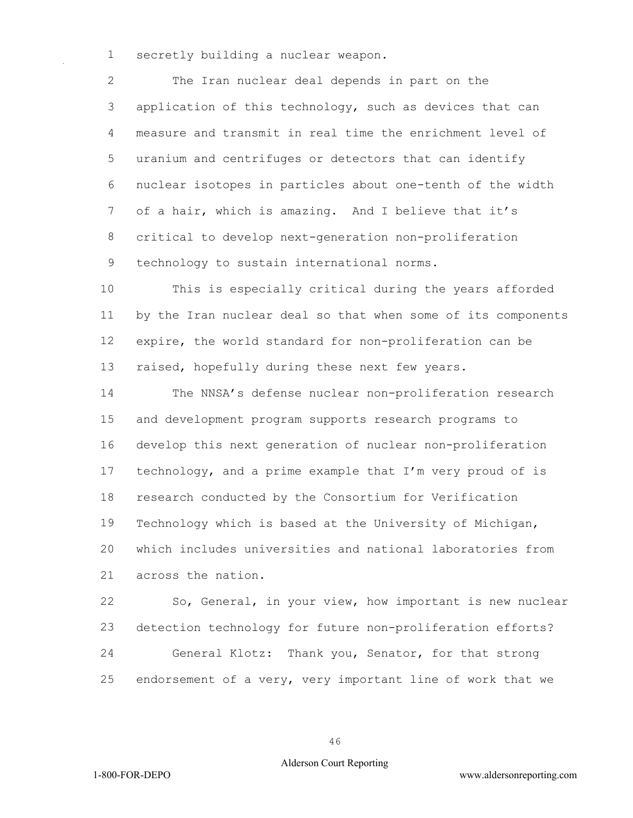secretly building a nuclear weapon.

 The Iran nuclear deal depends in part on the application of this technology, such as devices that can measure and transmit in real time the enrichment level of uranium and centrifuges or detectors that can identify nuclear isotopes in particles about one-tenth of the width of a hair, which is amazing. And I believe that it's critical to develop next-generation non-proliferation technology to sustain international norms.

 This is especially critical during the years afforded by the Iran nuclear deal so that when some of its components expire, the world standard for non-proliferation can be 13 raised, hopefully during these next few years.

 The NNSA's defense nuclear non-proliferation research and development program supports research programs to develop this next generation of nuclear non-proliferation technology, and a prime example that I'm very proud of is research conducted by the Consortium for Verification Technology which is based at the University of Michigan, which includes universities and national laboratories from across the nation.

 So, General, in your view, how important is new nuclear detection technology for future non-proliferation efforts? General Klotz: Thank you, Senator, for that strong endorsement of a very, very important line of work that we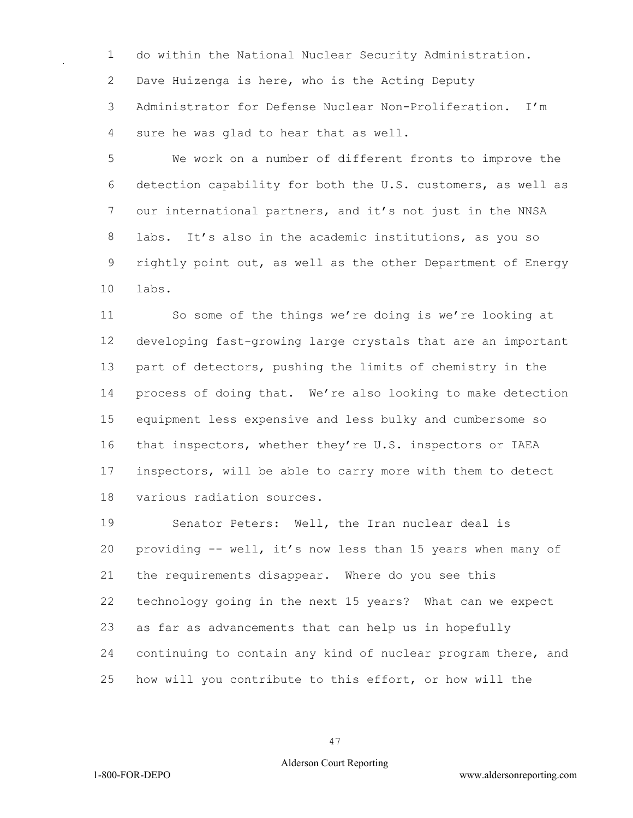do within the National Nuclear Security Administration.

Dave Huizenga is here, who is the Acting Deputy

 Administrator for Defense Nuclear Non-Proliferation. I'm sure he was glad to hear that as well.

 We work on a number of different fronts to improve the detection capability for both the U.S. customers, as well as our international partners, and it's not just in the NNSA labs. It's also in the academic institutions, as you so rightly point out, as well as the other Department of Energy labs.

 So some of the things we're doing is we're looking at developing fast-growing large crystals that are an important part of detectors, pushing the limits of chemistry in the process of doing that. We're also looking to make detection equipment less expensive and less bulky and cumbersome so that inspectors, whether they're U.S. inspectors or IAEA inspectors, will be able to carry more with them to detect various radiation sources.

 Senator Peters: Well, the Iran nuclear deal is providing -- well, it's now less than 15 years when many of the requirements disappear. Where do you see this technology going in the next 15 years? What can we expect as far as advancements that can help us in hopefully continuing to contain any kind of nuclear program there, and how will you contribute to this effort, or how will the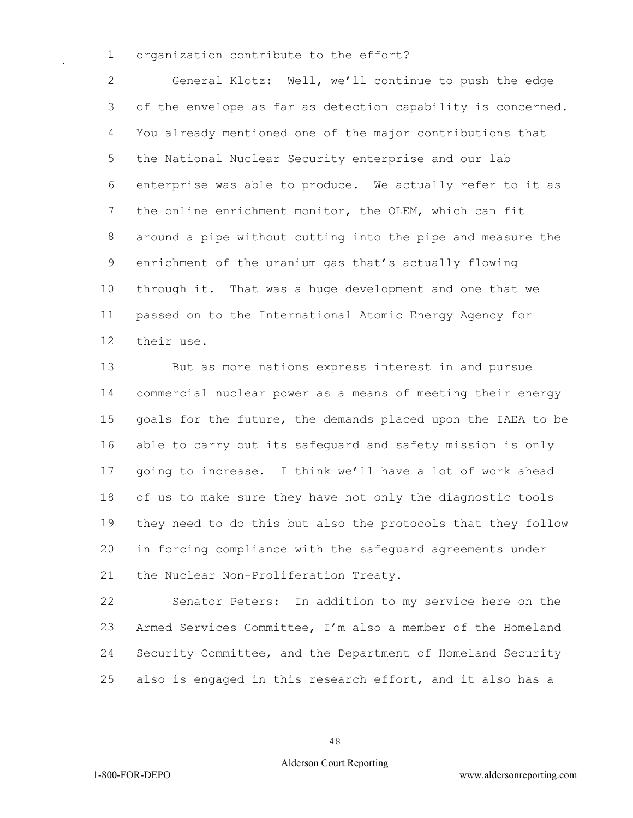organization contribute to the effort?

 General Klotz: Well, we'll continue to push the edge of the envelope as far as detection capability is concerned. You already mentioned one of the major contributions that the National Nuclear Security enterprise and our lab enterprise was able to produce. We actually refer to it as the online enrichment monitor, the OLEM, which can fit around a pipe without cutting into the pipe and measure the enrichment of the uranium gas that's actually flowing through it. That was a huge development and one that we passed on to the International Atomic Energy Agency for their use.

 But as more nations express interest in and pursue commercial nuclear power as a means of meeting their energy goals for the future, the demands placed upon the IAEA to be able to carry out its safeguard and safety mission is only going to increase. I think we'll have a lot of work ahead of us to make sure they have not only the diagnostic tools they need to do this but also the protocols that they follow in forcing compliance with the safeguard agreements under the Nuclear Non-Proliferation Treaty.

 Senator Peters: In addition to my service here on the Armed Services Committee, I'm also a member of the Homeland Security Committee, and the Department of Homeland Security also is engaged in this research effort, and it also has a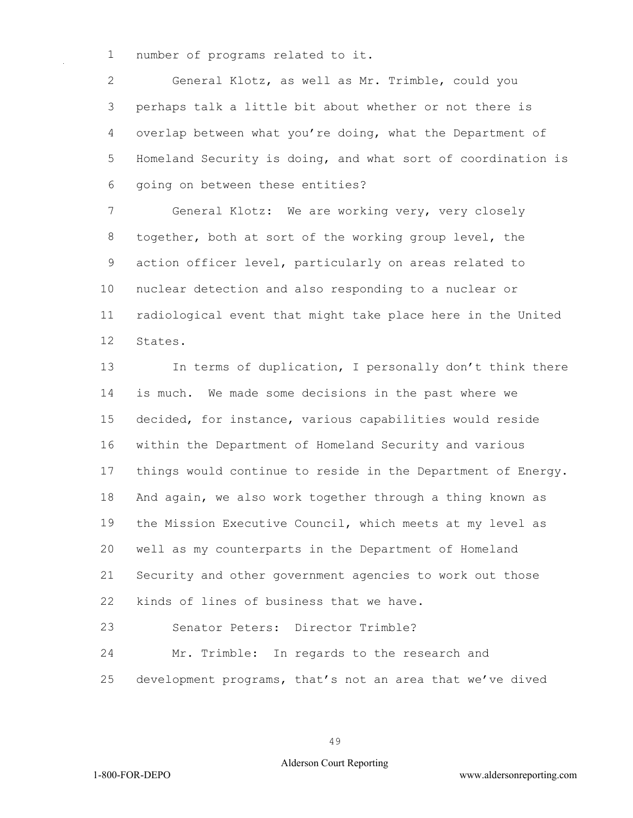number of programs related to it.

 General Klotz, as well as Mr. Trimble, could you perhaps talk a little bit about whether or not there is overlap between what you're doing, what the Department of Homeland Security is doing, and what sort of coordination is going on between these entities?

 General Klotz: We are working very, very closely together, both at sort of the working group level, the action officer level, particularly on areas related to nuclear detection and also responding to a nuclear or radiological event that might take place here in the United States.

 In terms of duplication, I personally don't think there is much. We made some decisions in the past where we decided, for instance, various capabilities would reside within the Department of Homeland Security and various things would continue to reside in the Department of Energy. And again, we also work together through a thing known as the Mission Executive Council, which meets at my level as well as my counterparts in the Department of Homeland Security and other government agencies to work out those kinds of lines of business that we have.

Senator Peters: Director Trimble?

 Mr. Trimble: In regards to the research and development programs, that's not an area that we've dived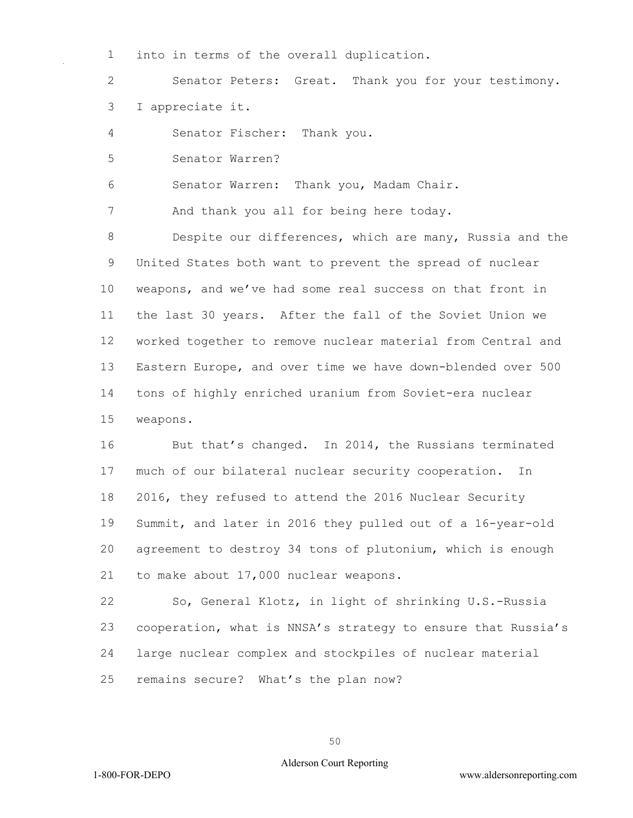into in terms of the overall duplication.

 Senator Peters: Great. Thank you for your testimony. I appreciate it.

Senator Fischer: Thank you.

Senator Warren?

Senator Warren: Thank you, Madam Chair.

7 And thank you all for being here today.

 Despite our differences, which are many, Russia and the United States both want to prevent the spread of nuclear weapons, and we've had some real success on that front in the last 30 years. After the fall of the Soviet Union we worked together to remove nuclear material from Central and Eastern Europe, and over time we have down-blended over 500 tons of highly enriched uranium from Soviet-era nuclear weapons.

16 But that's changed. In 2014, the Russians terminated much of our bilateral nuclear security cooperation. In 2016, they refused to attend the 2016 Nuclear Security Summit, and later in 2016 they pulled out of a 16-year-old agreement to destroy 34 tons of plutonium, which is enough to make about 17,000 nuclear weapons.

 So, General Klotz, in light of shrinking U.S.-Russia cooperation, what is NNSA's strategy to ensure that Russia's large nuclear complex and stockpiles of nuclear material remains secure? What's the plan now?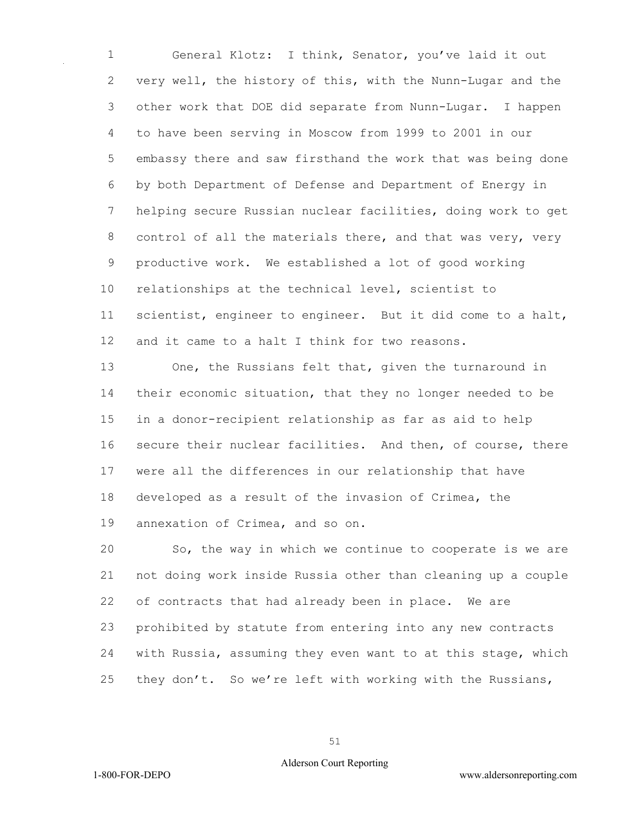General Klotz: I think, Senator, you've laid it out very well, the history of this, with the Nunn-Lugar and the other work that DOE did separate from Nunn-Lugar. I happen to have been serving in Moscow from 1999 to 2001 in our embassy there and saw firsthand the work that was being done by both Department of Defense and Department of Energy in helping secure Russian nuclear facilities, doing work to get 8 control of all the materials there, and that was very, very productive work. We established a lot of good working relationships at the technical level, scientist to scientist, engineer to engineer. But it did come to a halt, 12 and it came to a halt I think for two reasons.

 One, the Russians felt that, given the turnaround in their economic situation, that they no longer needed to be in a donor-recipient relationship as far as aid to help secure their nuclear facilities. And then, of course, there were all the differences in our relationship that have developed as a result of the invasion of Crimea, the annexation of Crimea, and so on.

 So, the way in which we continue to cooperate is we are not doing work inside Russia other than cleaning up a couple of contracts that had already been in place. We are prohibited by statute from entering into any new contracts with Russia, assuming they even want to at this stage, which they don't. So we're left with working with the Russians,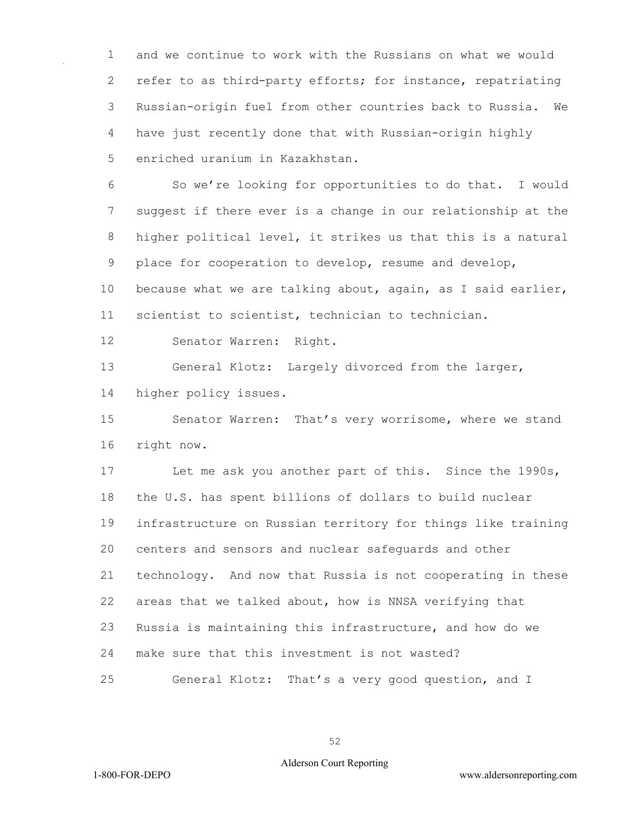and we continue to work with the Russians on what we would refer to as third-party efforts; for instance, repatriating Russian-origin fuel from other countries back to Russia. We have just recently done that with Russian-origin highly enriched uranium in Kazakhstan.

 So we're looking for opportunities to do that. I would suggest if there ever is a change in our relationship at the higher political level, it strikes us that this is a natural place for cooperation to develop, resume and develop,

 because what we are talking about, again, as I said earlier, scientist to scientist, technician to technician.

Senator Warren: Right.

 General Klotz: Largely divorced from the larger, higher policy issues.

 Senator Warren: That's very worrisome, where we stand right now.

 Let me ask you another part of this. Since the 1990s, the U.S. has spent billions of dollars to build nuclear infrastructure on Russian territory for things like training centers and sensors and nuclear safeguards and other technology. And now that Russia is not cooperating in these areas that we talked about, how is NNSA verifying that Russia is maintaining this infrastructure, and how do we make sure that this investment is not wasted? General Klotz: That's a very good question, and I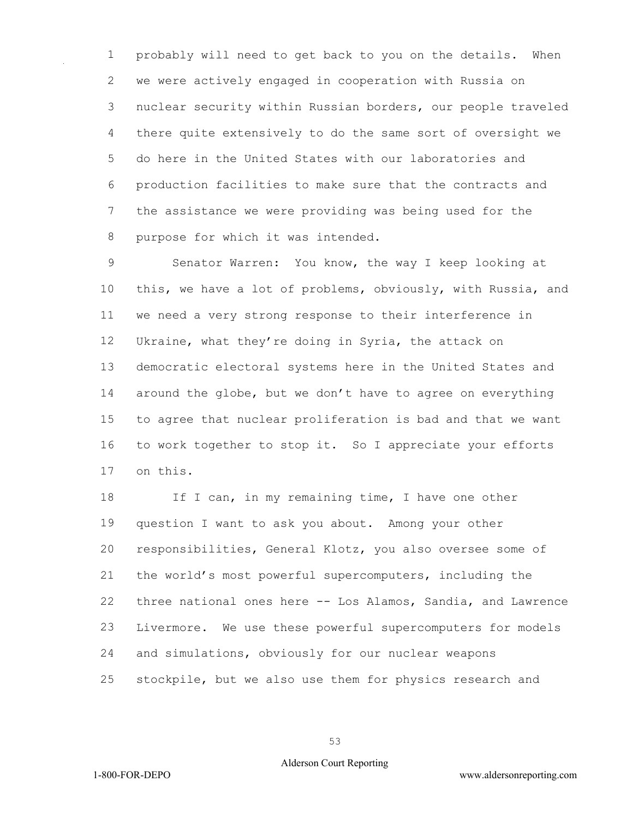probably will need to get back to you on the details. When we were actively engaged in cooperation with Russia on nuclear security within Russian borders, our people traveled there quite extensively to do the same sort of oversight we do here in the United States with our laboratories and production facilities to make sure that the contracts and the assistance we were providing was being used for the purpose for which it was intended.

 Senator Warren: You know, the way I keep looking at this, we have a lot of problems, obviously, with Russia, and we need a very strong response to their interference in Ukraine, what they're doing in Syria, the attack on democratic electoral systems here in the United States and around the globe, but we don't have to agree on everything to agree that nuclear proliferation is bad and that we want to work together to stop it. So I appreciate your efforts on this.

18 If I can, in my remaining time, I have one other question I want to ask you about. Among your other responsibilities, General Klotz, you also oversee some of the world's most powerful supercomputers, including the three national ones here -- Los Alamos, Sandia, and Lawrence Livermore. We use these powerful supercomputers for models and simulations, obviously for our nuclear weapons stockpile, but we also use them for physics research and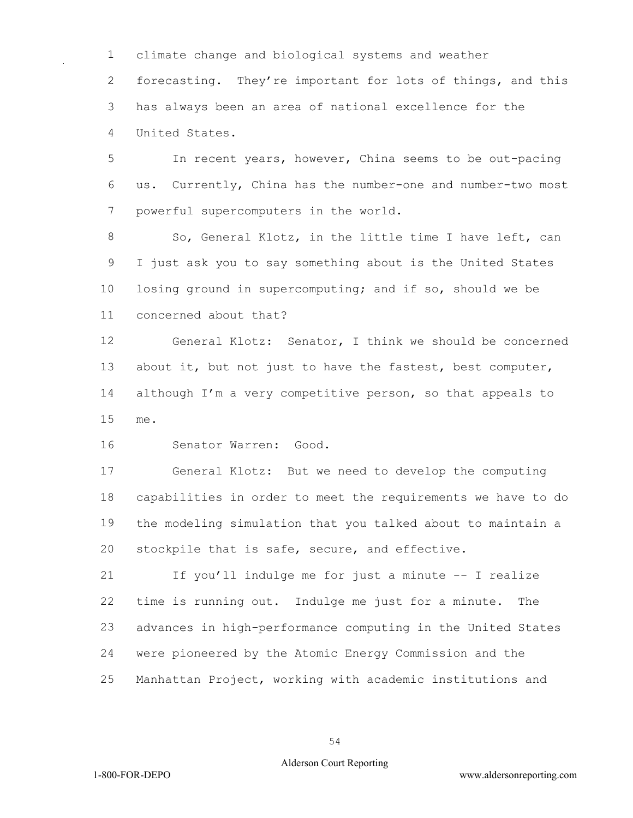climate change and biological systems and weather 2 forecasting. They're important for lots of things, and this has always been an area of national excellence for the United States.

 In recent years, however, China seems to be out-pacing us. Currently, China has the number-one and number-two most powerful supercomputers in the world.

8 So, General Klotz, in the little time I have left, can I just ask you to say something about is the United States losing ground in supercomputing; and if so, should we be concerned about that?

 General Klotz: Senator, I think we should be concerned about it, but not just to have the fastest, best computer, 14 although I'm a very competitive person, so that appeals to me.

Senator Warren: Good.

 General Klotz: But we need to develop the computing capabilities in order to meet the requirements we have to do the modeling simulation that you talked about to maintain a stockpile that is safe, secure, and effective.

 If you'll indulge me for just a minute -- I realize time is running out. Indulge me just for a minute. The advances in high-performance computing in the United States were pioneered by the Atomic Energy Commission and the Manhattan Project, working with academic institutions and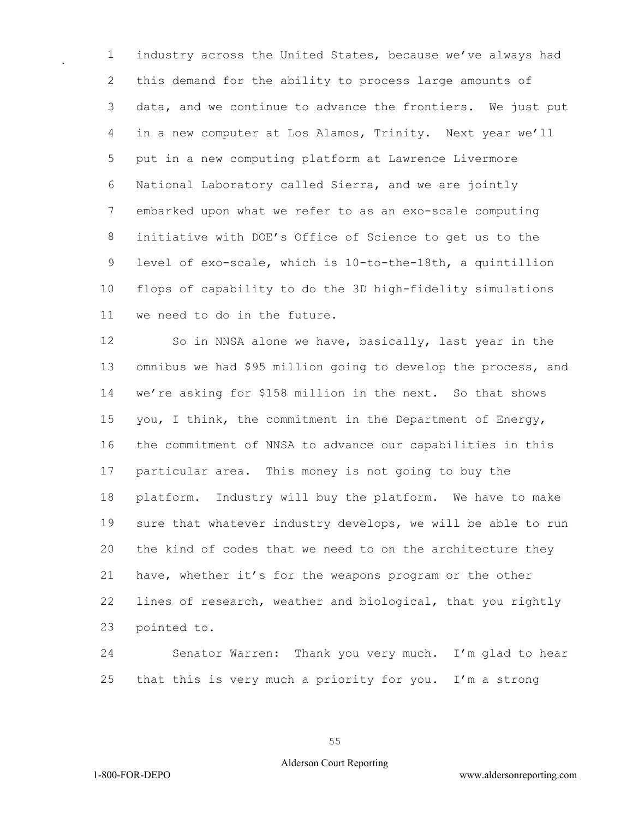industry across the United States, because we've always had this demand for the ability to process large amounts of data, and we continue to advance the frontiers. We just put in a new computer at Los Alamos, Trinity. Next year we'll put in a new computing platform at Lawrence Livermore National Laboratory called Sierra, and we are jointly embarked upon what we refer to as an exo-scale computing initiative with DOE's Office of Science to get us to the level of exo-scale, which is 10-to-the-18th, a quintillion flops of capability to do the 3D high-fidelity simulations we need to do in the future.

 So in NNSA alone we have, basically, last year in the omnibus we had \$95 million going to develop the process, and we're asking for \$158 million in the next. So that shows you, I think, the commitment in the Department of Energy, the commitment of NNSA to advance our capabilities in this particular area. This money is not going to buy the platform. Industry will buy the platform. We have to make sure that whatever industry develops, we will be able to run the kind of codes that we need to on the architecture they have, whether it's for the weapons program or the other lines of research, weather and biological, that you rightly pointed to.

 Senator Warren: Thank you very much. I'm glad to hear that this is very much a priority for you. I'm a strong

#### Alderson Court Reporting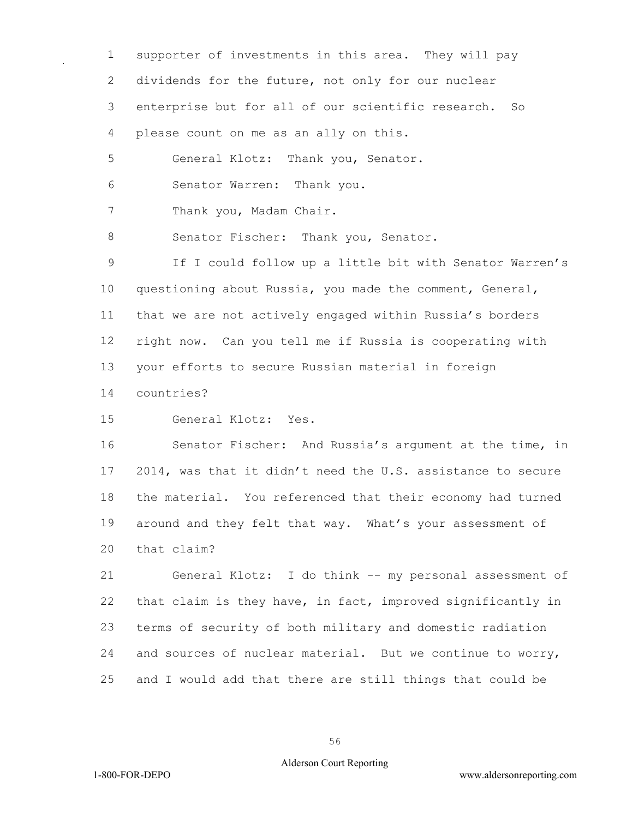supporter of investments in this area. They will pay dividends for the future, not only for our nuclear enterprise but for all of our scientific research. So please count on me as an ally on this. General Klotz: Thank you, Senator. Senator Warren: Thank you. 7 Thank you, Madam Chair. 8 Senator Fischer: Thank you, Senator. If I could follow up a little bit with Senator Warren's questioning about Russia, you made the comment, General, that we are not actively engaged within Russia's borders right now. Can you tell me if Russia is cooperating with your efforts to secure Russian material in foreign countries? General Klotz: Yes.

 Senator Fischer: And Russia's argument at the time, in 2014, was that it didn't need the U.S. assistance to secure the material. You referenced that their economy had turned around and they felt that way. What's your assessment of that claim?

 General Klotz: I do think -- my personal assessment of that claim is they have, in fact, improved significantly in terms of security of both military and domestic radiation and sources of nuclear material. But we continue to worry, and I would add that there are still things that could be

#### Alderson Court Reporting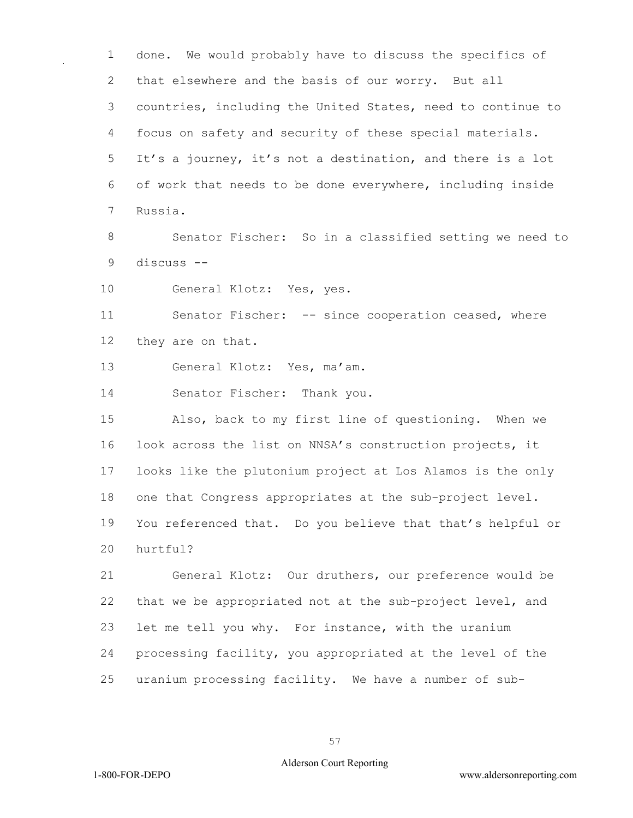done. We would probably have to discuss the specifics of that elsewhere and the basis of our worry. But all countries, including the United States, need to continue to focus on safety and security of these special materials. It's a journey, it's not a destination, and there is a lot of work that needs to be done everywhere, including inside Russia.

 Senator Fischer: So in a classified setting we need to discuss --

General Klotz: Yes, yes.

 Senator Fischer: -- since cooperation ceased, where they are on that.

General Klotz: Yes, ma'am.

Senator Fischer: Thank you.

 Also, back to my first line of questioning. When we look across the list on NNSA's construction projects, it looks like the plutonium project at Los Alamos is the only one that Congress appropriates at the sub-project level. You referenced that. Do you believe that that's helpful or hurtful?

 General Klotz: Our druthers, our preference would be that we be appropriated not at the sub-project level, and let me tell you why. For instance, with the uranium processing facility, you appropriated at the level of the uranium processing facility. We have a number of sub-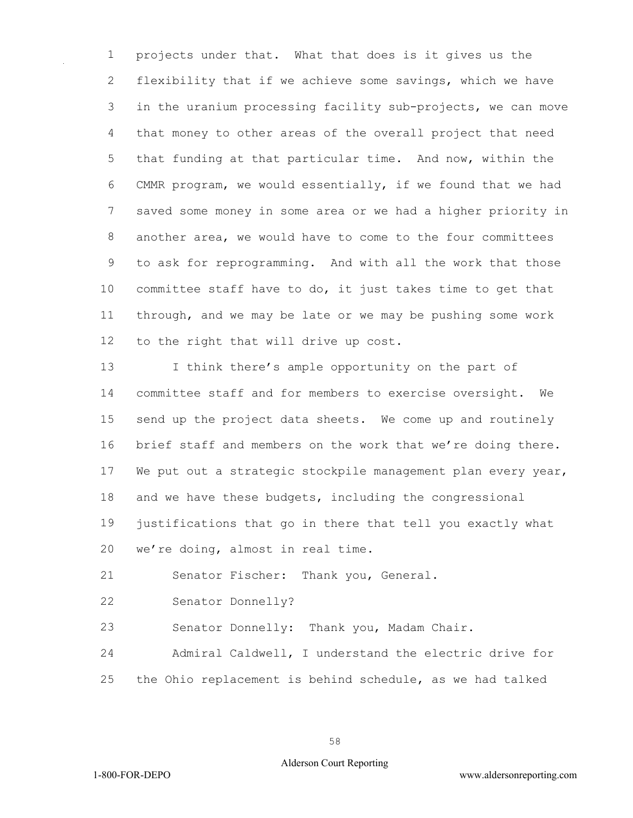projects under that. What that does is it gives us the flexibility that if we achieve some savings, which we have in the uranium processing facility sub-projects, we can move that money to other areas of the overall project that need that funding at that particular time. And now, within the CMMR program, we would essentially, if we found that we had saved some money in some area or we had a higher priority in another area, we would have to come to the four committees to ask for reprogramming. And with all the work that those committee staff have to do, it just takes time to get that through, and we may be late or we may be pushing some work to the right that will drive up cost.

 I think there's ample opportunity on the part of committee staff and for members to exercise oversight. We send up the project data sheets. We come up and routinely brief staff and members on the work that we're doing there. 17 We put out a strategic stockpile management plan every year, and we have these budgets, including the congressional justifications that go in there that tell you exactly what we're doing, almost in real time.

Senator Fischer: Thank you, General.

Senator Donnelly?

Senator Donnelly: Thank you, Madam Chair.

 Admiral Caldwell, I understand the electric drive for the Ohio replacement is behind schedule, as we had talked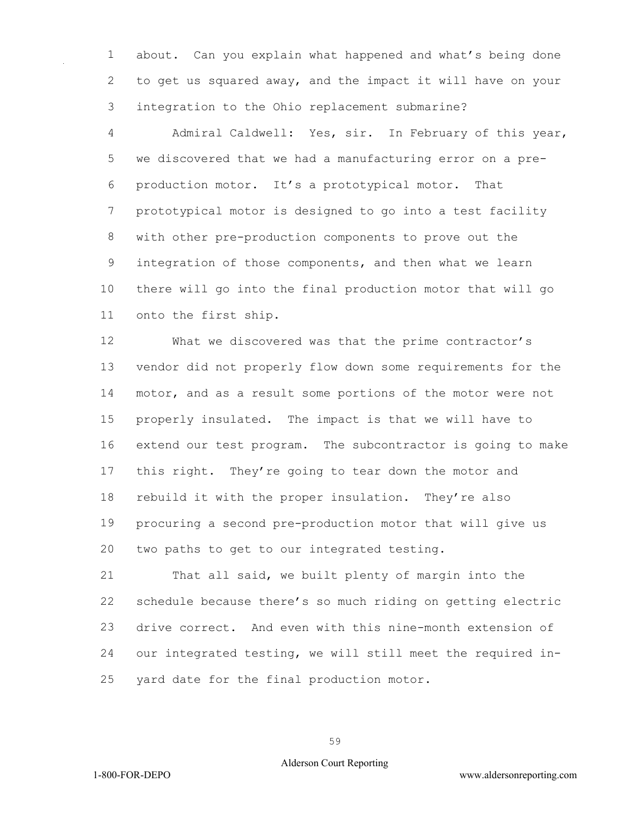about. Can you explain what happened and what's being done to get us squared away, and the impact it will have on your integration to the Ohio replacement submarine?

 Admiral Caldwell: Yes, sir. In February of this year, we discovered that we had a manufacturing error on a pre- production motor. It's a prototypical motor. That prototypical motor is designed to go into a test facility with other pre-production components to prove out the integration of those components, and then what we learn there will go into the final production motor that will go onto the first ship.

 What we discovered was that the prime contractor's vendor did not properly flow down some requirements for the motor, and as a result some portions of the motor were not properly insulated. The impact is that we will have to extend our test program. The subcontractor is going to make this right. They're going to tear down the motor and rebuild it with the proper insulation. They're also procuring a second pre-production motor that will give us two paths to get to our integrated testing.

 That all said, we built plenty of margin into the schedule because there's so much riding on getting electric drive correct. And even with this nine-month extension of our integrated testing, we will still meet the required in-yard date for the final production motor.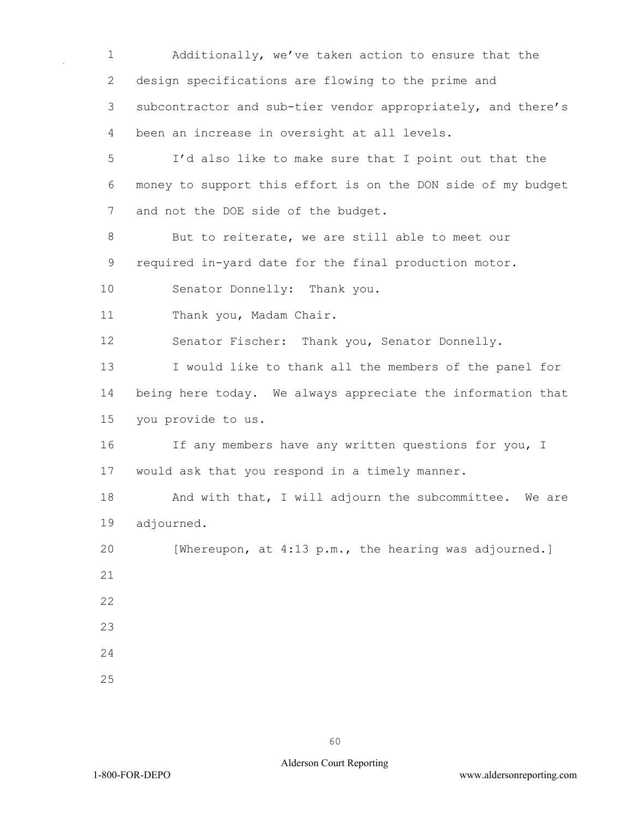Additionally, we've taken action to ensure that the design specifications are flowing to the prime and subcontractor and sub-tier vendor appropriately, and there's been an increase in oversight at all levels.

 I'd also like to make sure that I point out that the money to support this effort is on the DON side of my budget 7 and not the DOE side of the budget.

 But to reiterate, we are still able to meet our required in-yard date for the final production motor.

Senator Donnelly: Thank you.

Thank you, Madam Chair.

Senator Fischer: Thank you, Senator Donnelly.

 I would like to thank all the members of the panel for being here today. We always appreciate the information that you provide to us.

16 If any members have any written questions for you, I would ask that you respond in a timely manner.

18 And with that, I will adjourn the subcommittee. We are adjourned.

 [Whereupon, at 4:13 p.m., the hearing was adjourned.] 

- 
- 
-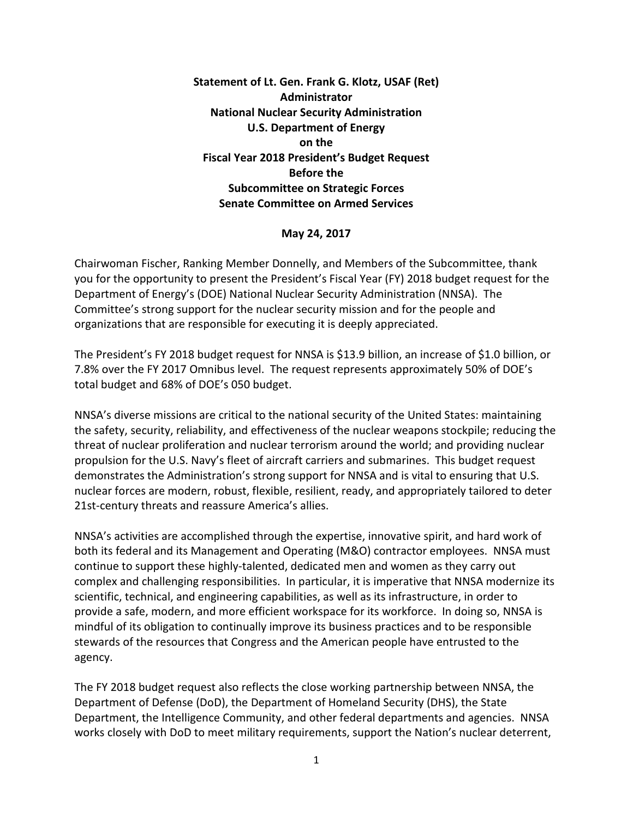**Statement of Lt. Gen. Frank G. Klotz, USAF (Ret) Administrator National Nuclear Security Administration U.S. Department of Energy on the Fiscal Year 2018 President's Budget Request Before the Subcommittee on Strategic Forces Senate Committee on Armed Services**

**May 24, 2017**

Chairwoman Fischer, Ranking Member Donnelly, and Members of the Subcommittee, thank you for the opportunity to present the President's Fiscal Year (FY) 2018 budget request for the Department of Energy's (DOE) National Nuclear Security Administration (NNSA). The Committee's strong support for the nuclear security mission and for the people and organizations that are responsible for executing it is deeply appreciated.

The President's FY 2018 budget request for NNSA is \$13.9 billion, an increase of \$1.0 billion, or 7.8% over the FY 2017 Omnibus level. The request represents approximately 50% of DOE's total budget and 68% of DOE's 050 budget.

NNSA's diverse missions are critical to the national security of the United States: maintaining the safety, security, reliability, and effectiveness of the nuclear weapons stockpile; reducing the threat of nuclear proliferation and nuclear terrorism around the world; and providing nuclear propulsion for the U.S. Navy's fleet of aircraft carriers and submarines. This budget request demonstrates the Administration's strong support for NNSA and is vital to ensuring that U.S. nuclear forces are modern, robust, flexible, resilient, ready, and appropriately tailored to deter 21st-century threats and reassure America's allies.

NNSA's activities are accomplished through the expertise, innovative spirit, and hard work of both its federal and its Management and Operating (M&O) contractor employees. NNSA must continue to support these highly-talented, dedicated men and women as they carry out complex and challenging responsibilities. In particular, it is imperative that NNSA modernize its scientific, technical, and engineering capabilities, as well as its infrastructure, in order to provide a safe, modern, and more efficient workspace for its workforce. In doing so, NNSA is mindful of its obligation to continually improve its business practices and to be responsible stewards of the resources that Congress and the American people have entrusted to the agency.

The FY 2018 budget request also reflects the close working partnership between NNSA, the Department of Defense (DoD), the Department of Homeland Security (DHS), the State Department, the Intelligence Community, and other federal departments and agencies. NNSA works closely with DoD to meet military requirements, support the Nation's nuclear deterrent,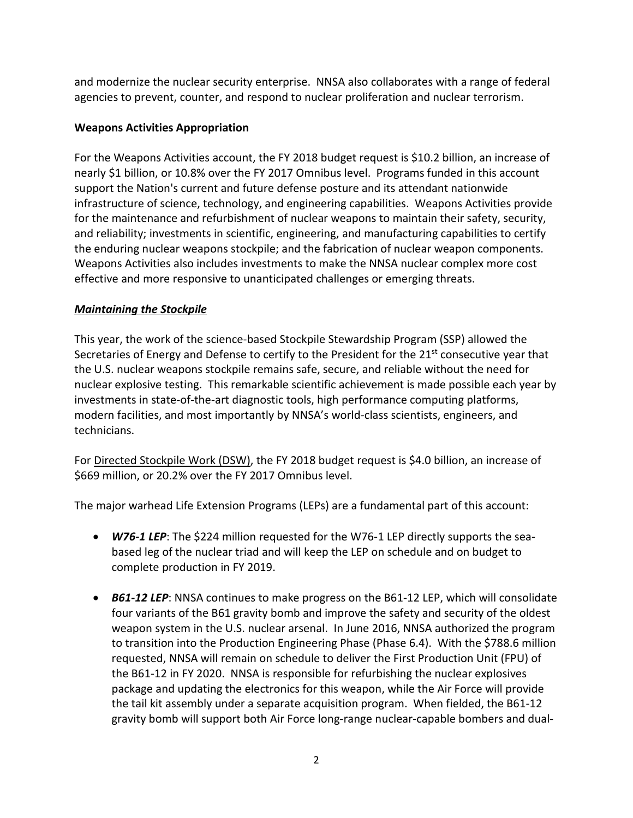and modernize the nuclear security enterprise. NNSA also collaborates with a range of federal agencies to prevent, counter, and respond to nuclear proliferation and nuclear terrorism.

# **Weapons Activities Appropriation**

For the Weapons Activities account, the FY 2018 budget request is \$10.2 billion, an increase of nearly \$1 billion, or 10.8% over the FY 2017 Omnibus level. Programs funded in this account support the Nation's current and future defense posture and its attendant nationwide infrastructure of science, technology, and engineering capabilities. Weapons Activities provide for the maintenance and refurbishment of nuclear weapons to maintain their safety, security, and reliability; investments in scientific, engineering, and manufacturing capabilities to certify the enduring nuclear weapons stockpile; and the fabrication of nuclear weapon components. Weapons Activities also includes investments to make the NNSA nuclear complex more cost effective and more responsive to unanticipated challenges or emerging threats.

# *Maintaining the Stockpile*

This year, the work of the science-based Stockpile Stewardship Program (SSP) allowed the Secretaries of Energy and Defense to certify to the President for the 21<sup>st</sup> consecutive year that the U.S. nuclear weapons stockpile remains safe, secure, and reliable without the need for nuclear explosive testing. This remarkable scientific achievement is made possible each year by investments in state-of-the-art diagnostic tools, high performance computing platforms, modern facilities, and most importantly by NNSA's world-class scientists, engineers, and technicians.

For Directed Stockpile Work (DSW), the FY 2018 budget request is \$4.0 billion, an increase of \$669 million, or 20.2% over the FY 2017 Omnibus level.

The major warhead Life Extension Programs (LEPs) are a fundamental part of this account:

- *W76-1 LEP*: The \$224 million requested for the W76-1 LEP directly supports the seabased leg of the nuclear triad and will keep the LEP on schedule and on budget to complete production in FY 2019.
- *B61-12 LEP*: NNSA continues to make progress on the B61-12 LEP, which will consolidate four variants of the B61 gravity bomb and improve the safety and security of the oldest weapon system in the U.S. nuclear arsenal. In June 2016, NNSA authorized the program to transition into the Production Engineering Phase (Phase 6.4). With the \$788.6 million requested, NNSA will remain on schedule to deliver the First Production Unit (FPU) of the B61-12 in FY 2020. NNSA is responsible for refurbishing the nuclear explosives package and updating the electronics for this weapon, while the Air Force will provide the tail kit assembly under a separate acquisition program. When fielded, the B61-12 gravity bomb will support both Air Force long-range nuclear-capable bombers and dual-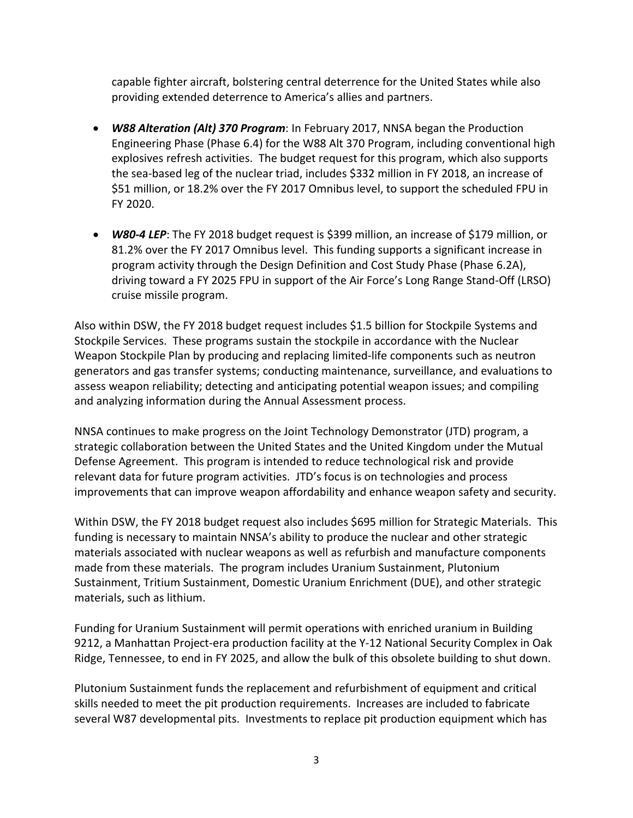capable fighter aircraft, bolstering central deterrence for the United States while also providing extended deterrence to America's allies and partners.

- *W88 Alteration (Alt) 370 Program*: In February 2017, NNSA began the Production Engineering Phase (Phase 6.4) for the W88 Alt 370 Program, including conventional high explosives refresh activities. The budget request for this program, which also supports the sea-based leg of the nuclear triad, includes \$332 million in FY 2018, an increase of \$51 million, or 18.2% over the FY 2017 Omnibus level, to support the scheduled FPU in FY 2020.
- *W80-4 LEP*: The FY 2018 budget request is \$399 million, an increase of \$179 million, or 81.2% over the FY 2017 Omnibus level. This funding supports a significant increase in program activity through the Design Definition and Cost Study Phase (Phase 6.2A), driving toward a FY 2025 FPU in support of the Air Force's Long Range Stand-Off (LRSO) cruise missile program.

Also within DSW, the FY 2018 budget request includes \$1.5 billion for Stockpile Systems and Stockpile Services. These programs sustain the stockpile in accordance with the Nuclear Weapon Stockpile Plan by producing and replacing limited-life components such as neutron generators and gas transfer systems; conducting maintenance, surveillance, and evaluations to assess weapon reliability; detecting and anticipating potential weapon issues; and compiling and analyzing information during the Annual Assessment process.

NNSA continues to make progress on the Joint Technology Demonstrator (JTD) program, a strategic collaboration between the United States and the United Kingdom under the Mutual Defense Agreement. This program is intended to reduce technological risk and provide relevant data for future program activities. JTD's focus is on technologies and process improvements that can improve weapon affordability and enhance weapon safety and security.

Within DSW, the FY 2018 budget request also includes \$695 million for Strategic Materials. This funding is necessary to maintain NNSA's ability to produce the nuclear and other strategic materials associated with nuclear weapons as well as refurbish and manufacture components made from these materials. The program includes Uranium Sustainment, Plutonium Sustainment, Tritium Sustainment, Domestic Uranium Enrichment (DUE), and other strategic materials, such as lithium.

Funding for Uranium Sustainment will permit operations with enriched uranium in Building 9212, a Manhattan Project-era production facility at the Y-12 National Security Complex in Oak Ridge, Tennessee, to end in FY 2025, and allow the bulk of this obsolete building to shut down.

Plutonium Sustainment funds the replacement and refurbishment of equipment and critical skills needed to meet the pit production requirements. Increases are included to fabricate several W87 developmental pits. Investments to replace pit production equipment which has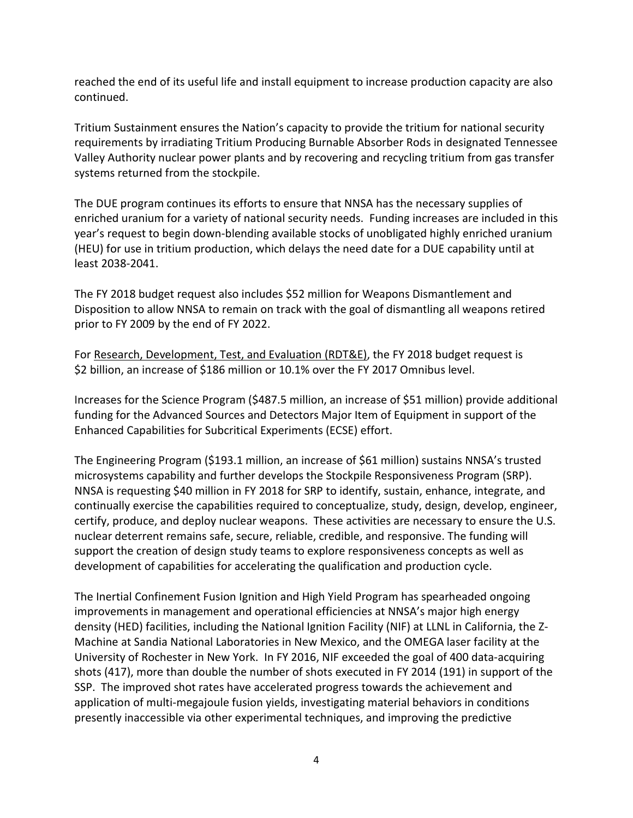reached the end of its useful life and install equipment to increase production capacity are also continued.

Tritium Sustainment ensures the Nation's capacity to provide the tritium for national security requirements by irradiating Tritium Producing Burnable Absorber Rods in designated Tennessee Valley Authority nuclear power plants and by recovering and recycling tritium from gas transfer systems returned from the stockpile.

The DUE program continues its efforts to ensure that NNSA has the necessary supplies of enriched uranium for a variety of national security needs. Funding increases are included in this year's request to begin down-blending available stocks of unobligated highly enriched uranium (HEU) for use in tritium production, which delays the need date for a DUE capability until at least 2038-2041.

The FY 2018 budget request also includes \$52 million for Weapons Dismantlement and Disposition to allow NNSA to remain on track with the goal of dismantling all weapons retired prior to FY 2009 by the end of FY 2022.

For Research, Development, Test, and Evaluation (RDT&E), the FY 2018 budget request is \$2 billion, an increase of \$186 million or 10.1% over the FY 2017 Omnibus level.

Increases for the Science Program (\$487.5 million, an increase of \$51 million) provide additional funding for the Advanced Sources and Detectors Major Item of Equipment in support of the Enhanced Capabilities for Subcritical Experiments (ECSE) effort.

The Engineering Program (\$193.1 million, an increase of \$61 million) sustains NNSA's trusted microsystems capability and further develops the Stockpile Responsiveness Program (SRP). NNSA is requesting \$40 million in FY 2018 for SRP to identify, sustain, enhance, integrate, and continually exercise the capabilities required to conceptualize, study, design, develop, engineer, certify, produce, and deploy nuclear weapons. These activities are necessary to ensure the U.S. nuclear deterrent remains safe, secure, reliable, credible, and responsive. The funding will support the creation of design study teams to explore responsiveness concepts as well as development of capabilities for accelerating the qualification and production cycle.

The Inertial Confinement Fusion Ignition and High Yield Program has spearheaded ongoing improvements in management and operational efficiencies at NNSA's major high energy density (HED) facilities, including the National Ignition Facility (NIF) at LLNL in California, the Z-Machine at Sandia National Laboratories in New Mexico, and the OMEGA laser facility at the University of Rochester in New York. In FY 2016, NIF exceeded the goal of 400 data-acquiring shots (417), more than double the number of shots executed in FY 2014 (191) in support of the SSP. The improved shot rates have accelerated progress towards the achievement and application of multi-megajoule fusion yields, investigating material behaviors in conditions presently inaccessible via other experimental techniques, and improving the predictive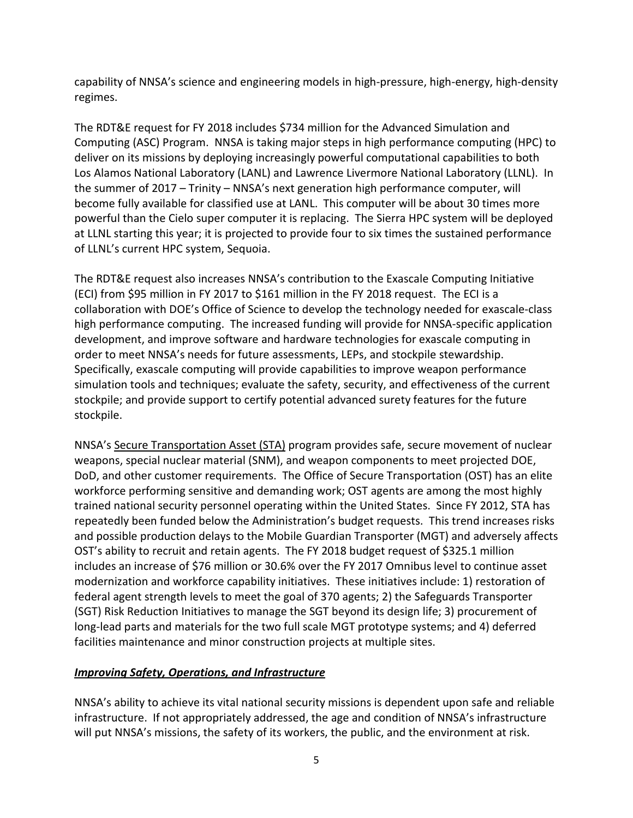capability of NNSA's science and engineering models in high-pressure, high-energy, high-density regimes.

The RDT&E request for FY 2018 includes \$734 million for the Advanced Simulation and Computing (ASC) Program. NNSA is taking major steps in high performance computing (HPC) to deliver on its missions by deploying increasingly powerful computational capabilities to both Los Alamos National Laboratory (LANL) and Lawrence Livermore National Laboratory (LLNL). In the summer of 2017 – Trinity – NNSA's next generation high performance computer, will become fully available for classified use at LANL. This computer will be about 30 times more powerful than the Cielo super computer it is replacing. The Sierra HPC system will be deployed at LLNL starting this year; it is projected to provide four to six times the sustained performance of LLNL's current HPC system, Sequoia.

The RDT&E request also increases NNSA's contribution to the Exascale Computing Initiative (ECI) from \$95 million in FY 2017 to \$161 million in the FY 2018 request. The ECI is a collaboration with DOE's Office of Science to develop the technology needed for exascale-class high performance computing. The increased funding will provide for NNSA-specific application development, and improve software and hardware technologies for exascale computing in order to meet NNSA's needs for future assessments, LEPs, and stockpile stewardship. Specifically, exascale computing will provide capabilities to improve weapon performance simulation tools and techniques; evaluate the safety, security, and effectiveness of the current stockpile; and provide support to certify potential advanced surety features for the future stockpile.

NNSA's Secure Transportation Asset (STA) program provides safe, secure movement of nuclear weapons, special nuclear material (SNM), and weapon components to meet projected DOE, DoD, and other customer requirements. The Office of Secure Transportation (OST) has an elite workforce performing sensitive and demanding work; OST agents are among the most highly trained national security personnel operating within the United States. Since FY 2012, STA has repeatedly been funded below the Administration's budget requests. This trend increases risks and possible production delays to the Mobile Guardian Transporter (MGT) and adversely affects OST's ability to recruit and retain agents. The FY 2018 budget request of \$325.1 million includes an increase of \$76 million or 30.6% over the FY 2017 Omnibus level to continue asset modernization and workforce capability initiatives. These initiatives include: 1) restoration of federal agent strength levels to meet the goal of 370 agents; 2) the Safeguards Transporter (SGT) Risk Reduction Initiatives to manage the SGT beyond its design life; 3) procurement of long-lead parts and materials for the two full scale MGT prototype systems; and 4) deferred facilities maintenance and minor construction projects at multiple sites.

## *Improving Safety, Operations, and Infrastructure*

NNSA's ability to achieve its vital national security missions is dependent upon safe and reliable infrastructure. If not appropriately addressed, the age and condition of NNSA's infrastructure will put NNSA's missions, the safety of its workers, the public, and the environment at risk.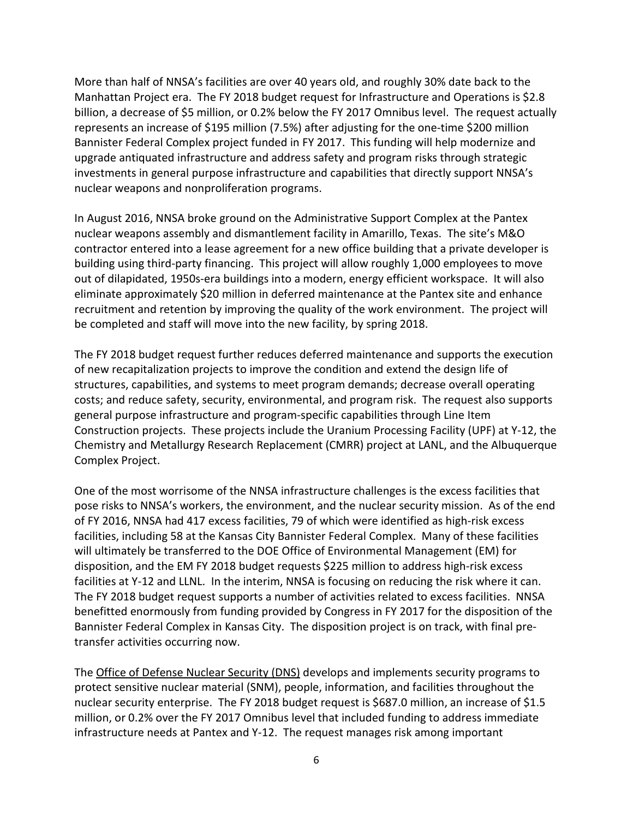More than half of NNSA's facilities are over 40 years old, and roughly 30% date back to the Manhattan Project era. The FY 2018 budget request for Infrastructure and Operations is \$2.8 billion, a decrease of \$5 million, or 0.2% below the FY 2017 Omnibus level. The request actually represents an increase of \$195 million (7.5%) after adjusting for the one-time \$200 million Bannister Federal Complex project funded in FY 2017. This funding will help modernize and upgrade antiquated infrastructure and address safety and program risks through strategic investments in general purpose infrastructure and capabilities that directly support NNSA's nuclear weapons and nonproliferation programs.

In August 2016, NNSA broke ground on the Administrative Support Complex at the Pantex nuclear weapons assembly and dismantlement facility in Amarillo, Texas. The site's M&O contractor entered into a lease agreement for a new office building that a private developer is building using third-party financing. This project will allow roughly 1,000 employees to move out of dilapidated, 1950s-era buildings into a modern, energy efficient workspace. It will also eliminate approximately \$20 million in deferred maintenance at the Pantex site and enhance recruitment and retention by improving the quality of the work environment. The project will be completed and staff will move into the new facility, by spring 2018.

The FY 2018 budget request further reduces deferred maintenance and supports the execution of new recapitalization projects to improve the condition and extend the design life of structures, capabilities, and systems to meet program demands; decrease overall operating costs; and reduce safety, security, environmental, and program risk. The request also supports general purpose infrastructure and program-specific capabilities through Line Item Construction projects. These projects include the Uranium Processing Facility (UPF) at Y-12, the Chemistry and Metallurgy Research Replacement (CMRR) project at LANL, and the Albuquerque Complex Project.

One of the most worrisome of the NNSA infrastructure challenges is the excess facilities that pose risks to NNSA's workers, the environment, and the nuclear security mission. As of the end of FY 2016, NNSA had 417 excess facilities, 79 of which were identified as high-risk excess facilities, including 58 at the Kansas City Bannister Federal Complex. Many of these facilities will ultimately be transferred to the DOE Office of Environmental Management (EM) for disposition, and the EM FY 2018 budget requests \$225 million to address high-risk excess facilities at Y-12 and LLNL. In the interim, NNSA is focusing on reducing the risk where it can. The FY 2018 budget request supports a number of activities related to excess facilities. NNSA benefitted enormously from funding provided by Congress in FY 2017 for the disposition of the Bannister Federal Complex in Kansas City. The disposition project is on track, with final pretransfer activities occurring now.

The Office of Defense Nuclear Security (DNS) develops and implements security programs to protect sensitive nuclear material (SNM), people, information, and facilities throughout the nuclear security enterprise. The FY 2018 budget request is \$687.0 million, an increase of \$1.5 million, or 0.2% over the FY 2017 Omnibus level that included funding to address immediate infrastructure needs at Pantex and Y-12. The request manages risk among important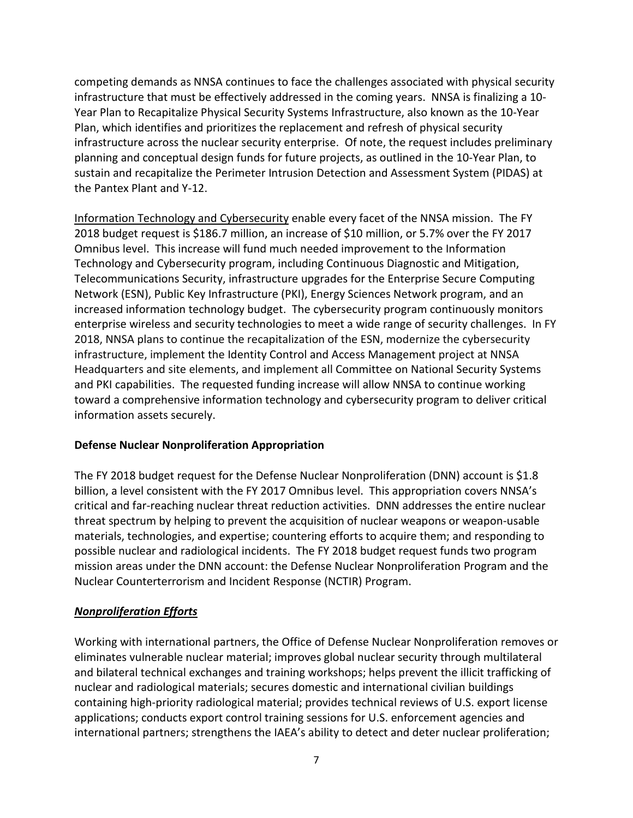competing demands as NNSA continues to face the challenges associated with physical security infrastructure that must be effectively addressed in the coming years. NNSA is finalizing a 10- Year Plan to Recapitalize Physical Security Systems Infrastructure, also known as the 10-Year Plan, which identifies and prioritizes the replacement and refresh of physical security infrastructure across the nuclear security enterprise. Of note, the request includes preliminary planning and conceptual design funds for future projects, as outlined in the 10-Year Plan, to sustain and recapitalize the Perimeter Intrusion Detection and Assessment System (PIDAS) at the Pantex Plant and Y-12.

Information Technology and Cybersecurity enable every facet of the NNSA mission. The FY 2018 budget request is \$186.7 million, an increase of \$10 million, or 5.7% over the FY 2017 Omnibus level. This increase will fund much needed improvement to the Information Technology and Cybersecurity program, including Continuous Diagnostic and Mitigation, Telecommunications Security, infrastructure upgrades for the Enterprise Secure Computing Network (ESN), Public Key Infrastructure (PKI), Energy Sciences Network program, and an increased information technology budget. The cybersecurity program continuously monitors enterprise wireless and security technologies to meet a wide range of security challenges. In FY 2018, NNSA plans to continue the recapitalization of the ESN, modernize the cybersecurity infrastructure, implement the Identity Control and Access Management project at NNSA Headquarters and site elements, and implement all Committee on National Security Systems and PKI capabilities. The requested funding increase will allow NNSA to continue working toward a comprehensive information technology and cybersecurity program to deliver critical information assets securely.

## **Defense Nuclear Nonproliferation Appropriation**

The FY 2018 budget request for the Defense Nuclear Nonproliferation (DNN) account is \$1.8 billion, a level consistent with the FY 2017 Omnibus level. This appropriation covers NNSA's critical and far-reaching nuclear threat reduction activities. DNN addresses the entire nuclear threat spectrum by helping to prevent the acquisition of nuclear weapons or weapon-usable materials, technologies, and expertise; countering efforts to acquire them; and responding to possible nuclear and radiological incidents. The FY 2018 budget request funds two program mission areas under the DNN account: the Defense Nuclear Nonproliferation Program and the Nuclear Counterterrorism and Incident Response (NCTIR) Program.

## *Nonproliferation Efforts*

Working with international partners, the Office of Defense Nuclear Nonproliferation removes or eliminates vulnerable nuclear material; improves global nuclear security through multilateral and bilateral technical exchanges and training workshops; helps prevent the illicit trafficking of nuclear and radiological materials; secures domestic and international civilian buildings containing high-priority radiological material; provides technical reviews of U.S. export license applications; conducts export control training sessions for U.S. enforcement agencies and international partners; strengthens the IAEA's ability to detect and deter nuclear proliferation;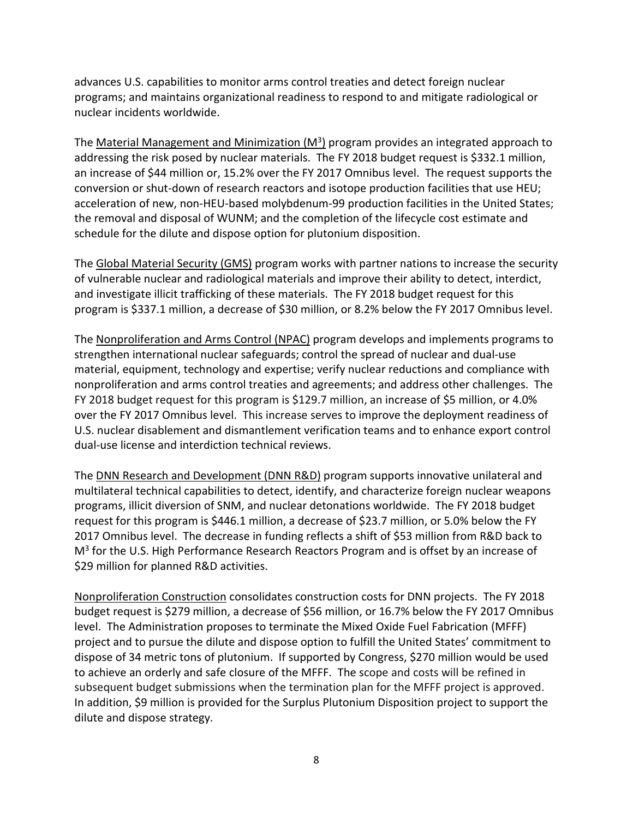advances U.S. capabilities to monitor arms control treaties and detect foreign nuclear programs; and maintains organizational readiness to respond to and mitigate radiological or nuclear incidents worldwide.

The Material Management and Minimization  $(M^3)$  program provides an integrated approach to addressing the risk posed by nuclear materials. The FY 2018 budget request is \$332.1 million, an increase of \$44 million or, 15.2% over the FY 2017 Omnibus level. The request supports the conversion or shut-down of research reactors and isotope production facilities that use HEU; acceleration of new, non-HEU-based molybdenum-99 production facilities in the United States; the removal and disposal of WUNM; and the completion of the lifecycle cost estimate and schedule for the dilute and dispose option for plutonium disposition.

The Global Material Security (GMS) program works with partner nations to increase the security of vulnerable nuclear and radiological materials and improve their ability to detect, interdict, and investigate illicit trafficking of these materials. The FY 2018 budget request for this program is \$337.1 million, a decrease of \$30 million, or 8.2% below the FY 2017 Omnibus level.

The Nonproliferation and Arms Control (NPAC) program develops and implements programs to strengthen international nuclear safeguards; control the spread of nuclear and dual-use material, equipment, technology and expertise; verify nuclear reductions and compliance with nonproliferation and arms control treaties and agreements; and address other challenges. The FY 2018 budget request for this program is \$129.7 million, an increase of \$5 million, or 4.0% over the FY 2017 Omnibus level. This increase serves to improve the deployment readiness of U.S. nuclear disablement and dismantlement verification teams and to enhance export control dual-use license and interdiction technical reviews.

The **DNN Research and Development (DNN R&D)** program supports innovative unilateral and multilateral technical capabilities to detect, identify, and characterize foreign nuclear weapons programs, illicit diversion of SNM, and nuclear detonations worldwide. The FY 2018 budget request for this program is \$446.1 million, a decrease of \$23.7 million, or 5.0% below the FY 2017 Omnibus level. The decrease in funding reflects a shift of \$53 million from R&D back to  $M<sup>3</sup>$  for the U.S. High Performance Research Reactors Program and is offset by an increase of \$29 million for planned R&D activities.

Nonproliferation Construction consolidates construction costs for DNN projects. The FY 2018 budget request is \$279 million, a decrease of \$56 million, or 16.7% below the FY 2017 Omnibus level. The Administration proposes to terminate the Mixed Oxide Fuel Fabrication (MFFF) project and to pursue the dilute and dispose option to fulfill the United States' commitment to dispose of 34 metric tons of plutonium. If supported by Congress, \$270 million would be used to achieve an orderly and safe closure of the MFFF. The scope and costs will be refined in subsequent budget submissions when the termination plan for the MFFF project is approved. In addition, \$9 million is provided for the Surplus Plutonium Disposition project to support the dilute and dispose strategy.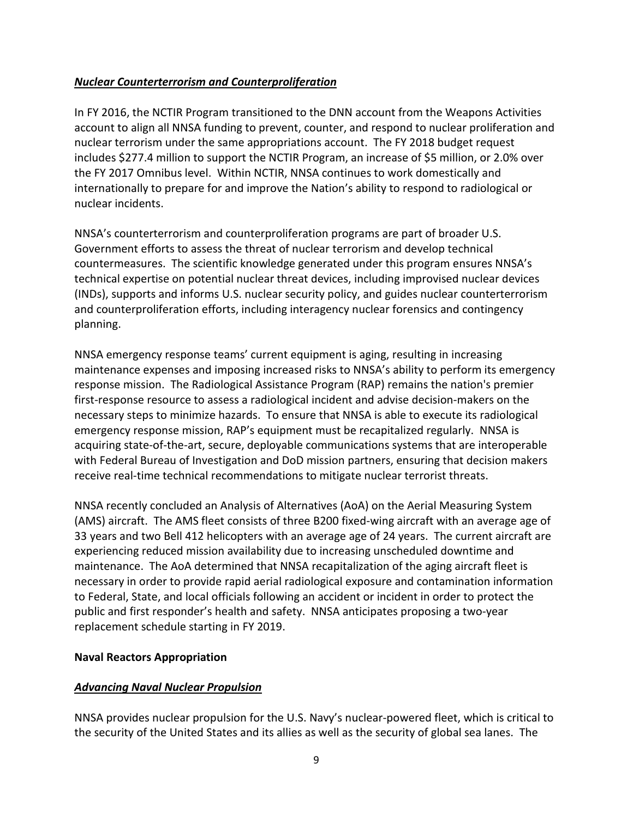### *Nuclear Counterterrorism and Counterproliferation*

In FY 2016, the NCTIR Program transitioned to the DNN account from the Weapons Activities account to align all NNSA funding to prevent, counter, and respond to nuclear proliferation and nuclear terrorism under the same appropriations account. The FY 2018 budget request includes \$277.4 million to support the NCTIR Program, an increase of \$5 million, or 2.0% over the FY 2017 Omnibus level. Within NCTIR, NNSA continues to work domestically and internationally to prepare for and improve the Nation's ability to respond to radiological or nuclear incidents.

NNSA's counterterrorism and counterproliferation programs are part of broader U.S. Government efforts to assess the threat of nuclear terrorism and develop technical countermeasures. The scientific knowledge generated under this program ensures NNSA's technical expertise on potential nuclear threat devices, including improvised nuclear devices (INDs), supports and informs U.S. nuclear security policy, and guides nuclear counterterrorism and counterproliferation efforts, including interagency nuclear forensics and contingency planning.

NNSA emergency response teams' current equipment is aging, resulting in increasing maintenance expenses and imposing increased risks to NNSA's ability to perform its emergency response mission. The Radiological Assistance Program (RAP) remains the nation's premier first-response resource to assess a radiological incident and advise decision-makers on the necessary steps to minimize hazards. To ensure that NNSA is able to execute its radiological emergency response mission, RAP's equipment must be recapitalized regularly. NNSA is acquiring state-of-the-art, secure, deployable communications systems that are interoperable with Federal Bureau of Investigation and DoD mission partners, ensuring that decision makers receive real-time technical recommendations to mitigate nuclear terrorist threats.

NNSA recently concluded an Analysis of Alternatives (AoA) on the Aerial Measuring System (AMS) aircraft. The AMS fleet consists of three B200 fixed-wing aircraft with an average age of 33 years and two Bell 412 helicopters with an average age of 24 years. The current aircraft are experiencing reduced mission availability due to increasing unscheduled downtime and maintenance. The AoA determined that NNSA recapitalization of the aging aircraft fleet is necessary in order to provide rapid aerial radiological exposure and contamination information to Federal, State, and local officials following an accident or incident in order to protect the public and first responder's health and safety. NNSA anticipates proposing a two-year replacement schedule starting in FY 2019.

### **Naval Reactors Appropriation**

### *Advancing Naval Nuclear Propulsion*

NNSA provides nuclear propulsion for the U.S. Navy's nuclear-powered fleet, which is critical to the security of the United States and its allies as well as the security of global sea lanes. The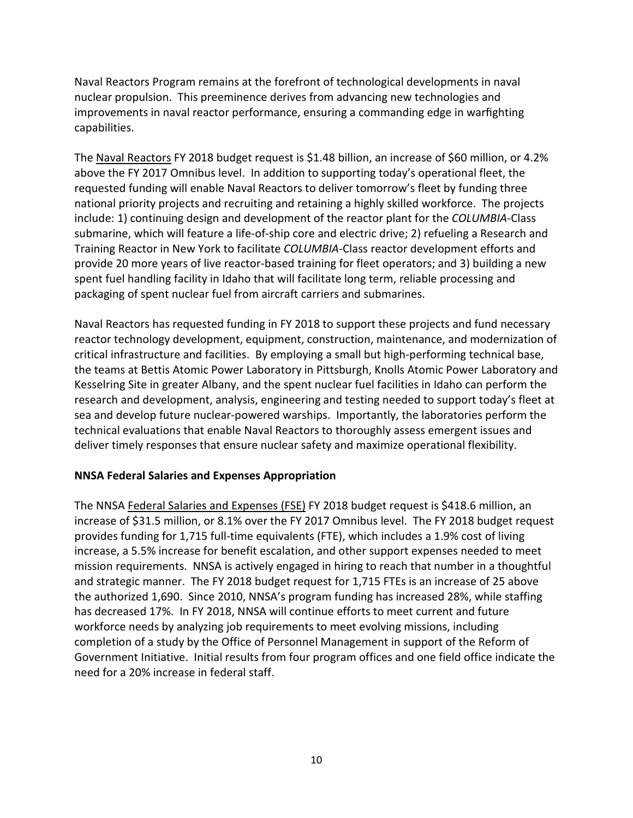Naval Reactors Program remains at the forefront of technological developments in naval nuclear propulsion. This preeminence derives from advancing new technologies and improvements in naval reactor performance, ensuring a commanding edge in warfighting capabilities.

The Naval Reactors FY 2018 budget request is \$1.48 billion, an increase of \$60 million, or 4.2% above the FY 2017 Omnibus level. In addition to supporting today's operational fleet, the requested funding will enable Naval Reactors to deliver tomorrow's fleet by funding three national priority projects and recruiting and retaining a highly skilled workforce. The projects include: 1) continuing design and development of the reactor plant for the *COLUMBIA*-Class submarine, which will feature a life-of-ship core and electric drive; 2) refueling a Research and Training Reactor in New York to facilitate *COLUMBIA*-Class reactor development efforts and provide 20 more years of live reactor-based training for fleet operators; and 3) building a new spent fuel handling facility in Idaho that will facilitate long term, reliable processing and packaging of spent nuclear fuel from aircraft carriers and submarines.

Naval Reactors has requested funding in FY 2018 to support these projects and fund necessary reactor technology development, equipment, construction, maintenance, and modernization of critical infrastructure and facilities. By employing a small but high-performing technical base, the teams at Bettis Atomic Power Laboratory in Pittsburgh, Knolls Atomic Power Laboratory and Kesselring Site in greater Albany, and the spent nuclear fuel facilities in Idaho can perform the research and development, analysis, engineering and testing needed to support today's fleet at sea and develop future nuclear-powered warships. Importantly, the laboratories perform the technical evaluations that enable Naval Reactors to thoroughly assess emergent issues and deliver timely responses that ensure nuclear safety and maximize operational flexibility.

# **NNSA Federal Salaries and Expenses Appropriation**

The NNSA Federal Salaries and Expenses (FSE) FY 2018 budget request is \$418.6 million, an increase of \$31.5 million, or 8.1% over the FY 2017 Omnibus level. The FY 2018 budget request provides funding for 1,715 full-time equivalents (FTE), which includes a 1.9% cost of living increase, a 5.5% increase for benefit escalation, and other support expenses needed to meet mission requirements. NNSA is actively engaged in hiring to reach that number in a thoughtful and strategic manner. The FY 2018 budget request for 1,715 FTEs is an increase of 25 above the authorized 1,690. Since 2010, NNSA's program funding has increased 28%, while staffing has decreased 17%. In FY 2018, NNSA will continue efforts to meet current and future workforce needs by analyzing job requirements to meet evolving missions, including completion of a study by the Office of Personnel Management in support of the Reform of Government Initiative. Initial results from four program offices and one field office indicate the need for a 20% increase in federal staff.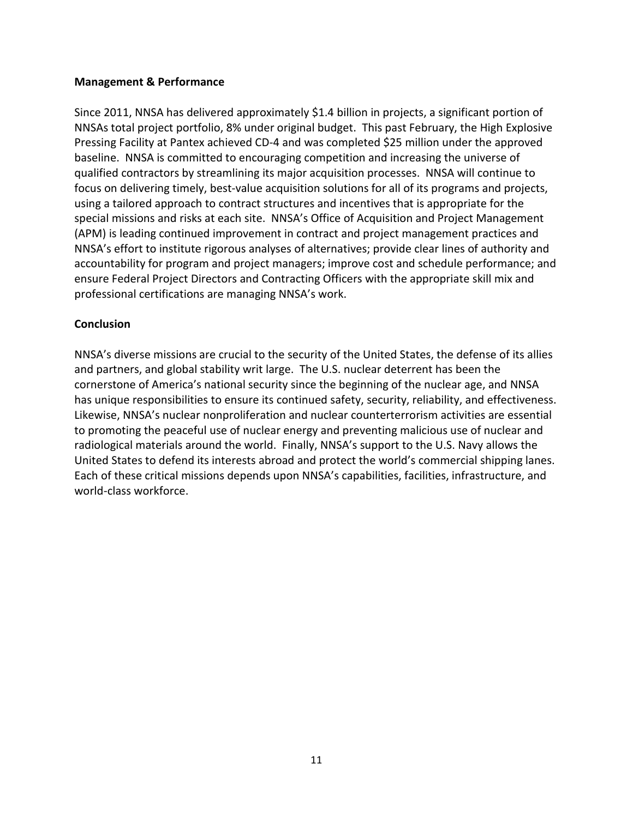#### **Management & Performance**

Since 2011, NNSA has delivered approximately \$1.4 billion in projects, a significant portion of NNSAs total project portfolio, 8% under original budget. This past February, the High Explosive Pressing Facility at Pantex achieved CD-4 and was completed \$25 million under the approved baseline. NNSA is committed to encouraging competition and increasing the universe of qualified contractors by streamlining its major acquisition processes. NNSA will continue to focus on delivering timely, best-value acquisition solutions for all of its programs and projects, using a tailored approach to contract structures and incentives that is appropriate for the special missions and risks at each site. NNSA's Office of Acquisition and Project Management (APM) is leading continued improvement in contract and project management practices and NNSA's effort to institute rigorous analyses of alternatives; provide clear lines of authority and accountability for program and project managers; improve cost and schedule performance; and ensure Federal Project Directors and Contracting Officers with the appropriate skill mix and professional certifications are managing NNSA's work.

#### **Conclusion**

NNSA's diverse missions are crucial to the security of the United States, the defense of its allies and partners, and global stability writ large. The U.S. nuclear deterrent has been the cornerstone of America's national security since the beginning of the nuclear age, and NNSA has unique responsibilities to ensure its continued safety, security, reliability, and effectiveness. Likewise, NNSA's nuclear nonproliferation and nuclear counterterrorism activities are essential to promoting the peaceful use of nuclear energy and preventing malicious use of nuclear and radiological materials around the world. Finally, NNSA's support to the U.S. Navy allows the United States to defend its interests abroad and protect the world's commercial shipping lanes. Each of these critical missions depends upon NNSA's capabilities, facilities, infrastructure, and world-class workforce.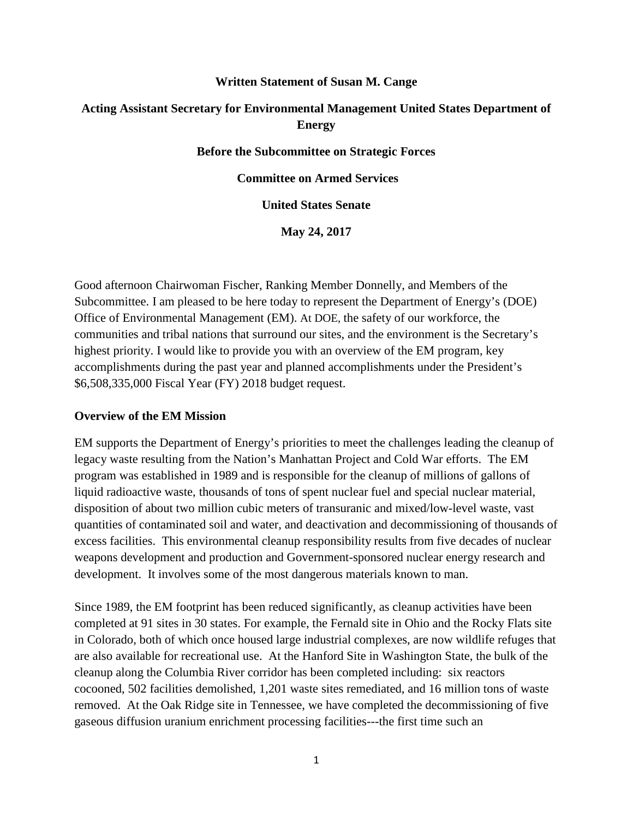#### **Written Statement of Susan M. Cange**

# **Acting Assistant Secretary for Environmental Management United States Department of Energy**

**Before the Subcommittee on Strategic Forces**

**Committee on Armed Services**

**United States Senate**

**May 24, 2017**

Good afternoon Chairwoman Fischer, Ranking Member Donnelly, and Members of the Subcommittee. I am pleased to be here today to represent the Department of Energy's (DOE) Office of Environmental Management (EM). At DOE, the safety of our workforce, the communities and tribal nations that surround our sites, and the environment is the Secretary's highest priority. I would like to provide you with an overview of the EM program, key accomplishments during the past year and planned accomplishments under the President's \$6,508,335,000 Fiscal Year (FY) 2018 budget request.

#### **Overview of the EM Mission**

EM supports the Department of Energy's priorities to meet the challenges leading the cleanup of legacy waste resulting from the Nation's Manhattan Project and Cold War efforts. The EM program was established in 1989 and is responsible for the cleanup of millions of gallons of liquid radioactive waste, thousands of tons of spent nuclear fuel and special nuclear material, disposition of about two million cubic meters of transuranic and mixed/low-level waste, vast quantities of contaminated soil and water, and deactivation and decommissioning of thousands of excess facilities. This environmental cleanup responsibility results from five decades of nuclear weapons development and production and Government-sponsored nuclear energy research and development. It involves some of the most dangerous materials known to man.

Since 1989, the EM footprint has been reduced significantly, as cleanup activities have been completed at 91 sites in 30 states. For example, the Fernald site in Ohio and the Rocky Flats site in Colorado, both of which once housed large industrial complexes, are now wildlife refuges that are also available for recreational use. At the Hanford Site in Washington State, the bulk of the cleanup along the Columbia River corridor has been completed including: six reactors cocooned, 502 facilities demolished, 1,201 waste sites remediated, and 16 million tons of waste removed. At the Oak Ridge site in Tennessee, we have completed the decommissioning of five gaseous diffusion uranium enrichment processing facilities---the first time such an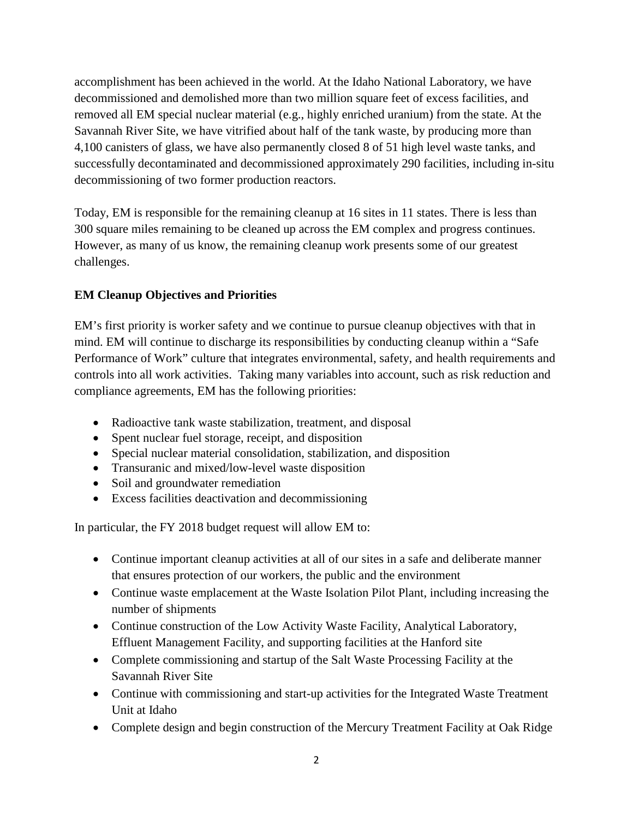accomplishment has been achieved in the world. At the Idaho National Laboratory, we have decommissioned and demolished more than two million square feet of excess facilities, and removed all EM special nuclear material (e.g., highly enriched uranium) from the state. At the Savannah River Site, we have vitrified about half of the tank waste, by producing more than 4,100 canisters of glass, we have also permanently closed 8 of 51 high level waste tanks, and successfully decontaminated and decommissioned approximately 290 facilities, including in-situ decommissioning of two former production reactors.

Today, EM is responsible for the remaining cleanup at 16 sites in 11 states. There is less than 300 square miles remaining to be cleaned up across the EM complex and progress continues. However, as many of us know, the remaining cleanup work presents some of our greatest challenges.

# **EM Cleanup Objectives and Priorities**

EM's first priority is worker safety and we continue to pursue cleanup objectives with that in mind. EM will continue to discharge its responsibilities by conducting cleanup within a "Safe Performance of Work" culture that integrates environmental, safety, and health requirements and controls into all work activities. Taking many variables into account, such as risk reduction and compliance agreements, EM has the following priorities:

- Radioactive tank waste stabilization, treatment, and disposal
- Spent nuclear fuel storage, receipt, and disposition
- Special nuclear material consolidation, stabilization, and disposition
- Transuranic and mixed/low-level waste disposition
- Soil and groundwater remediation
- Excess facilities deactivation and decommissioning

In particular, the FY 2018 budget request will allow EM to:

- Continue important cleanup activities at all of our sites in a safe and deliberate manner that ensures protection of our workers, the public and the environment
- Continue waste emplacement at the Waste Isolation Pilot Plant, including increasing the number of shipments
- Continue construction of the Low Activity Waste Facility, Analytical Laboratory, Effluent Management Facility, and supporting facilities at the Hanford site
- Complete commissioning and startup of the Salt Waste Processing Facility at the Savannah River Site
- Continue with commissioning and start-up activities for the Integrated Waste Treatment Unit at Idaho
- Complete design and begin construction of the Mercury Treatment Facility at Oak Ridge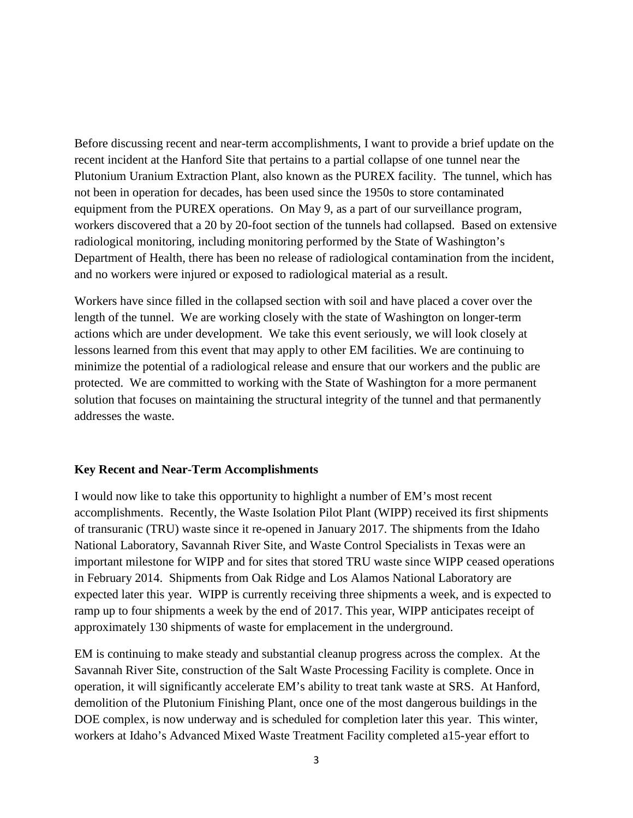Before discussing recent and near-term accomplishments, I want to provide a brief update on the recent incident at the Hanford Site that pertains to a partial collapse of one tunnel near the Plutonium Uranium Extraction Plant, also known as the PUREX facility. The tunnel, which has not been in operation for decades, has been used since the 1950s to store contaminated equipment from the PUREX operations. On May 9, as a part of our surveillance program, workers discovered that a 20 by 20-foot section of the tunnels had collapsed. Based on extensive radiological monitoring, including monitoring performed by the State of Washington's Department of Health, there has been no release of radiological contamination from the incident, and no workers were injured or exposed to radiological material as a result.

Workers have since filled in the collapsed section with soil and have placed a cover over the length of the tunnel. We are working closely with the state of Washington on longer-term actions which are under development. We take this event seriously, we will look closely at lessons learned from this event that may apply to other EM facilities. We are continuing to minimize the potential of a radiological release and ensure that our workers and the public are protected. We are committed to working with the State of Washington for a more permanent solution that focuses on maintaining the structural integrity of the tunnel and that permanently addresses the waste.

#### **Key Recent and Near-Term Accomplishments**

I would now like to take this opportunity to highlight a number of EM's most recent accomplishments. Recently, the Waste Isolation Pilot Plant (WIPP) received its first shipments of transuranic (TRU) waste since it re-opened in January 2017. The shipments from the Idaho National Laboratory, Savannah River Site, and Waste Control Specialists in Texas were an important milestone for WIPP and for sites that stored TRU waste since WIPP ceased operations in February 2014. Shipments from Oak Ridge and Los Alamos National Laboratory are expected later this year. WIPP is currently receiving three shipments a week, and is expected to ramp up to four shipments a week by the end of 2017. This year, WIPP anticipates receipt of approximately 130 shipments of waste for emplacement in the underground.

EM is continuing to make steady and substantial cleanup progress across the complex. At the Savannah River Site, construction of the Salt Waste Processing Facility is complete. Once in operation, it will significantly accelerate EM's ability to treat tank waste at SRS. At Hanford, demolition of the Plutonium Finishing Plant, once one of the most dangerous buildings in the DOE complex, is now underway and is scheduled for completion later this year. This winter, workers at Idaho's Advanced Mixed Waste Treatment Facility completed a15-year effort to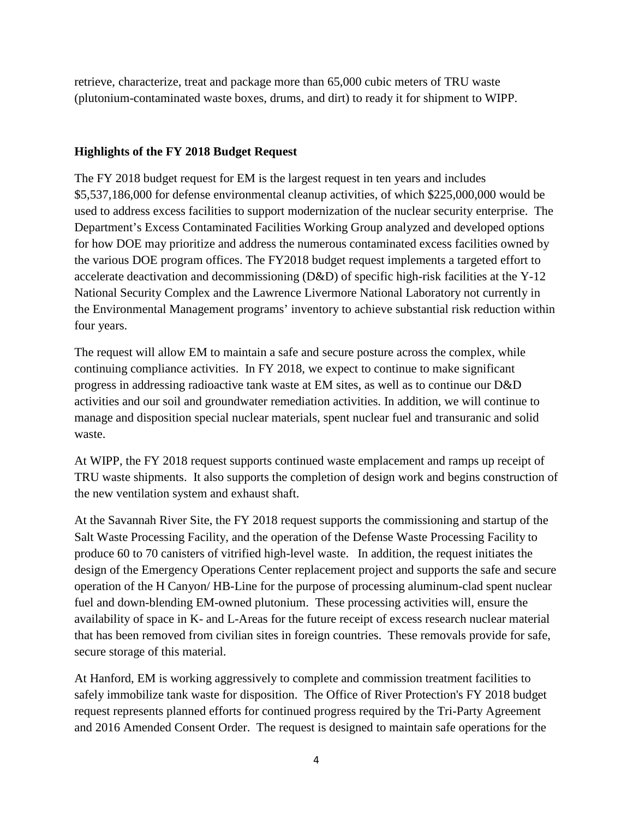retrieve, characterize, treat and package more than 65,000 cubic meters of TRU waste (plutonium-contaminated waste boxes, drums, and dirt) to ready it for shipment to WIPP.

#### **Highlights of the FY 2018 Budget Request**

The FY 2018 budget request for EM is the largest request in ten years and includes \$5,537,186,000 for defense environmental cleanup activities, of which \$225,000,000 would be used to address excess facilities to support modernization of the nuclear security enterprise. The Department's Excess Contaminated Facilities Working Group analyzed and developed options for how DOE may prioritize and address the numerous contaminated excess facilities owned by the various DOE program offices. The FY2018 budget request implements a targeted effort to accelerate deactivation and decommissioning (D&D) of specific high-risk facilities at the Y-12 National Security Complex and the Lawrence Livermore National Laboratory not currently in the Environmental Management programs' inventory to achieve substantial risk reduction within four years.

The request will allow EM to maintain a safe and secure posture across the complex, while continuing compliance activities. In FY 2018, we expect to continue to make significant progress in addressing radioactive tank waste at EM sites, as well as to continue our D&D activities and our soil and groundwater remediation activities. In addition, we will continue to manage and disposition special nuclear materials, spent nuclear fuel and transuranic and solid waste.

At WIPP, the FY 2018 request supports continued waste emplacement and ramps up receipt of TRU waste shipments. It also supports the completion of design work and begins construction of the new ventilation system and exhaust shaft.

At the Savannah River Site, the FY 2018 request supports the commissioning and startup of the Salt Waste Processing Facility, and the operation of the Defense Waste Processing Facility to produce 60 to 70 canisters of vitrified high-level waste. In addition, the request initiates the design of the Emergency Operations Center replacement project and supports the safe and secure operation of the H Canyon/ HB-Line for the purpose of processing aluminum-clad spent nuclear fuel and down-blending EM-owned plutonium. These processing activities will, ensure the availability of space in K- and L-Areas for the future receipt of excess research nuclear material that has been removed from civilian sites in foreign countries. These removals provide for safe, secure storage of this material.

At Hanford, EM is working aggressively to complete and commission treatment facilities to safely immobilize tank waste for disposition. The Office of River Protection's FY 2018 budget request represents planned efforts for continued progress required by the Tri-Party Agreement and 2016 Amended Consent Order. The request is designed to maintain safe operations for the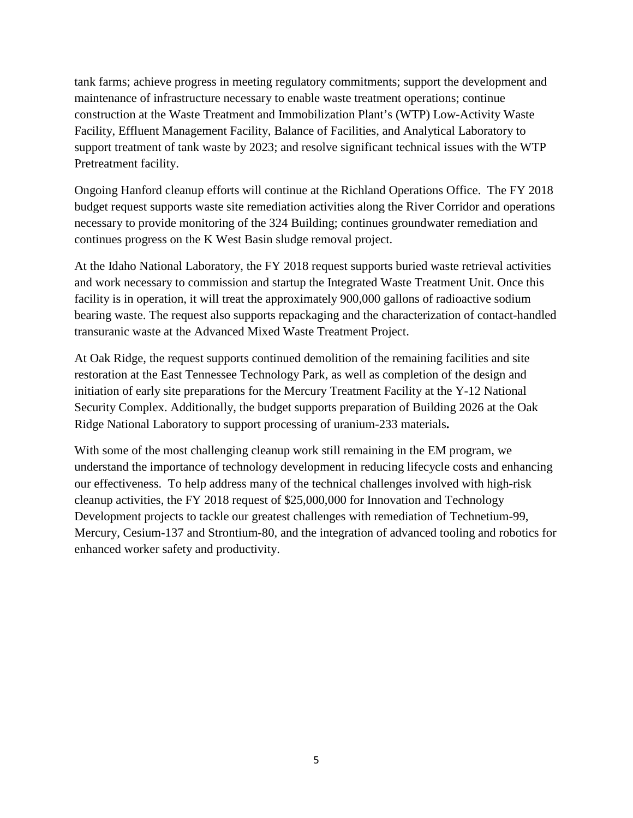tank farms; achieve progress in meeting regulatory commitments; support the development and maintenance of infrastructure necessary to enable waste treatment operations; continue construction at the Waste Treatment and Immobilization Plant's (WTP) Low-Activity Waste Facility, Effluent Management Facility, Balance of Facilities, and Analytical Laboratory to support treatment of tank waste by 2023; and resolve significant technical issues with the WTP Pretreatment facility.

Ongoing Hanford cleanup efforts will continue at the Richland Operations Office. The FY 2018 budget request supports waste site remediation activities along the River Corridor and operations necessary to provide monitoring of the 324 Building; continues groundwater remediation and continues progress on the K West Basin sludge removal project.

At the Idaho National Laboratory, the FY 2018 request supports buried waste retrieval activities and work necessary to commission and startup the Integrated Waste Treatment Unit. Once this facility is in operation, it will treat the approximately 900,000 gallons of radioactive sodium bearing waste. The request also supports repackaging and the characterization of contact-handled transuranic waste at the Advanced Mixed Waste Treatment Project.

At Oak Ridge, the request supports continued demolition of the remaining facilities and site restoration at the East Tennessee Technology Park, as well as completion of the design and initiation of early site preparations for the Mercury Treatment Facility at the Y-12 National Security Complex. Additionally, the budget supports preparation of Building 2026 at the Oak Ridge National Laboratory to support processing of uranium-233 materials**.**

With some of the most challenging cleanup work still remaining in the EM program, we understand the importance of technology development in reducing lifecycle costs and enhancing our effectiveness. To help address many of the technical challenges involved with high-risk cleanup activities, the FY 2018 request of \$25,000,000 for Innovation and Technology Development projects to tackle our greatest challenges with remediation of Technetium-99, Mercury, Cesium-137 and Strontium-80, and the integration of advanced tooling and robotics for enhanced worker safety and productivity.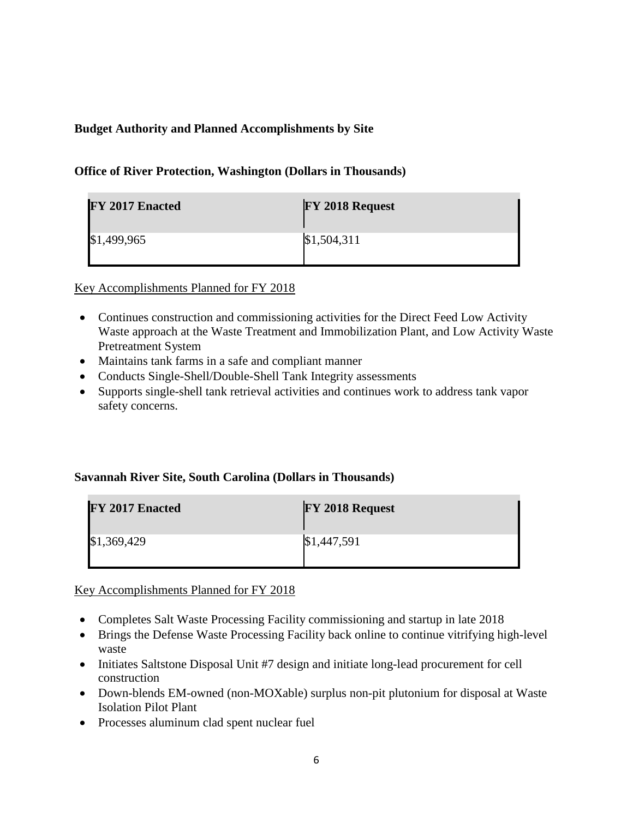# **Budget Authority and Planned Accomplishments by Site**

#### **Office of River Protection, Washington (Dollars in Thousands)**

| FY 2017 Enacted | FY 2018 Request |
|-----------------|-----------------|
| \$1,499,965     | \$1,504,311     |

Key Accomplishments Planned for FY 2018

- Continues construction and commissioning activities for the Direct Feed Low Activity Waste approach at the Waste Treatment and Immobilization Plant, and Low Activity Waste Pretreatment System
- Maintains tank farms in a safe and compliant manner
- Conducts Single-Shell/Double-Shell Tank Integrity assessments
- Supports single-shell tank retrieval activities and continues work to address tank vapor safety concerns.

# **Savannah River Site, South Carolina (Dollars in Thousands)**

| FY 2017 Enacted | <b>FY 2018 Request</b> |
|-----------------|------------------------|
| \$1,369,429     | \$1,447,591            |

# Key Accomplishments Planned for FY 2018

- Completes Salt Waste Processing Facility commissioning and startup in late 2018
- Brings the Defense Waste Processing Facility back online to continue vitrifying high-level waste
- Initiates Saltstone Disposal Unit #7 design and initiate long-lead procurement for cell construction
- Down-blends EM-owned (non-MOXable) surplus non-pit plutonium for disposal at Waste Isolation Pilot Plant
- Processes aluminum clad spent nuclear fuel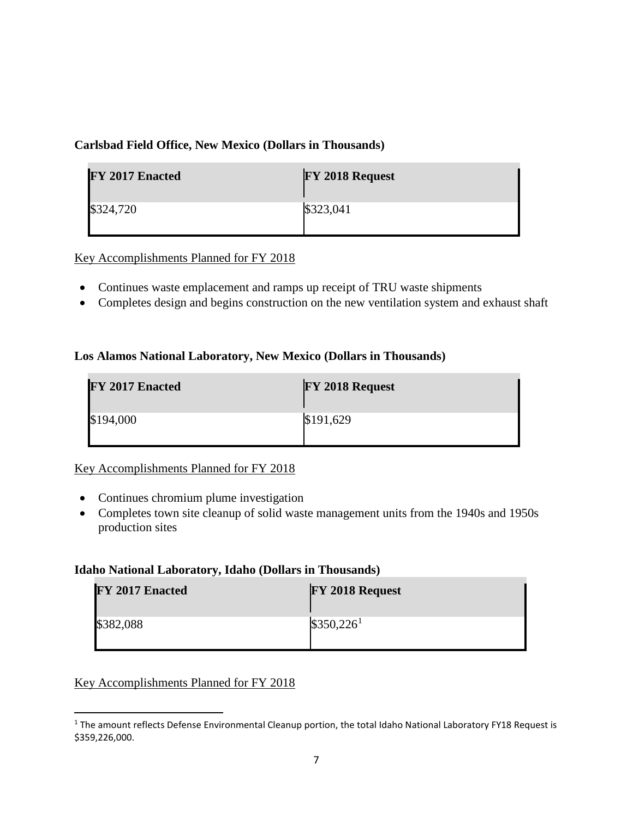# **Carlsbad Field Office, New Mexico (Dollars in Thousands)**

| FY 2017 Enacted | FY 2018 Request |
|-----------------|-----------------|
| \$324,720       | \$323,041       |

Key Accomplishments Planned for FY 2018

- Continues waste emplacement and ramps up receipt of TRU waste shipments
- Completes design and begins construction on the new ventilation system and exhaust shaft

#### **Los Alamos National Laboratory, New Mexico (Dollars in Thousands)**

| <b>FY 2017 Enacted</b> | FY 2018 Request |
|------------------------|-----------------|
| \$194,000              | \$191,629       |

# Key Accomplishments Planned for FY 2018

- Continues chromium plume investigation
- Completes town site cleanup of solid waste management units from the 1940s and 1950s production sites

#### **Idaho National Laboratory, Idaho (Dollars in Thousands)**

| FY 2017 Enacted | FY 2018 Request |
|-----------------|-----------------|
| \$382,088       | $$350,226^1$    |

# Key Accomplishments Planned for FY 2018

<span id="page-80-0"></span><sup>&</sup>lt;sup>1</sup> The amount reflects Defense Environmental Cleanup portion, the total Idaho National Laboratory FY18 Request is \$359,226,000.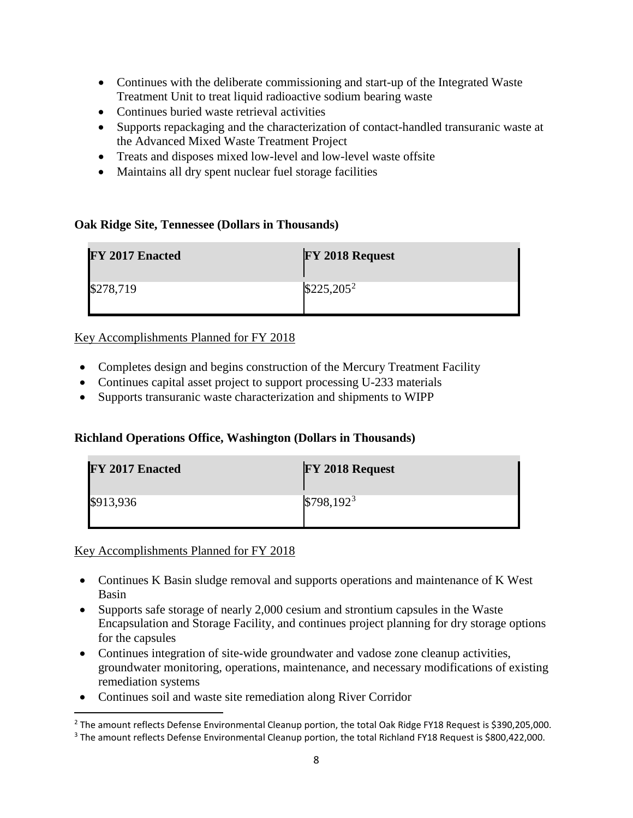- Continues with the deliberate commissioning and start-up of the Integrated Waste Treatment Unit to treat liquid radioactive sodium bearing waste
- Continues buried waste retrieval activities
- Supports repackaging and the characterization of contact-handled transuranic waste at the Advanced Mixed Waste Treatment Project
- Treats and disposes mixed low-level and low-level waste offsite
- Maintains all dry spent nuclear fuel storage facilities

#### **Oak Ridge Site, Tennessee (Dollars in Thousands)**

| FY 2017 Enacted | FY 2018 Request |
|-----------------|-----------------|
| \$278,719       | $$225,205^2$    |

# Key Accomplishments Planned for FY 2018

- Completes design and begins construction of the Mercury Treatment Facility
- Continues capital asset project to support processing U-233 materials
- Supports transuranic waste characterization and shipments to WIPP

# **Richland Operations Office, Washington (Dollars in Thousands)**

| FY 2017 Enacted | FY 2018 Request |
|-----------------|-----------------|
| \$913,936       | $$798,192^3$    |

Key Accomplishments Planned for FY 2018

- Continues K Basin sludge removal and supports operations and maintenance of K West Basin
- Supports safe storage of nearly 2,000 cesium and strontium capsules in the Waste Encapsulation and Storage Facility, and continues project planning for dry storage options for the capsules
- Continues integration of site-wide groundwater and vadose zone cleanup activities, groundwater monitoring, operations, maintenance, and necessary modifications of existing remediation systems
- Continues soil and waste site remediation along River Corridor

<span id="page-81-1"></span><span id="page-81-0"></span><sup>&</sup>lt;sup>2</sup> The amount reflects Defense Environmental Cleanup portion, the total Oak Ridge FY18 Request is \$390,205,000. <sup>3</sup> The amount reflects Defense Environmental Cleanup portion, the total Richland FY18 Request is \$800,422,000.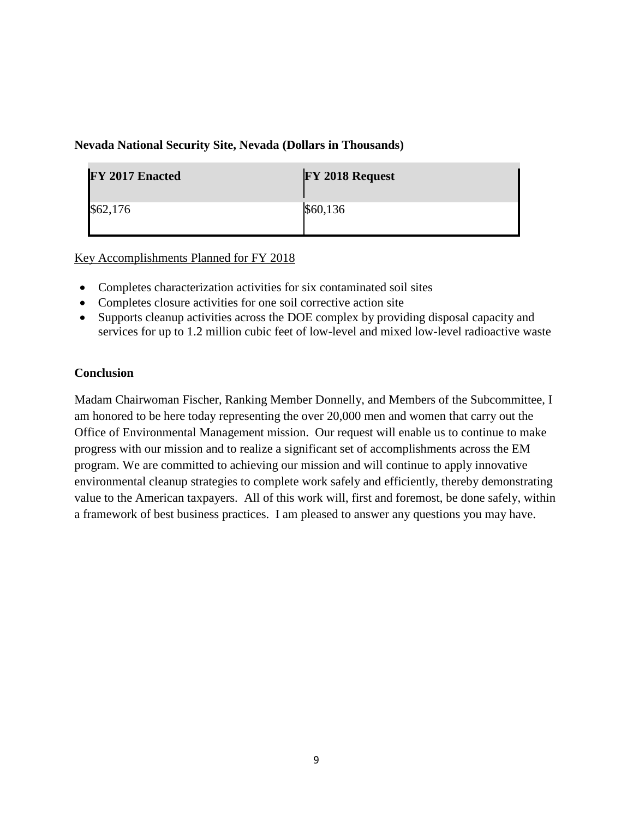#### **Nevada National Security Site, Nevada (Dollars in Thousands)**

| FY 2017 Enacted | FY 2018 Request |
|-----------------|-----------------|
| \$62,176        | \$60,136        |

Key Accomplishments Planned for FY 2018

- Completes characterization activities for six contaminated soil sites
- Completes closure activities for one soil corrective action site
- Supports cleanup activities across the DOE complex by providing disposal capacity and services for up to 1.2 million cubic feet of low-level and mixed low-level radioactive waste

# **Conclusion**

Madam Chairwoman Fischer, Ranking Member Donnelly, and Members of the Subcommittee, I am honored to be here today representing the over 20,000 men and women that carry out the Office of Environmental Management mission. Our request will enable us to continue to make progress with our mission and to realize a significant set of accomplishments across the EM program. We are committed to achieving our mission and will continue to apply innovative environmental cleanup strategies to complete work safely and efficiently, thereby demonstrating value to the American taxpayers. All of this work will, first and foremost, be done safely, within a framework of best business practices. I am pleased to answer any questions you may have.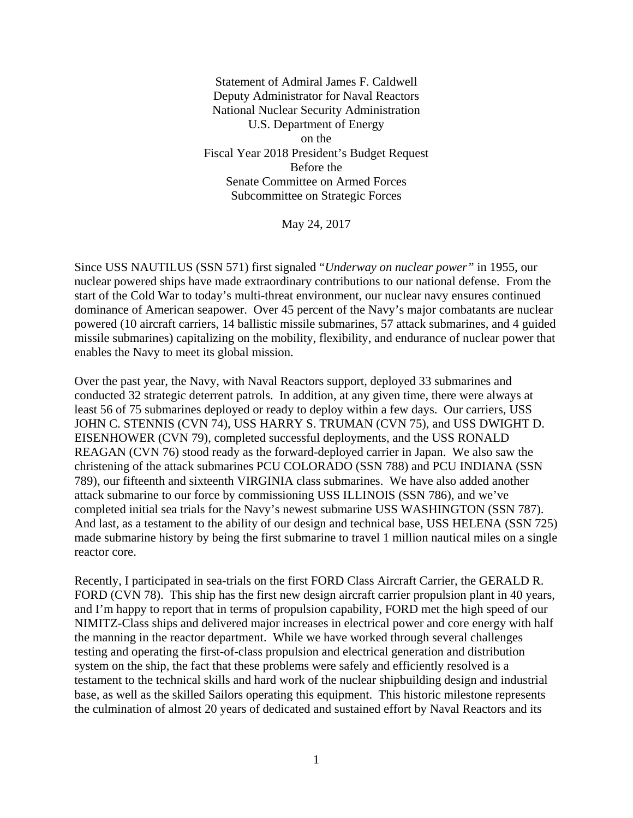Statement of Admiral James F. Caldwell Deputy Administrator for Naval Reactors National Nuclear Security Administration U.S. Department of Energy on the Fiscal Year 2018 President's Budget Request Before the Senate Committee on Armed Forces Subcommittee on Strategic Forces

May 24, 2017

Since USS NAUTILUS (SSN 571) first signaled "*Underway on nuclear power"* in 1955, our nuclear powered ships have made extraordinary contributions to our national defense. From the start of the Cold War to today's multi-threat environment, our nuclear navy ensures continued dominance of American seapower. Over 45 percent of the Navy's major combatants are nuclear powered (10 aircraft carriers, 14 ballistic missile submarines, 57 attack submarines, and 4 guided missile submarines) capitalizing on the mobility, flexibility, and endurance of nuclear power that enables the Navy to meet its global mission.

Over the past year, the Navy, with Naval Reactors support, deployed 33 submarines and conducted 32 strategic deterrent patrols. In addition, at any given time, there were always at least 56 of 75 submarines deployed or ready to deploy within a few days. Our carriers, USS JOHN C. STENNIS (CVN 74), USS HARRY S. TRUMAN (CVN 75), and USS DWIGHT D. EISENHOWER (CVN 79), completed successful deployments, and the USS RONALD REAGAN (CVN 76) stood ready as the forward-deployed carrier in Japan. We also saw the christening of the attack submarines PCU COLORADO (SSN 788) and PCU INDIANA (SSN 789), our fifteenth and sixteenth VIRGINIA class submarines. We have also added another attack submarine to our force by commissioning USS ILLINOIS (SSN 786), and we've completed initial sea trials for the Navy's newest submarine USS WASHINGTON (SSN 787). And last, as a testament to the ability of our design and technical base, USS HELENA (SSN 725) made submarine history by being the first submarine to travel 1 million nautical miles on a single reactor core.

Recently, I participated in sea-trials on the first FORD Class Aircraft Carrier, the GERALD R. FORD (CVN 78). This ship has the first new design aircraft carrier propulsion plant in 40 years, and I'm happy to report that in terms of propulsion capability, FORD met the high speed of our NIMITZ-Class ships and delivered major increases in electrical power and core energy with half the manning in the reactor department. While we have worked through several challenges testing and operating the first-of-class propulsion and electrical generation and distribution system on the ship, the fact that these problems were safely and efficiently resolved is a testament to the technical skills and hard work of the nuclear shipbuilding design and industrial base, as well as the skilled Sailors operating this equipment. This historic milestone represents the culmination of almost 20 years of dedicated and sustained effort by Naval Reactors and its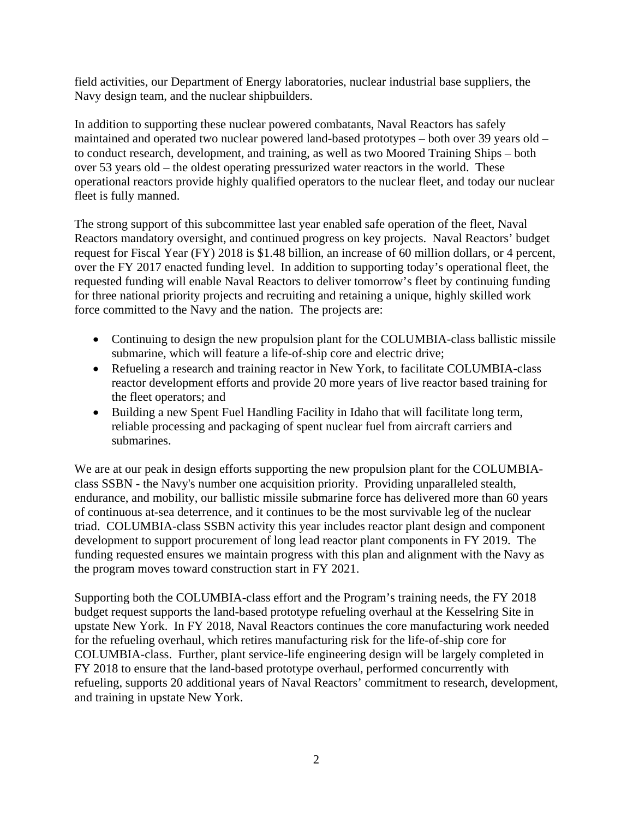field activities, our Department of Energy laboratories, nuclear industrial base suppliers, the Navy design team, and the nuclear shipbuilders.

In addition to supporting these nuclear powered combatants, Naval Reactors has safely maintained and operated two nuclear powered land-based prototypes – both over 39 years old – to conduct research, development, and training, as well as two Moored Training Ships – both over 53 years old – the oldest operating pressurized water reactors in the world. These operational reactors provide highly qualified operators to the nuclear fleet, and today our nuclear fleet is fully manned.

The strong support of this subcommittee last year enabled safe operation of the fleet, Naval Reactors mandatory oversight, and continued progress on key projects. Naval Reactors' budget request for Fiscal Year (FY) 2018 is \$1.48 billion, an increase of 60 million dollars, or 4 percent, over the FY 2017 enacted funding level. In addition to supporting today's operational fleet, the requested funding will enable Naval Reactors to deliver tomorrow's fleet by continuing funding for three national priority projects and recruiting and retaining a unique, highly skilled work force committed to the Navy and the nation. The projects are:

- Continuing to design the new propulsion plant for the COLUMBIA-class ballistic missile submarine, which will feature a life-of-ship core and electric drive;
- Refueling a research and training reactor in New York, to facilitate COLUMBIA-class reactor development efforts and provide 20 more years of live reactor based training for the fleet operators; and
- Building a new Spent Fuel Handling Facility in Idaho that will facilitate long term, reliable processing and packaging of spent nuclear fuel from aircraft carriers and submarines.

We are at our peak in design efforts supporting the new propulsion plant for the COLUMBIAclass SSBN - the Navy's number one acquisition priority. Providing unparalleled stealth, endurance, and mobility, our ballistic missile submarine force has delivered more than 60 years of continuous at-sea deterrence, and it continues to be the most survivable leg of the nuclear triad. COLUMBIA-class SSBN activity this year includes reactor plant design and component development to support procurement of long lead reactor plant components in FY 2019. The funding requested ensures we maintain progress with this plan and alignment with the Navy as the program moves toward construction start in FY 2021.

Supporting both the COLUMBIA-class effort and the Program's training needs, the FY 2018 budget request supports the land-based prototype refueling overhaul at the Kesselring Site in upstate New York. In FY 2018, Naval Reactors continues the core manufacturing work needed for the refueling overhaul, which retires manufacturing risk for the life-of-ship core for COLUMBIA-class. Further, plant service-life engineering design will be largely completed in FY 2018 to ensure that the land-based prototype overhaul, performed concurrently with refueling, supports 20 additional years of Naval Reactors' commitment to research, development, and training in upstate New York.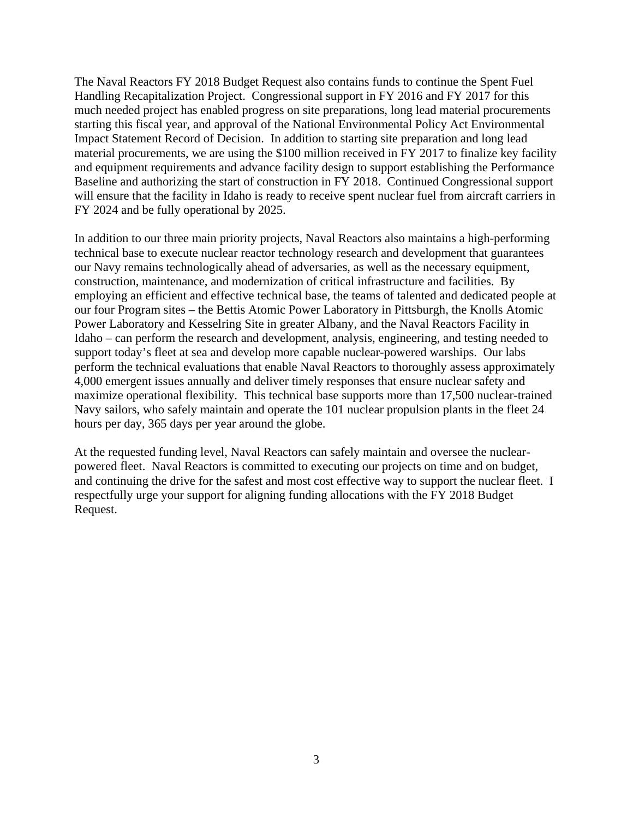The Naval Reactors FY 2018 Budget Request also contains funds to continue the Spent Fuel Handling Recapitalization Project. Congressional support in FY 2016 and FY 2017 for this much needed project has enabled progress on site preparations, long lead material procurements starting this fiscal year, and approval of the National Environmental Policy Act Environmental Impact Statement Record of Decision. In addition to starting site preparation and long lead material procurements, we are using the \$100 million received in FY 2017 to finalize key facility and equipment requirements and advance facility design to support establishing the Performance Baseline and authorizing the start of construction in FY 2018. Continued Congressional support will ensure that the facility in Idaho is ready to receive spent nuclear fuel from aircraft carriers in FY 2024 and be fully operational by 2025.

In addition to our three main priority projects, Naval Reactors also maintains a high-performing technical base to execute nuclear reactor technology research and development that guarantees our Navy remains technologically ahead of adversaries, as well as the necessary equipment, construction, maintenance, and modernization of critical infrastructure and facilities. By employing an efficient and effective technical base, the teams of talented and dedicated people at our four Program sites – the Bettis Atomic Power Laboratory in Pittsburgh, the Knolls Atomic Power Laboratory and Kesselring Site in greater Albany, and the Naval Reactors Facility in Idaho – can perform the research and development, analysis, engineering, and testing needed to support today's fleet at sea and develop more capable nuclear-powered warships. Our labs perform the technical evaluations that enable Naval Reactors to thoroughly assess approximately 4,000 emergent issues annually and deliver timely responses that ensure nuclear safety and maximize operational flexibility. This technical base supports more than 17,500 nuclear-trained Navy sailors, who safely maintain and operate the 101 nuclear propulsion plants in the fleet 24 hours per day, 365 days per year around the globe.

At the requested funding level, Naval Reactors can safely maintain and oversee the nuclearpowered fleet. Naval Reactors is committed to executing our projects on time and on budget, and continuing the drive for the safest and most cost effective way to support the nuclear fleet. I respectfully urge your support for aligning funding allocations with the FY 2018 Budget Request.